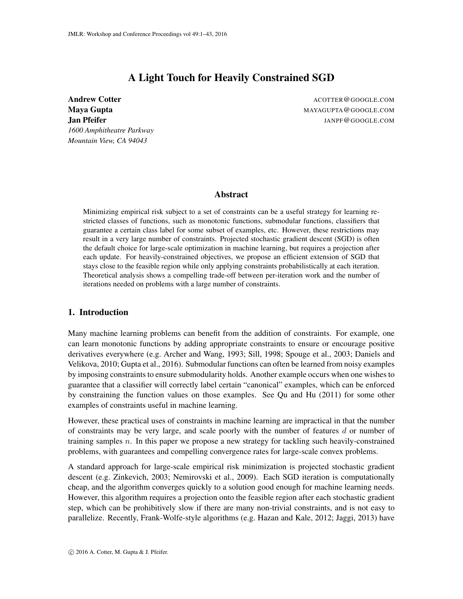# A Light Touch for Heavily Constrained SGD

<span id="page-0-0"></span>Andrew Cotter Acotter ACOTTER @GOOGLE.COM *1600 Amphitheatre Parkway Mountain View, CA 94043*

Maya Gupta Mathematic Maya Gupta MAYAGUPTA @GOOGLE.COM **Jan Pfeifer JANPF@GOOGLE.COM** 

### Abstract

Minimizing empirical risk subject to a set of constraints can be a useful strategy for learning restricted classes of functions, such as monotonic functions, submodular functions, classifiers that guarantee a certain class label for some subset of examples, etc. However, these restrictions may result in a very large number of constraints. Projected stochastic gradient descent (SGD) is often the default choice for large-scale optimization in machine learning, but requires a projection after each update. For heavily-constrained objectives, we propose an efficient extension of SGD that stays close to the feasible region while only applying constraints probabilistically at each iteration. Theoretical analysis shows a compelling trade-off between per-iteration work and the number of iterations needed on problems with a large number of constraints.

# 1. Introduction

Many machine learning problems can benefit from the addition of constraints. For example, one can learn monotonic functions by adding appropriate constraints to ensure or encourage positive derivatives everywhere (e.g. [Archer and Wang, 1993;](#page-21-0) [Sill, 1998;](#page-22-0) [Spouge et al., 2003;](#page-22-1) [Daniels and](#page-21-1) [Velikova, 2010;](#page-21-1) [Gupta et al., 2016\)](#page-21-2). Submodular functions can often be learned from noisy examples by imposing constraints to ensure submodularity holds. Another example occurs when one wishes to guarantee that a classifier will correctly label certain "canonical" examples, which can be enforced by constraining the function values on those examples. See [Qu and Hu](#page-22-2) [\(2011\)](#page-22-2) for some other examples of constraints useful in machine learning.

However, these practical uses of constraints in machine learning are impractical in that the number of constraints may be very large, and scale poorly with the number of features  $d$  or number of training samples  $n$ . In this paper we propose a new strategy for tackling such heavily-constrained problems, with guarantees and compelling convergence rates for large-scale convex problems.

A standard approach for large-scale empirical risk minimization is projected stochastic gradient descent (e.g. [Zinkevich, 2003;](#page-22-3) [Nemirovski et al., 2009\)](#page-22-4). Each SGD iteration is computationally cheap, and the algorithm converges quickly to a solution good enough for machine learning needs. However, this algorithm requires a projection onto the feasible region after each stochastic gradient step, which can be prohibitively slow if there are many non-trivial constraints, and is not easy to parallelize. Recently, Frank-Wolfe-style algorithms (e.g. [Hazan and Kale, 2012;](#page-21-3) [Jaggi, 2013\)](#page-21-4) have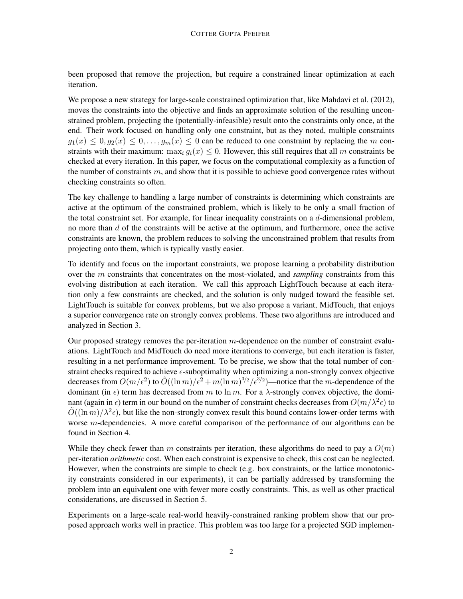been proposed that remove the projection, but require a constrained linear optimization at each iteration.

We propose a new strategy for large-scale constrained optimization that, like [Mahdavi et al.](#page-21-5) [\(2012\)](#page-21-5), moves the constraints into the objective and finds an approximate solution of the resulting unconstrained problem, projecting the (potentially-infeasible) result onto the constraints only once, at the end. Their work focused on handling only one constraint, but as they noted, multiple constraints  $g_1(x) \leq 0, g_2(x) \leq 0, \ldots, g_m(x) \leq 0$  can be reduced to one constraint by replacing the m constraints with their maximum:  $\max_i q_i(x) \leq 0$ . However, this still requires that all m constraints be checked at every iteration. In this paper, we focus on the computational complexity as a function of the number of constraints  $m$ , and show that it is possible to achieve good convergence rates without checking constraints so often.

The key challenge to handling a large number of constraints is determining which constraints are active at the optimum of the constrained problem, which is likely to be only a small fraction of the total constraint set. For example, for linear inequality constraints on a d-dimensional problem, no more than  $d$  of the constraints will be active at the optimum, and furthermore, once the active constraints are known, the problem reduces to solving the unconstrained problem that results from projecting onto them, which is typically vastly easier.

To identify and focus on the important constraints, we propose learning a probability distribution over the m constraints that concentrates on the most-violated, and *sampling* constraints from this evolving distribution at each iteration. We call this approach [LightTouch](#page-6-0) because at each iteration only a few constraints are checked, and the solution is only nudged toward the feasible set. [LightTouch](#page-6-0) is suitable for convex problems, but we also propose a variant, [MidTouch,](#page-10-0) that enjoys a superior convergence rate on strongly convex problems. These two algorithms are introduced and analyzed in Section [3.](#page-5-0)

Our proposed strategy removes the per-iteration m-dependence on the number of constraint evaluations. [LightTouch](#page-6-0) and [MidTouch](#page-10-0) do need more iterations to converge, but each iteration is faster, resulting in a net performance improvement. To be precise, we show that the total number of constraint checks required to achieve  $\epsilon$ -suboptimality when optimizing a non-strongly convex objective decreases from  $O(m/\epsilon^2)$  to  $\tilde{O}((\ln m)/\epsilon^2 + m(\ln m)^{3/2}/\epsilon^{3/2})$ —notice that the m-dependence of the dominant (in  $\epsilon$ ) term has decreased from m to ln m. For a  $\lambda$ -strongly convex objective, the dominant (again in  $\epsilon$ ) term in our bound on the number of constraint checks decreases from  $O(m/\lambda^2 \epsilon)$  to  $\tilde{O}((\ln m)/\lambda^2 \epsilon)$ , but like the non-strongly convex result this bound contains lower-order terms with worse m-dependencies. A more careful comparison of the performance of our algorithms can be found in Section [4.](#page-11-0)

While they check fewer than m constraints per iteration, these algorithms do need to pay a  $O(m)$ per-iteration *arithmetic* cost. When each constraint is expensive to check, this cost can be neglected. However, when the constraints are simple to check (e.g. box constraints, or the lattice monotonicity constraints considered in our experiments), it can be partially addressed by transforming the problem into an equivalent one with fewer more costly constraints. This, as well as other practical considerations, are discussed in Section [5.](#page-13-0)

Experiments on a large-scale real-world heavily-constrained ranking problem show that our proposed approach works well in practice. This problem was too large for a projected SGD implemen-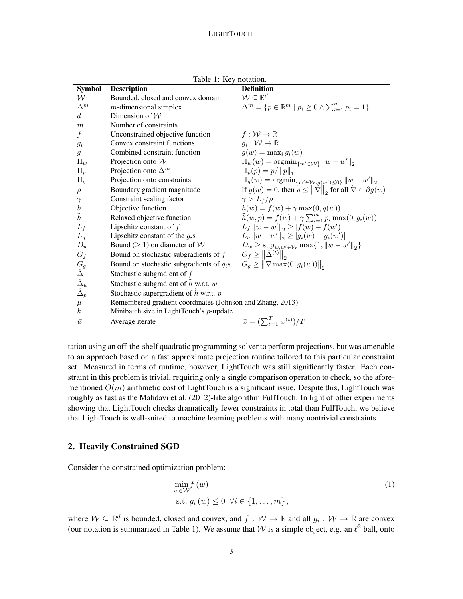<span id="page-2-0"></span>

| <b>Symbol</b>                                                                           | <b>Description</b>                                        | <b>Definition</b>                                                                               |
|-----------------------------------------------------------------------------------------|-----------------------------------------------------------|-------------------------------------------------------------------------------------------------|
| $\mathcal W$                                                                            | Bounded, closed and convex domain                         | $\overline{\mathcal{W}} \subseteq \mathbb{R}^d$                                                 |
| $\Delta^m$                                                                              | $m$ -dimensional simplex                                  | $\Delta^m = \{ p \in \mathbb{R}^m \mid p_i \geq 0 \wedge \sum_{i=1}^m p_i = 1 \}$               |
| d                                                                                       | Dimension of $W$                                          |                                                                                                 |
| $\boldsymbol{m}$                                                                        | Number of constraints                                     |                                                                                                 |
| $\boldsymbol{f}$                                                                        | Unconstrained objective function                          | $f:\mathcal{W}\to\mathbb{R}$                                                                    |
| $g_i$                                                                                   | Convex constraint functions                               | $g_i: \mathcal{W} \to \mathbb{R}$                                                               |
| $\mathfrak{g}$                                                                          | Combined constraint function                              | $q(w) = \max_i q_i(w)$                                                                          |
| $\Pi_{w}$                                                                               | Projection onto $W$                                       | $\Pi_{w}(w) = \operatorname{argmin}_{\{w' \in \mathcal{W}\}} \ w - w'\ _{2}$                    |
| $\Pi_p$                                                                                 | Projection onto $\Delta^m$                                | $\Pi_p(p) = p /   p  _1$                                                                        |
| $\Pi_q$                                                                                 | Projection onto constraints                               | $\Pi_g(w) = \operatorname{argmin}_{\{w' \in \mathcal{W}: g(w') \leq 0\}} \ w - w'\ _2$          |
| $\rho$                                                                                  | Boundary gradient magnitude                               | If $g(w) = 0$ , then $\rho \le   \tilde{\nabla}  _2$ for all $\tilde{\nabla} \in \partial g(w)$ |
| $\gamma$                                                                                | Constraint scaling factor                                 | $\gamma > L_f/\rho$                                                                             |
| $\hbar$                                                                                 | Objective function                                        | $h(w) = f(w) + \gamma \max(0, g(w))$                                                            |
| $\tilde{h}$                                                                             | Relaxed objective function                                | $\tilde{h}(w,p) = f(w) + \gamma \sum_{i=1}^{m} p_i \max(0, g_i(w))$                             |
| $L_f$                                                                                   | Lipschitz constant of $f$                                 | $L_f   w - w'  _2 \ge  f(w) - f(w') $                                                           |
| $L_q$                                                                                   | Lipschitz constant of the $q_i$ s                         | $L_q   w - w'  _2 \geq  g_i(w) - g_i(w') $                                                      |
| $D_w$                                                                                   | Bound ( $\geq$ 1) on diameter of W                        | $D_w \ge \sup_{w,w' \in \mathcal{W}} \max\{1, \ w - w'\ _2\}$                                   |
| $G_f$                                                                                   | Bound on stochastic subgradients of $f$                   | $G_f \geq   \check{\Delta}^{(t)}  _2$                                                           |
|                                                                                         | Bound on stochastic subgradients of $g_i$ s               | $G_q \geq   \tilde{\nabla} \max(0, g_i(w))  _2$                                                 |
|                                                                                         | Stochastic subgradient of $f$                             |                                                                                                 |
| $\begin{array}{c} G_g \ \check{\Delta} \ \check{\Delta}_w \ \hat{\Delta}_p \end{array}$ | Stochastic subgradient of $h$ w.r.t. $w$                  |                                                                                                 |
|                                                                                         | Stochastic supergradient of $\hat{h}$ w.r.t. $p$          |                                                                                                 |
| $\mu$                                                                                   | Remembered gradient coordinates (Johnson and Zhang, 2013) |                                                                                                 |
| k <sub>i</sub>                                                                          | Minibatch size in LightTouch's p-update                   |                                                                                                 |
| $\bar{w}$                                                                               | Average iterate                                           | $\bar{w} = (\sum_{t=1}^{T} w^{(t)})/T$                                                          |

Table 1: Key notation.

tation using an off-the-shelf quadratic programming solver to perform projections, but was amenable to an approach based on a fast approximate projection routine tailored to this particular constraint set. Measured in terms of runtime, however, LightTouch was still significantly faster. Each constraint in this problem is trivial, requiring only a single comparison operation to check, so the aforementioned  $O(m)$  arithmetic cost of LightTouch is a significant issue. Despite this, LightTouch was roughly as fast as the [Mahdavi et al.](#page-21-5) [\(2012\)](#page-21-5)-like algorithm FullTouch. In light of other experiments showing that LightTouch checks dramatically fewer constraints in total than FullTouch, we believe that LightTouch is well-suited to machine learning problems with many nontrivial constraints.

# <span id="page-2-2"></span>2. Heavily Constrained SGD

Consider the constrained optimization problem:

<span id="page-2-1"></span>
$$
\min_{w \in \mathcal{W}} f(w) \tag{1}
$$
\n
$$
\text{s.t. } g_i(w) \le 0 \ \forall i \in \{1, \dots, m\},
$$

where  $W \subseteq \mathbb{R}^d$  is bounded, closed and convex, and  $f : W \to \mathbb{R}$  and all  $g_i : W \to \mathbb{R}$  are convex (our notation is summarized in Table [1\)](#page-2-0). We assume that W is a simple object, e.g. an  $\ell^2$  ball, onto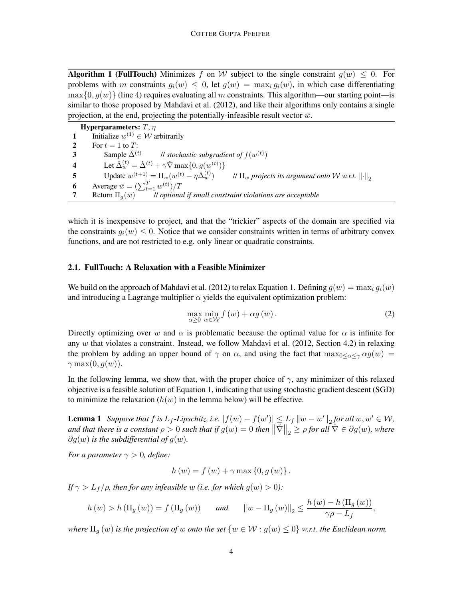**Algorithm 1 (FullTouch)** Minimizes f on W subject to the single constraint  $g(w) \leq 0$ . For problems with m constraints  $q_i(w) \leq 0$ , let  $q(w) = \max_i q_i(w)$ , in which case differentiating  $\max\{0, g(w)\}\$  (line 4) requires evaluating all m constraints. This algorithm—our starting point—is similar to those proposed by [Mahdavi et al.](#page-21-5) [\(2012\)](#page-21-5), and like their algorithms only contains a single projection, at the end, projecting the potentially-infeasible result vector  $\bar{w}$ .

Hyperparameters:  $T$ ,  $\eta$ **1** Initialize  $w^{(1)} \in \mathcal{W}$  arbitrarily 2 For  $t = 1$  to  $T$ : 3 Sample  $\check{\Delta}^{(t)}$ *ll stochastic subgradient of*  $f(w^{(t)})$ 4 Let  $\check{\Delta}_{w}^{(t)} = \check{\Delta}^{(t)} + \gamma \check{\nabla} \max\{0, g(w^{(t)})\}$ 5 Update  $w^{(t+1)} = \Pi_w(w^{(t)} - \eta \check{\Delta}_w^{(t)})$  $\mathcal{W}$  *II<sub>w</sub> projects its argument onto W w.r.t.*  $\left\|\cdot\right\|_2$ **6** Average  $\bar{w} = \left(\sum_{t=1}^{T} w^{(t)}\right) / T$ **7** Return  $\Pi_a(\bar{w})$  *II optional if small constraint violations are acceptable* 

<span id="page-3-0"></span>which it is inexpensive to project, and that the "trickier" aspects of the domain are specified via the constraints  $g_i(w) \leq 0$ . Notice that we consider constraints written in terms of arbitrary convex functions, and are not restricted to e.g. only linear or quadratic constraints.

## 2.1. FullTouch: A Relaxation with a Feasible Minimizer

We build on the approach of [Mahdavi et al.](#page-21-5) [\(2012\)](#page-21-5) to relax Equation [1.](#page-2-1) Defining  $g(w) = \max_i g_i(w)$ and introducing a Lagrange multiplier  $\alpha$  yields the equivalent optimization problem:

$$
\max_{\alpha \ge 0} \min_{w \in \mathcal{W}} f(w) + \alpha g(w). \tag{2}
$$

Directly optimizing over w and  $\alpha$  is problematic because the optimal value for  $\alpha$  is infinite for any  $w$  that violates a constraint. Instead, we follow [Mahdavi et al.](#page-21-5) [\(2012,](#page-21-5) Section 4.2) in relaxing the problem by adding an upper bound of  $\gamma$  on  $\alpha$ , and using the fact that  $\max_{0 \le \alpha \le \gamma} \alpha g(w)$  $\gamma \max(0, g(w)).$ 

In the following lemma, we show that, with the proper choice of  $\gamma$ , any minimizer of this relaxed objective is a feasible solution of Equation [1,](#page-2-1) indicating that using stochastic gradient descent (SGD) to minimize the relaxation  $(h(w))$  in the lemma below) will be effective.

<span id="page-3-1"></span>**Lemma 1** *Suppose that*  $f$  *is*  $L_f$ -Lipschitz, i.e.  $|f(w) - f(w')| \leq L_f ||w - w'||_2$  for all  $w, w' \in W$ ,  $\text{and that there is a constant } \rho > 0 \text{ such that if } g(w) = 0 \text{ then } \left\| \check{\nabla} \right\|_2 \geq \rho \text{ for all } \check{\nabla} \in \partial g(w)$ , where  $\partial g(w)$  *is the subdifferential of*  $g(w)$ *.* 

*For a parameter*  $\gamma > 0$ *, define:* 

$$
h(w) = f(w) + \gamma \max\{0, g(w)\}.
$$

*If*  $\gamma > L_f/\rho$ *, then for any infeasible w (i.e. for which g(w) > 0):* 

$$
h(w) > h(\Pi_g(w)) = f(\Pi_g(w)) \quad \text{and} \quad \|w - \Pi_g(w)\|_2 \le \frac{h(w) - h(\Pi_g(w))}{\gamma \rho - L_f},
$$

*where*  $\Pi_g(w)$  *is the projection of* w *onto the set*  $\{w \in \mathcal{W} : g(w) \leq 0\}$  *w.r.t. the Euclidean norm.*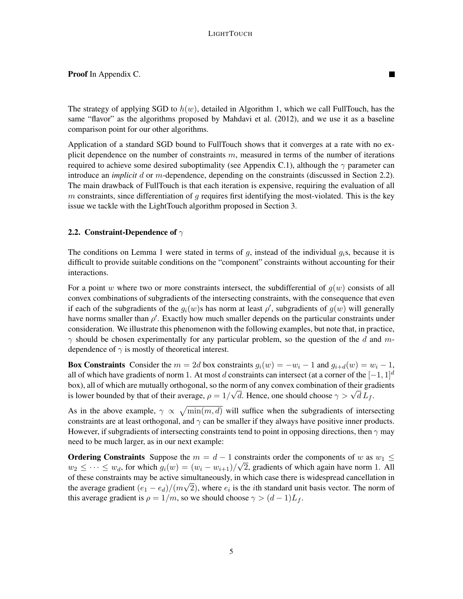The strategy of applying SGD to  $h(w)$ , detailed in Algorithm [1,](#page-3-0) which we call FullTouch, has the same "flavor" as the algorithms proposed by [Mahdavi et al.](#page-21-5) [\(2012\)](#page-21-5), and we use it as a baseline comparison point for our other algorithms.

П

Application of a standard SGD bound to [FullTouch](#page-3-0) shows that it converges at a rate with no explicit dependence on the number of constraints  $m$ , measured in terms of the number of iterations required to achieve some desired suboptimality (see Appendix [C.1\)](#page-30-1), although the  $\gamma$  parameter can introduce an *implicit* d or m-dependence, depending on the constraints (discussed in Section [2.2\)](#page-4-0). The main drawback of [FullTouch](#page-3-0) is that each iteration is expensive, requiring the evaluation of all  $m$  constraints, since differentiation of  $g$  requires first identifying the most-violated. This is the key issue we tackle with the [LightTouch](#page-6-0) algorithm proposed in Section [3.](#page-5-0)

# <span id="page-4-0"></span>2.2. Constraint-Dependence of  $\gamma$

The conditions on Lemma [1](#page-3-1) were stated in terms of  $g$ , instead of the individual  $g_i$ s, because it is difficult to provide suitable conditions on the "component" constraints without accounting for their interactions.

For a point w where two or more constraints intersect, the subdifferential of  $q(w)$  consists of all convex combinations of subgradients of the intersecting constraints, with the consequence that even if each of the subgradients of the  $g_i(w)$ s has norm at least  $\rho'$ , subgradients of  $g(w)$  will generally have norms smaller than  $\rho'$ . Exactly how much smaller depends on the particular constraints under consideration. We illustrate this phenomenon with the following examples, but note that, in practice,  $\gamma$  should be chosen experimentally for any particular problem, so the question of the d and mdependence of  $\gamma$  is mostly of theoretical interest.

Box Constraints Consider the  $m = 2d$  box constraints  $g_i(w) = -w_i - 1$  and  $g_{i+d}(w) = w_i - 1$ , all of which have gradients of norm 1. At most d constraints can intersect (at a corner of the  $[-1, 1]$ <sup>d</sup> box), all of which are mutually orthogonal, so the norm of any convex combination of their gradients box), an or which are mutually orthogonal, so the horm of any convex combination of their gra<br>is lower bounded by that of their average,  $\rho = 1/\sqrt{d}$ . Hence, one should choose  $\gamma > \sqrt{d} L_f$ .

As in the above example,  $\gamma \propto \sqrt{\min(m, d)}$  will suffice when the subgradients of intersecting constraints are at least orthogonal, and  $\gamma$  can be smaller if they always have positive inner products. However, if subgradients of intersecting constraints tend to point in opposing directions, then  $\gamma$  may need to be much larger, as in our next example:

**Ordering Constraints** Suppose the  $m = d - 1$  constraints order the components of w as  $w_1 \leq$  $w_2 \leq \cdots \leq w_d$ , for which  $g_i(w) = (w_i - w_{i+1})/\sqrt{2}$ , gradients of which again have norm 1. All of these constraints may be active simultaneously, in which case there is widespread cancellation in the average gradient  $(e_1 - e_d)/(m\sqrt{2})$ , where  $e_i$  is the *i*th standard unit basis vector. The norm of this average gradient is  $\rho = 1/m$ , so we should choose  $\gamma > (d-1)L_f$ .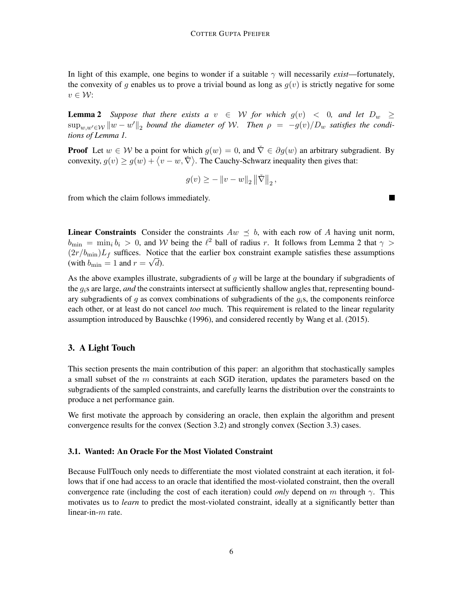In light of this example, one begins to wonder if a suitable  $\gamma$  will necessarily *exist*—fortunately, the convexity of q enables us to prove a trivial bound as long as  $q(v)$  is strictly negative for some  $v \in \mathcal{W}$ :

<span id="page-5-1"></span>**Lemma 2** Suppose that there exists a  $v \in W$  for which  $g(v) < 0$ , and let  $D_w \ge$  $\sup_{w,w'\in\mathcal{W}}\|w-w'\|_2$  bound the diameter of W. Then  $\rho = -g(v)/D_w$  satisfies the condi*tions of Lemma [1.](#page-3-1)*

**Proof** Let  $w \in \mathcal{W}$  be a point for which  $q(w) = 0$ , and  $\tilde{\nabla} \in \partial q(w)$  an arbitrary subgradient. By convexity,  $g(v) \ge g(w) + \langle v - w, \check{\nabla} \rangle$ . The Cauchy-Schwarz inequality then gives that:

$$
g(v) \geq -||v - w||_2 ||\check{\nabla}||_2
$$
,

from which the claim follows immediately.

**Linear Constraints** Consider the constraints  $Aw \leq b$ , with each row of A having unit norm,  $b_{\min} = \min_i b_i > 0$ , and W being the  $\ell^2$  ball of radius r. It follows from Lemma [2](#page-5-1) that  $\gamma >$  $(2r/b<sub>min</sub>)L<sub>f</sub>$  suffices. Notice that the earlier box constraint example satisfies these assumptions (with  $b_{\min} = 1$  and  $r = \sqrt{d}$ ).

As the above examples illustrate, subgradients of  $g$  will be large at the boundary if subgradients of the  $g_i$ s are large, *and* the constraints intersect at sufficiently shallow angles that, representing boundary subgradients of  $g$  as convex combinations of subgradients of the  $g_i$ s, the components reinforce each other, or at least do not cancel *too* much. This requirement is related to the linear regularity assumption introduced by [Bauschke](#page-21-7) [\(1996\)](#page-21-7), and considered recently by [Wang et al.](#page-22-5) [\(2015\)](#page-22-5).

#### <span id="page-5-0"></span>3. A Light Touch

This section presents the main contribution of this paper: an algorithm that stochastically samples a small subset of the  $m$  constraints at each SGD iteration, updates the parameters based on the subgradients of the sampled constraints, and carefully learns the distribution over the constraints to produce a net performance gain.

We first motivate the approach by considering an oracle, then explain the algorithm and present convergence results for the convex (Section [3.2\)](#page-6-1) and strongly convex (Section [3.3\)](#page-9-0) cases.

#### 3.1. Wanted: An Oracle For the Most Violated Constraint

Because [FullTouch](#page-3-0) only needs to differentiate the most violated constraint at each iteration, it follows that if one had access to an oracle that identified the most-violated constraint, then the overall convergence rate (including the cost of each iteration) could *only* depend on m through  $\gamma$ . This motivates us to *learn* to predict the most-violated constraint, ideally at a significantly better than linear-in-m rate.

■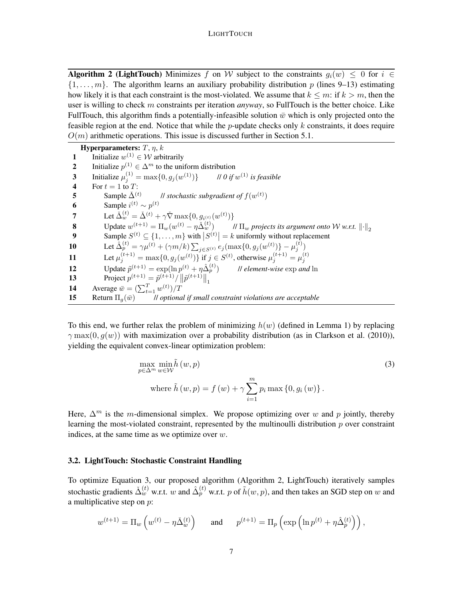Algorithm 2 (LightTouch) Minimizes f on W subject to the constraints  $g_i(w) \leq 0$  for  $i \in$  $\{1, \ldots, m\}$ . The algorithm learns an auxiliary probability distribution p (lines 9–13) estimating how likely it is that each constraint is the most-violated. We assume that  $k \leq m$ : if  $k > m$ , then the user is willing to check m constraints per iteration *anyway*, so [FullTouch](#page-3-0) is the better choice. Like [FullTouch,](#page-3-0) this algorithm finds a potentially-infeasible solution  $\bar{w}$  which is only projected onto the feasible region at the end. Notice that while the *p*-update checks only  $k$  constraints, it does require  $O(m)$  arithmetic operations. This issue is discussed further in Section [5.1.](#page-13-1)

Hyperparameters:  $T$ ,  $\eta$ ,  $k$ 1 Initialize  $w^{(1)} \in W$  arbitrarily 2 Initialize  $p^{(1)} \in \Delta^m$  to the uniform distribution **3** Initialize  $\mu_j^{(1)} = \max\{0, g_j(w^{(1)})\}$  // 0 if  $w^{(1)}$  is feasible 4 For  $t = 1$  to T: 5 Sample  $\check{\Delta}^{(t)}$ *ll stochastic subgradient of*  $f(w^{(t)})$ 6 Sample  $i^{(t)} \sim p^{(t)}$ 7 Let  $\check{\Delta}_{w}^{(t)} = \check{\Delta}_{w}^{(t)} + \gamma \check{\nabla} \max\{0, g_{i^{(t)}}(w^{(t)})\}$ **8** Update  $w^{(t+1)} = \Pi_w(w^{(t)} - \eta \Delta_w^{(t)})$  $\mathcal{W}$  $\Pi_w$  *projects its argument onto W w.r.t.*  $\left\|\cdot\right\|_2$ 9 Sample  $S^{(t)} \subseteq \{1, \ldots, m\}$  with  $|S^{(t)}| = k$  uniformly without replacement 10 Let  $\hat{\Delta}_p^{(t)} = \gamma \mu^{(t)} + (\gamma m/k) \sum_{j \in S^{(t)}} e_j(\max\{0, g_j(w^{(t)})\} - \mu_j^{(t)})$ 11 Let  $\mu_j^{(t+1)} = \max\{0, g_j(w^{(t)})\}$  if  $j \in S^{(t)}$ , otherwise  $\mu_j^{(t+1)} = \mu_j^{(t)}$ 12 Update  $\tilde{p}^{(t+1)} = \exp(\ln p^{(t)} + \eta \hat{\Delta}_p^{(t)})$ <sup>p</sup> ) // *element-wise* exp *and* ln 13 Project  $p^{(t+1)} = \tilde{p}^{(t+1)}/\|\tilde{p}^{(t+1)}\|_1$ **14** Average  $\bar{w} = (\sum_{t=1}^{T} w^{(t)})/T$ 15 Return  $\Pi_q(\bar{w})$  // *optional if small constraint violations are acceptable* 

<span id="page-6-0"></span>To this end, we further relax the problem of minimizing  $h(w)$  (defined in Lemma [1\)](#page-3-1) by replacing  $\gamma$  max(0,  $q(w)$ ) with maximization over a probability distribution (as in [Clarkson et al.](#page-21-8) [\(2010\)](#page-21-8)), yielding the equivalent convex-linear optimization problem:

<span id="page-6-2"></span>
$$
\max_{p \in \Delta^m} \min_{w \in \mathcal{W}} \tilde{h}(w, p) \n\text{where } \tilde{h}(w, p) = f(w) + \gamma \sum_{i=1}^m p_i \max\{0, g_i(w)\}.
$$
\n(3)

Here,  $\Delta^m$  is the m-dimensional simplex. We propose optimizing over w and p jointly, thereby learning the most-violated constraint, represented by the multinoulli distribution  $p$  over constraint indices, at the same time as we optimize over  $w$ .

#### <span id="page-6-1"></span>3.2. LightTouch: Stochastic Constraint Handling

To optimize Equation [3,](#page-6-2) our proposed algorithm (Algorithm [2,](#page-6-0) LightTouch) iteratively samples stochastic gradients  $\check{\Delta}_{w}^{(t)}$  w.r.t.  $w$  and  $\hat{\Delta}_{p}^{(t)}$  w.r.t.  $p$  of  $\tilde{h}(w,p)$ , and then takes an SGD step on  $w$  and a multiplicative step on p:

$$
w^{(t+1)} = \Pi_w \left( w^{(t)} - \eta \check{\Delta}_w^{(t)} \right) \quad \text{and} \quad p^{(t+1)} = \Pi_p \left( \exp \left( \ln p^{(t)} + \eta \hat{\Delta}_p^{(t)} \right) \right),
$$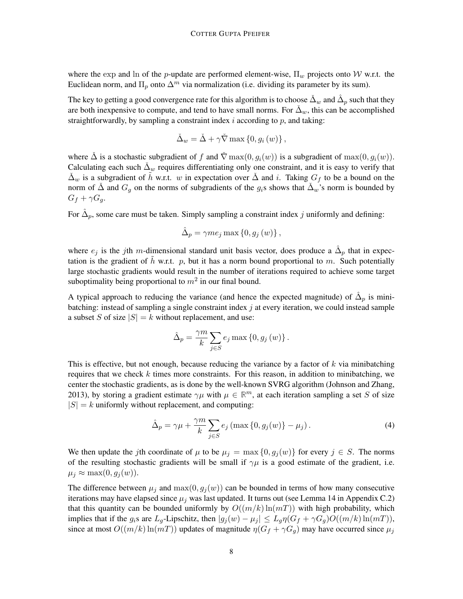where the exp and ln of the p-update are performed element-wise,  $\Pi_w$  projects onto W w.r.t. the Euclidean norm, and  $\Pi_p$  onto  $\Delta^m$  via normalization (i.e. dividing its parameter by its sum).

The key to getting a good convergence rate for this algorithm is to choose  $\check{\Delta}_w$  and  $\hat{\Delta}_p$  such that they are both inexpensive to compute, and tend to have small norms. For  $\Delta_w$ , this can be accomplished straightforwardly, by sampling a constraint index  $i$  according to  $p$ , and taking:

$$
\check{\Delta}_{w} = \check{\Delta} + \gamma \check{\nabla} \max \left\{ 0, g_i \left( w \right) \right\},\
$$

where  $\Delta$  is a stochastic subgradient of f and  $\nabla$  max $(0, g_i(w))$  is a subgradient of max $(0, g_i(w))$ . Calculating each such  $\Delta_w$  requires differentiating only one constraint, and it is easy to verify that  $\Delta_w$  is a subgradient of h w.r.t. w in expectation over  $\Delta$  and i. Taking  $G_f$  to be a bound on the norm of  $\check{\Delta}$  and  $G_g$  on the norms of subgradients of the  $g_i$ s shows that  $\check{\Delta}_w$ 's norm is bounded by  $G_f + \gamma G_q$ .

For  $\hat{\Delta}_p$ , some care must be taken. Simply sampling a constraint index j uniformly and defining:

$$
\hat{\Delta}_p = \gamma m e_j \max\left\{0, g_j(w)\right\},\,
$$

where  $e_j$  is the jth m-dimensional standard unit basis vector, does produce a  $\hat{\Delta}_p$  that in expectation is the gradient of  $\tilde{h}$  w.r.t. p, but it has a norm bound proportional to m. Such potentially large stochastic gradients would result in the number of iterations required to achieve some target suboptimality being proportional to  $m^2$  in our final bound.

A typical approach to reducing the variance (and hence the expected magnitude) of  $\hat{\Delta}_p$  is minibatching: instead of sampling a single constraint index  $j$  at every iteration, we could instead sample a subset S of size  $|S| = k$  without replacement, and use:

$$
\hat{\Delta}_p = \frac{\gamma m}{k} \sum_{j \in S} e_j \max\left\{0, g_j(w)\right\}.
$$

This is effective, but not enough, because reducing the variance by a factor of  $k$  via minibatching requires that we check  $k$  times more constraints. For this reason, in addition to minibatching, we center the stochastic gradients, as is done by the well-known SVRG algorithm [\(Johnson and Zhang,](#page-21-6) [2013\)](#page-21-6), by storing a gradient estimate  $\gamma\mu$  with  $\mu \in \mathbb{R}^m$ , at each iteration sampling a set S of size  $|S| = k$  uniformly without replacement, and computing:

<span id="page-7-0"></span>
$$
\hat{\Delta}_p = \gamma \mu + \frac{\gamma m}{k} \sum_{j \in S} e_j \left( \max \left\{ 0, g_j(w) \right\} - \mu_j \right). \tag{4}
$$

We then update the jth coordinate of  $\mu$  to be  $\mu_j = \max\{0, g_j(w)\}\$  for every  $j \in S$ . The norms of the resulting stochastic gradients will be small if  $\gamma\mu$  is a good estimate of the gradient, i.e.  $\mu_j \approx \max(0, g_j(w)).$ 

The difference between  $\mu_j$  and  $\max(0, g_j(w))$  can be bounded in terms of how many consecutive iterations may have elapsed since  $\mu_i$  was last updated. It turns out (see Lemma [14](#page-32-0) in Appendix [C.2\)](#page-32-1) that this quantity can be bounded uniformly by  $O((m/k) \ln(mT))$  with high probability, which implies that if the  $g_i$ s are  $L_g$ -Lipschitz, then  $|g_j(w) - \mu_j| \le L_g \eta(G_f + \gamma G_g)O((m/k)\ln(mT)),$ since at most  $O((m/k) \ln(mT))$  updates of magnitude  $\eta(G_f + \gamma G_q)$  may have occurred since  $\mu_i$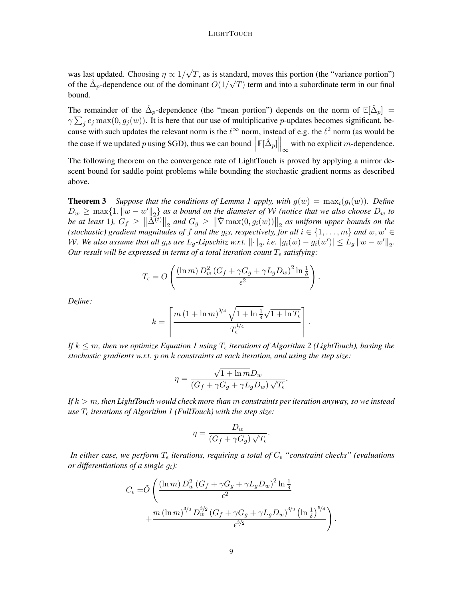was last updated. Choosing  $\eta \propto 1/$ √  $T$ , as is standard, moves this portion (the "variance portion") of the  $\hat{\Delta}_p$ -dependence out of the dominant  $O(1/\sqrt{T})$  term and into a subordinate term in our final bound.

The remainder of the  $\hat{\Delta}_p$ -dependence (the "mean portion") depends on the norm of  $\mathbb{E}[\hat{\Delta}_p] =$  $\gamma \sum_j e_j \max(0, g_j(w))$ . It is here that our use of multiplicative p-updates becomes significant, because with such updates the relevant norm is the  $\ell^{\infty}$  norm, instead of e.g. the  $\ell^2$  norm (as would be the case if we updated p using SGD), thus we can bound  $\parallel$  $\mathbb{E}[\hat{\Delta}_p]$  with no explicit *m*-dependence.

The following theorem on the convergence rate of [LightTouch](#page-6-0) is proved by applying a mirror descent bound for saddle point problems while bounding the stochastic gradient norms as described above.

<span id="page-8-0"></span>**Theorem 3** *Suppose that the conditions of Lemma [1](#page-3-1) apply, with*  $g(w) = \max_i(g_i(w))$ *. Define*  $D_w \ge \max\{1, \|w - w'\|_2\}$  as a bound on the diameter of W *(notice that we also choose*  $D_w$  to *be at least* 1),  $G_f \ge ||\tilde{\Delta}^{(t)}||_2$  and  $G_g \ge ||\tilde{\nabla} \max(0, g_i(w))||_2$  as uniform upper bounds on the *(stochastic) gradient magnitudes of f and the*  $g_i$ *s, respectively, for all*  $i \in \{1, \ldots, m\}$  *and*  $w, w' \in$ *W.* We also assume that all  $g_i$ s are  $L_g$ -Lipschitz w.r.t.  $\lVert \cdot \rVert_2$ , i.e.  $|g_i(w) - g_i(w')| \leq L_g \lVert w - w' \rVert_2$ . *Our result will be expressed in terms of a total iteration count*  $T_{\epsilon}$  satisfying:

$$
T_{\epsilon} = O\left(\frac{(\ln m) D_w^2 (G_f + \gamma G_g + \gamma L_g D_w)^2 \ln \frac{1}{\delta}}{\epsilon^2}\right).
$$

*Define:*

$$
k = \left\lceil \frac{m\left(1 + \ln m\right)^{3/4}\sqrt{1 + \ln \frac{1}{\delta}}\sqrt{1 + \ln T_{\epsilon}}}{T_{\epsilon}^{1/4}}\right\rceil
$$

.

.

*If*  $k \leq m$ , then we optimize Equation [1](#page-2-1) using  $T_{\epsilon}$  iterations of Algorithm [2](#page-6-0) (LightTouch), basing the *stochastic gradients w.r.t.* p *on* k *constraints at each iteration, and using the step size:*

$$
\eta = \frac{\sqrt{1 + \ln m} D_w}{(G_f + \gamma G_g + \gamma L_g D_w) \sqrt{T_{\epsilon}}}
$$

*If* k > m*, then [LightTouch](#page-6-0) would check more than* m *constraints per iteration anyway, so we instead use*  $T_{\epsilon}$  *iterations of Algorithm [1](#page-3-0) (FullTouch) with the step size:* 

$$
\eta = \frac{D_w}{(G_f + \gamma G_g)\sqrt{T_{\epsilon}}}.
$$

*In either case, we perform*  $T_{\epsilon}$  *iterations, requiring a total of*  $C_{\epsilon}$  "*constraint checks*" (*evaluations or differentiations of a single* gi*):*

$$
C_{\epsilon} = \tilde{O}\left(\frac{(\ln m) D_w^2 (G_f + \gamma G_g + \gamma L_g D_w)^2 \ln \frac{1}{\delta}}{\epsilon^2} + \frac{m (\ln m)^{3/2} D_w^{3/2} (G_f + \gamma G_g + \gamma L_g D_w)^{3/2} (\ln \frac{1}{\delta})^{5/4}}{\epsilon^{3/2}}\right).
$$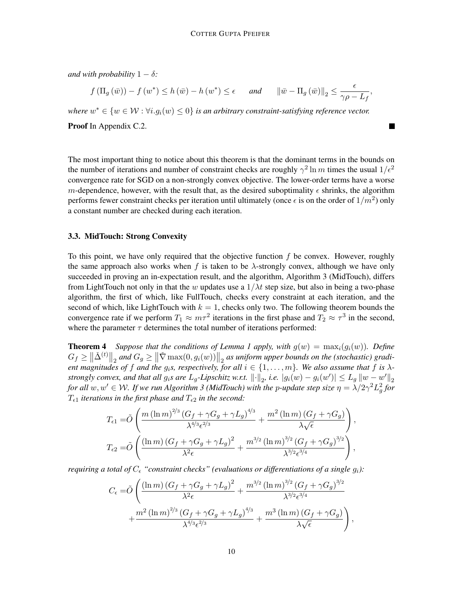*and with probability*  $1 - \delta$ *:* 

$$
f(\Pi_g(\bar{w})) - f(w^*) \le h(\bar{w}) - h(w^*) \le \epsilon
$$
 and  $\|\bar{w} - \Pi_g(\bar{w})\|_2 \le \frac{\epsilon}{\gamma \rho - L_f}$ 

,

where  $w^* \in \{w \in \mathcal{W} : \forall i. g_i(w) \leq 0\}$  *is an arbitrary constraint-satisfying reference vector.* Proof In Appendix [C.2.](#page-35-0)

The most important thing to notice about this theorem is that the dominant terms in the bounds on

the number of iterations and number of constraint checks are roughly  $\gamma^2 \ln m$  times the usual  $1/\epsilon^2$ convergence rate for SGD on a non-strongly convex objective. The lower-order terms have a worse m-dependence, however, with the result that, as the desired suboptimality  $\epsilon$  shrinks, the algorithm performs fewer constraint checks per iteration until ultimately (once  $\epsilon$  is on the order of  $1/m^2$ ) only a constant number are checked during each iteration.

# <span id="page-9-0"></span>3.3. MidTouch: Strong Convexity

To this point, we have only required that the objective function  $f$  be convex. However, roughly the same approach also works when f is taken to be  $\lambda$ -strongly convex, although we have only succeeded in proving an in-expectation result, and the algorithm, Algorithm [3](#page-10-0) [\(MidTouch\)](#page-10-0), differs from [LightTouch](#page-6-0) not only in that the w updates use a  $1/\lambda t$  step size, but also in being a two-phase algorithm, the first of which, like [FullTouch,](#page-3-0) checks every constraint at each iteration, and the second of which, like [LightTouch](#page-6-0) with  $k = 1$ , checks only two. The following theorem bounds the convergence rate if we perform  $T_1 \approx m\tau^2$  iterations in the first phase and  $T_2 \approx \tau^3$  in the second, where the parameter  $\tau$  determines the total number of iterations performed:

<span id="page-9-1"></span>**Theorem 4** Suppose that the conditions of Lemma [1](#page-3-1) apply, with  $g(w) = \max_i(g_i(w))$ . Define  $G_f \geq \left\|\check{\Delta}^{(t)}\right\|_2$  and  $G_g \geq \left\|\check{\nabla} \max(0,g_i(w))\right\|_2$  as uniform upper bounds on the (stochastic) gradi*ent magnitudes of* f and the  $g_i$ s, respectively, for all  $i \in \{1, \ldots, m\}$ . We also assume that f is  $\lambda$ *strongly convex, and that all*  $g_i$ *s are*  $L_g$ -*Lipschitz w.r.t.*  $\lVert \cdot \rVert_2$ , *i.e.*  $|g_i(w) - g_i(w')| \le L_g \lVert w - w' \rVert_2$ *for all*  $w, w' \in W$ . If we run Algorithm [3](#page-10-0) (MidTouch) with the p-update step size  $\eta = \lambda/2\gamma^2L_g^2$  for  $T_{\epsilon 1}$  *iterations in the first phase and*  $T_{\epsilon 2}$  *in the second:* 

$$
T_{\epsilon 1} = \tilde{O}\left(\frac{m\left(\ln m\right)^{2/3}\left(G_f + \gamma G_g + \gamma L_g\right)^{4/3}}{\lambda^{4/3}\epsilon^{2/3}} + \frac{m^2\left(\ln m\right)\left(G_f + \gamma G_g\right)}{\lambda\sqrt{\epsilon}}\right),
$$
  

$$
T_{\epsilon 2} = \tilde{O}\left(\frac{\left(\ln m\right)\left(G_f + \gamma G_g + \gamma L_g\right)^2}{\lambda^2\epsilon} + \frac{m^{3/2}\left(\ln m\right)^{3/2}\left(G_f + \gamma G_g\right)^{3/2}}{\lambda^{3/2}\epsilon^{3/4}}\right),
$$

*requiring a total of*  $C_{\epsilon}$  "*constraint checks*" (evaluations or differentiations of a single  $g_i$ ):

$$
C_{\epsilon} = \tilde{O}\left(\frac{(\ln m) (G_f + \gamma G_g + \gamma L_g)^2}{\lambda^2 \epsilon} + \frac{m^{3/2} (\ln m)^{3/2} (G_f + \gamma G_g)^{3/2}}{\lambda^{3/2} \epsilon^{3/4}} + \frac{m^2 (\ln m)^{2/3} (G_f + \gamma G_g + \gamma L_g)^{4/3}}{\lambda^{4/3} \epsilon^{2/3}} + \frac{m^3 (\ln m) (G_f + \gamma G_g)}{\lambda \sqrt{\epsilon}}\right),
$$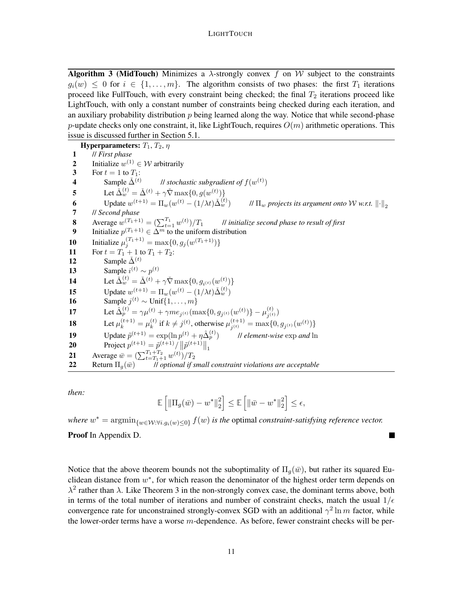**Algorithm 3 (MidTouch)** Minimizes a  $\lambda$ -strongly convex f on W subject to the constraints  $g_i(w) \leq 0$  for  $i \in \{1, \ldots, m\}$ . The algorithm consists of two phases: the first  $T_1$  iterations proceed like [FullTouch,](#page-3-0) with every constraint being checked; the final  $T_2$  iterations proceed like [LightTouch,](#page-6-0) with only a constant number of constraints being checked during each iteration, and an auxiliary probability distribution  $p$  being learned along the way. Notice that while second-phase p-update checks only one constraint, it, like [LightTouch,](#page-6-0) requires  $O(m)$  arithmetic operations. This issue is discussed further in Section [5.1.](#page-13-1)

Hyperparameters:  $T_1, T_2, \eta$ 1 // *First phase* 2 Initialize  $w^{(1)} \in W$  arbitrarily 3 For  $t = 1$  to  $T_1$ : 4 Sample  $\tilde{\Delta}^{(t)}$ *ll stochastic subgradient of*  $f(w^{(t)})$ 5 Let  $\check{\Delta}_{w}^{(t)} = \check{\Delta}_{w}^{(t)} + \gamma \check{\nabla} \max\{0, g(w^{(t)})\}$ **6** Update  $w^{(t+1)} = \Pi_w(w^{(t)} - (1/\lambda t)\Delta_w^{(t)}$  $\mathcal{W}$  *II<sub>w</sub> projects its argument onto W w.r.t.*  $\left\Vert \cdot \right\Vert$ <sub>2</sub> 7 // *Second phase* **8** Average  $w(T_1+1) = (\sum_{t=1}^{T_1} w^{(t)})$ )/T<sup>1</sup> // *initialize second phase to result of first* 9 Initialize  $p^{(T_1+1)} \in \Delta^m$  to the uniform distribution **10** Initialize  $\mu_j^{(T_1+1)} = \max\{0, g_j(w^{(T_1+1)})\}$ 11 For  $t = T_1 + 1$  to  $T_1 + T_2$ : 12 Sample  $\check{\Delta}^{(t)}$ 13 Sample  $i^{(t)} \sim p^{(t)}$ 14 Let  $\check{\Delta}_{w}^{(t)} = \check{\Delta}^{(t)} + \gamma \check{\nabla} \max\{0, g_{i^{(t)}}(w^{(t)})\}$ **15** Update  $w^{(t+1)} = \Pi_w(w^{(t)} - (1/\lambda t)\tilde{\Delta}_w^{(t)})$ 16 Sample  $j^{(t)} \sim \text{Unif}\{1,\ldots,m\}$ 17 Let  $\hat{\Delta}_p^{(t)} = \gamma \mu^{(t)} + \gamma m e_{j^{(t)}} (\max\{0, g_{j^{(t)}}(w^{(t)})\} - \mu_{j^{(t)}}^{(t)})$  $\binom{(t)}{j^{(t)}}$ **18** Let  $\mu_k^{(t+1)} = \mu_k^{(t)}$  $\mu_k^{(t)}$  if  $k \neq j^{(t)}$ , otherwise  $\mu_{j^{(t)}}^{(t+1)}$  $\hat{g}^{(t+1)}_{j^{(t)}} = \max\{0, g_{j^{(t)}}(w^{(t)})\}$ 19 Update  $\tilde{p}^{(t+1)} = \exp(\ln p^{(t)} + \eta \hat{\Delta}_p^{(t)})$ <sup>p</sup> ) // *element-wise* exp *and* ln 20 Project  $p^{(t+1)} = \tilde{p}^{(t+1)}/||\tilde{p}^{(t+1)}||_1$ **21** Average  $\bar{w} = \left( \sum_{t=T_1+1}^{T_1+T_2} w^{(t)} \right) / T_2$ 22 Return  $\Pi_a(\bar{w})$  *// optional if small constraint violations are acceptable* 

<span id="page-10-0"></span>*then:*

$$
\mathbb{E}\left[\|\Pi_g(\bar{w})-w^*\|_2^2\right]\leq \mathbb{E}\left[\|\bar{w}-w^*\|_2^2\right]\leq \epsilon,
$$

where  $w^* = \arg\min_{\{w \in \mathcal{W}: \forall i, g_i(w) \le 0\}} f(w)$  *is the optimal constraint-satisfying reference vector.* Proof In Appendix [D.](#page-40-0)

Notice that the above theorem bounds not the suboptimality of  $\Pi_q(\bar{w})$ , but rather its squared Euclidean distance from  $w^*$ , for which reason the denominator of the highest order term depends on  $\lambda^2$  rather than  $\lambda$ . Like Theorem [3](#page-8-0) in the non-strongly convex case, the dominant terms above, both in terms of the total number of iterations and number of constraint checks, match the usual  $1/\epsilon$ convergence rate for unconstrained strongly-convex SGD with an additional  $\gamma^2 \ln m$  factor, while the lower-order terms have a worse  $m$ -dependence. As before, fewer constraint checks will be per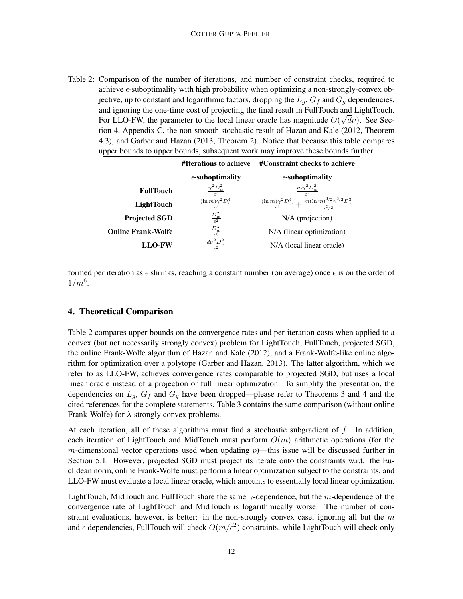<span id="page-11-1"></span>Table 2: Comparison of the number of iterations, and number of constraint checks, required to achieve  $\epsilon$ -suboptimality with high probability when optimizing a non-strongly-convex objective, up to constant and logarithmic factors, dropping the  $L_q$ ,  $G_f$  and  $G_q$  dependencies, and ignoring the one-time cost of projecting the final result in [FullTouch](#page-3-0) and [LightTouch.](#page-6-0) For LLO-FW, the parameter to the local linear oracle has magnitude  $O(\sqrt{d\nu})$ . See Section [4,](#page-11-0) Appendix [C,](#page-29-0) the non-smooth stochastic result of [Hazan and Kale](#page-21-3) [\(2012,](#page-21-3) Theorem 4.3), and [Garber and Hazan](#page-21-9) [\(2013,](#page-21-9) Theorem 2). Notice that because this table compares upper bounds to upper bounds, subsequent work may improve these bounds further.

|                           | #Iterations to achieve                  | #Constraint checks to achieve                                                                         |
|---------------------------|-----------------------------------------|-------------------------------------------------------------------------------------------------------|
|                           | $\epsilon$ -suboptimality               | $\epsilon$ -suboptimality                                                                             |
| <b>FullTouch</b>          | $\frac{\gamma^2 D_w^2}{\epsilon^2}$     | $m\gamma^2D_w^2$                                                                                      |
| <b>LightTouch</b>         | $(\ln m)\gamma^2 D_w^4$<br>$\epsilon^2$ | $\frac{(\ln m)\gamma^2 D_w^4}{\epsilon^2} + \frac{m(\ln m)^{3/2} \gamma^{3/2} D_w^3}{\epsilon^{3/2}}$ |
| <b>Projected SGD</b>      | $\frac{D_w^2}{\epsilon^2}$              | $N/A$ (projection)                                                                                    |
| <b>Online Frank-Wolfe</b> | $\frac{D_w^3}{\epsilon^3}$              | N/A (linear optimization)                                                                             |
| <b>LLO-FW</b>             | $\frac{d\nu^2 D_w^2}{\epsilon^2}$       | N/A (local linear oracle)                                                                             |

formed per iteration as  $\epsilon$  shrinks, reaching a constant number (on average) once  $\epsilon$  is on the order of  $1/m^6$ .

# <span id="page-11-0"></span>4. Theoretical Comparison

Table [2](#page-11-1) compares upper bounds on the convergence rates and per-iteration costs when applied to a convex (but not necessarily strongly convex) problem for [LightTouch,](#page-6-0) [FullTouch,](#page-3-0) projected SGD, the online Frank-Wolfe algorithm of [Hazan and Kale](#page-21-3) [\(2012\)](#page-21-3), and a Frank-Wolfe-like online algorithm for optimization over a polytope [\(Garber and Hazan, 2013\)](#page-21-9). The latter algorithm, which we refer to as LLO-FW, achieves convergence rates comparable to projected SGD, but uses a local linear oracle instead of a projection or full linear optimization. To simplify the presentation, the dependencies on  $L_g$ ,  $G_f$  and  $G_g$  have been dropped—please refer to Theorems [3](#page-8-0) and [4](#page-9-1) and the cited references for the complete statements. Table [3](#page-12-0) contains the same comparison (without online Frank-Wolfe) for  $\lambda$ -strongly convex problems.

At each iteration, all of these algorithms must find a stochastic subgradient of  $f$ . In addition, each iteration of [LightTouch](#page-6-0) and [MidTouch](#page-10-0) must perform  $O(m)$  arithmetic operations (for the m-dimensional vector operations used when updating  $p$ )—this issue will be discussed further in Section [5.1.](#page-13-1) However, projected SGD must project its iterate onto the constraints w.r.t. the Euclidean norm, online Frank-Wolfe must perform a linear optimization subject to the constraints, and LLO-FW must evaluate a local linear oracle, which amounts to essentially local linear optimization.

[LightTouch,](#page-6-0) [MidTouch](#page-10-0) and [FullTouch](#page-3-0) share the same  $\gamma$ -dependence, but the m-dependence of the convergence rate of [LightTouch](#page-6-0) and [MidTouch](#page-10-0) is logarithmically worse. The number of constraint evaluations, however, is better: in the non-strongly convex case, ignoring all but the  $m$ and  $\epsilon$  dependencies, [FullTouch](#page-3-0) will check  $O(m/\epsilon^2)$  constraints, while [LightTouch](#page-6-0) will check only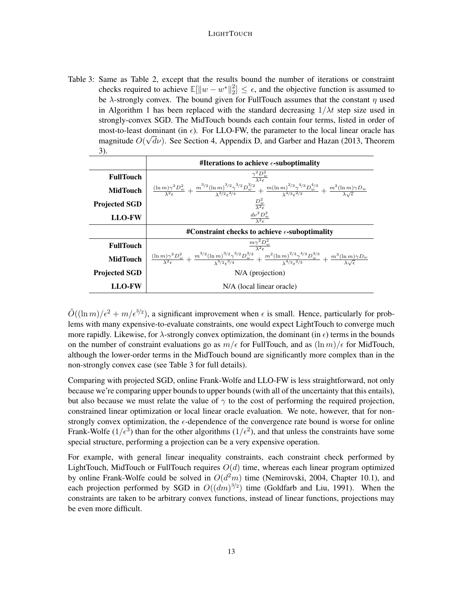<span id="page-12-0"></span>Table 3: Same as Table [2,](#page-11-1) except that the results bound the number of iterations or constraint checks required to achieve  $\mathbb{E}[\|w - w^*\|_2^2]$  $\left[2\right] \leq \epsilon$ , and the objective function is assumed to be  $\lambda$ -strongly convex. The bound given for [FullTouch](#page-3-0) assumes that the constant  $\eta$  used in Algorithm [1](#page-3-0) has been replaced with the standard decreasing  $1/\lambda t$  step size used in strongly-convex SGD. The [MidTouch](#page-10-0) bounds each contain four terms, listed in order of most-to-least dominant (in  $\epsilon$ ). For LLO-FW, the parameter to the local linear oracle has magnitude  $O(\sqrt{d\nu})$ . See Section [4,](#page-11-0) Appendix [D,](#page-37-0) and [Garber and Hazan](#page-21-9) [\(2013,](#page-21-9) Theorem 3).

|                      | #Iterations to achieve $\epsilon$ -suboptimality                                                                                                                                                                                                 |  |  |
|----------------------|--------------------------------------------------------------------------------------------------------------------------------------------------------------------------------------------------------------------------------------------------|--|--|
| <b>FullTouch</b>     | $\frac{\gamma^2 D_w^2}{\lambda^2 \epsilon}$                                                                                                                                                                                                      |  |  |
| <b>MidTouch</b>      | $\frac{(\ln m)\gamma^2 D_w^2}{\lambda^2 \epsilon} + \frac{m^{3/2}(\ln m)^{3/2} \gamma^{3/2} D_w^{3/2}}{N^{3/2} \epsilon^{3/4}} + \frac{m(\ln m)^{2/3} \gamma^{4/3} D_w^{4/3}}{N^{4/3} \epsilon^{2/3}} + \frac{m^2(\ln m)\gamma D_w}{N \epsilon}$ |  |  |
| <b>Projected SGD</b> | $\frac{D_w^2}{\lambda^2 \epsilon}$                                                                                                                                                                                                               |  |  |
| <b>LLO-FW</b>        | $\frac{d\nu^2 D_w^2}{\lambda^2 \epsilon}$                                                                                                                                                                                                        |  |  |
|                      | $\#$ Constraint checks to achieve $\epsilon$ -suboptimality                                                                                                                                                                                      |  |  |
| <b>FullTouch</b>     | $\frac{m\gamma^2 D_w^2}{\lambda^2 \epsilon}$                                                                                                                                                                                                     |  |  |
| <b>MidTouch</b>      | $\frac{(\ln m)\gamma^2 D_w^2}{2Z} + \frac{m^{3/2}(\ln m)^{3/2} \gamma^{3/2} D_w^{3/2}}{2^{3/2}} + \frac{m^2(\ln m)^{2/3} \gamma^{4/3} D_w^{4/3}}{2^{4/3} \gamma^{2/3}} + \frac{m^3(\ln m)\gamma D_w}{2\sqrt{\gamma}}$                            |  |  |
| <b>Projected SGD</b> | $N/A$ (projection)                                                                                                                                                                                                                               |  |  |
| <b>LLO-FW</b>        | N/A (local linear oracle)                                                                                                                                                                                                                        |  |  |

 $\tilde{O}((\ln m)/\epsilon^2 + m/\epsilon^{3/2})$ , a significant improvement when  $\epsilon$  is small. Hence, particularly for problems with many expensive-to-evaluate constraints, one would expect [LightTouch](#page-6-0) to converge much more rapidly. Likewise, for  $\lambda$ -strongly convex optimization, the dominant (in  $\epsilon$ ) terms in the bounds on the number of constraint evaluations go as  $m/\epsilon$  for [FullTouch,](#page-3-0) and as  $(\ln m)/\epsilon$  for [MidTouch,](#page-10-0) although the lower-order terms in the [MidTouch](#page-10-0) bound are significantly more complex than in the non-strongly convex case (see Table [3](#page-12-0) for full details).

Comparing with projected SGD, online Frank-Wolfe and LLO-FW is less straightforward, not only because we're comparing upper bounds to upper bounds (with all of the uncertainty that this entails), but also because we must relate the value of  $\gamma$  to the cost of performing the required projection, constrained linear optimization or local linear oracle evaluation. We note, however, that for nonstrongly convex optimization, the  $\epsilon$ -dependence of the convergence rate bound is worse for online Frank-Wolfe ( $1/\epsilon^3$ ) than for the other algorithms ( $1/\epsilon^2$ ), and that unless the constraints have some special structure, performing a projection can be a very expensive operation.

For example, with general linear inequality constraints, each constraint check performed by [LightTouch,](#page-6-0) [MidTouch](#page-10-0) or [FullTouch](#page-3-0) requires  $O(d)$  time, whereas each linear program optimized by online Frank-Wolfe could be solved in  $O(d^2m)$  time [\(Nemirovski, 2004,](#page-21-10) Chapter 10.1), and each projection performed by SGD in  $O((dm)^{3/2})$  time [\(Goldfarb and Liu, 1991\)](#page-21-11). When the constraints are taken to be arbitrary convex functions, instead of linear functions, projections may be even more difficult.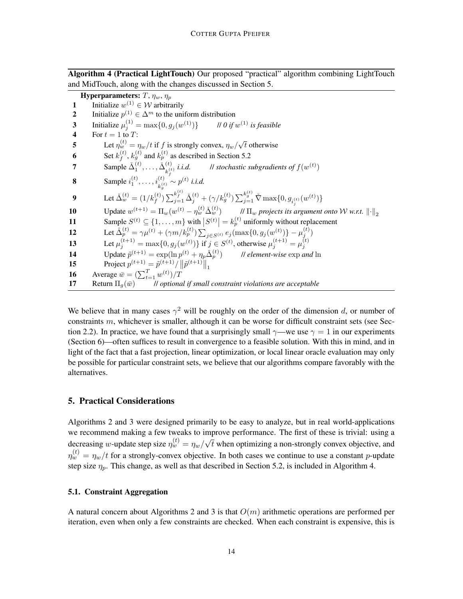Algorithm 4 (Practical LightTouch) Our proposed "practical" algorithm combining [LightTouch](#page-6-0) and [MidTouch,](#page-10-0) along with the changes discussed in Section [5.](#page-13-0)

**Hyperparameters:**  $T$ ,  $\eta_w$ ,  $\eta_p$ 1 Initialize  $w^{(1)} \in W$  arbitrarily 2 Initialize  $p^{(1)} \in \Delta^m$  to the uniform distribution **3** Initialize  $\mu_j^{(1)} = \max\{0, g_j(w)\}$  $(1)$ } // 0 if  $w^{(1)}$  is feasible 4 For  $t = 1$  to T: 5 Let  $\eta_w^{(t)} = \eta_w/t$  if f is strongly convex,  $\eta_w$ / √  $t$  otherwise 6 Set  $k_f^{(t)}$  $f_f^{(t)}$ ,  $k_g^{(t)}$  and  $k_p^{(t)}$  as described in Section [5.2](#page-14-0) 7 Sample  $\check{\Delta}_1^{(t)}, \ldots, \check{\Delta}_{k}^{(t)}$  $\begin{array}{lll} (t) & i.i.d. & \text{// stochastic subgradients of } f(w^{(t)}) \end{array}$ **8** Sample  $i_1^{(t)}, \ldots, i_{k_g^{(t)}}^{(t)} \sim p^{(t)}$  *i.i.d.* 9 Let  $\check{\Delta}_{w}^{(t)} = (1/k_f^{(t)}) \sum_{j=1}^{k_f^{(t)}} \check{\Delta}_j^{(t)} + (\gamma/k_g^{(t)}) \sum_{j=1}^{k_g^{(t)}} \check{\nabla} \max\{0, g_{i_j^{(t)}}(w^{(t)})\}$ **10** Update  $w^{(t+1)} = \Pi_w(w^{(t)} - \eta_w^{(t)} \Delta_w^{(t)})$ *II*  $\Pi_w$  projects its argument onto W w.r.t.  $\lVert \cdot \rVert_2$ 11 Sample  $S^{(t)} \subseteq \{1, \ldots, m\}$  with  $|S^{(t)}| = k_p^{(t)}$  uniformly without replacement 12 Let  $\hat{\Delta}_p^{(t)} = \gamma \mu^{(t)} + (\gamma m / k_p^{(t)}) \sum_{j \in S^{(t)}} e_j (\max\{0, g_j(w^{(t)})\} - \mu_j^{(t)})$ 13 Let  $\mu_j^{(t+1)} = \max\{0, g_j(w^{(t)})\}$  if  $j \in S^{(t)}$ , otherwise  $\mu_j^{(t+1)} = \mu_j^{(t)}$ 14 Update  $\tilde{p}^{(t+1)} = \exp(\ln p^{(t)} + \eta_p \hat{\Delta}_p^{(t)})$ <sup>p</sup> ) // *element-wise* exp *and* ln **15** Project  $p^{(t+1)} = \tilde{p}^{(t+1)}/\|\tilde{p}^{(t+1)}\|_1$ **16** Average  $\bar{w} = (\sum_{t=1}^{T} w^{(t)})/T$ 17 Return  $\Pi_q(\bar{w})$  // *optional if small constraint violations are acceptable* 

<span id="page-13-2"></span>We believe that in many cases  $\gamma^2$  will be roughly on the order of the dimension d, or number of constraints  $m$ , whichever is smaller, although it can be worse for difficult constraint sets (see Sec-tion [2.2\)](#page-4-0). In practice, we have found that a surprisingly small  $\gamma$ —we use  $\gamma = 1$  in our experiments (Section [6\)](#page-15-0)—often suffices to result in convergence to a feasible solution. With this in mind, and in light of the fact that a fast projection, linear optimization, or local linear oracle evaluation may only be possible for particular constraint sets, we believe that our algorithms compare favorably with the alternatives.

### <span id="page-13-0"></span>5. Practical Considerations

Algorithms [2](#page-6-0) and [3](#page-10-0) were designed primarily to be easy to analyze, but in real world-applications we recommend making a few tweaks to improve performance. The first of these is trivial: using a decreasing w-update step size  $\eta_w^{(t)} = \eta_w/$ √  $t$  when optimizing a non-strongly convex objective, and  $\eta_w^{(t)} = \eta_w/t$  for a strongly-convex objective. In both cases we continue to use a constant p-update step size  $\eta_p$ . This change, as well as that described in Section [5.2,](#page-14-0) is included in Algorithm [4.](#page-13-2)

# <span id="page-13-1"></span>5.1. Constraint Aggregation

A natural concern about Algorithms [2](#page-6-0) and [3](#page-10-0) is that  $O(m)$  arithmetic operations are performed per iteration, even when only a few constraints are checked. When each constraint is expensive, this is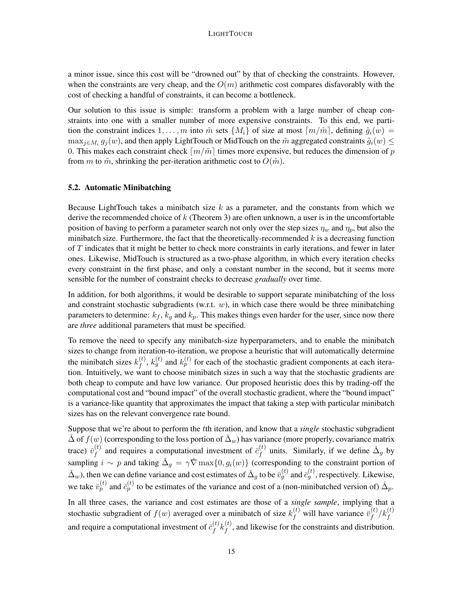a minor issue, since this cost will be "drowned out" by that of checking the constraints. However, when the constraints are very cheap, and the  $O(m)$  arithmetic cost compares disfavorably with the cost of checking a handful of constraints, it can become a bottleneck.

Our solution to this issue is simple: transform a problem with a large number of cheap constraints into one with a smaller number of more expensive constraints. To this end, we partition the constraint indices  $1, \ldots, m$  into  $\tilde{m}$  sets  $\{M_i\}$  of size at most  $\lceil m/\tilde{m} \rceil$ , defining  $\tilde{g}_i(w)$  =  $\max_{j\in M_i}g_j(w)$ , and then apply [LightTouch](#page-6-0) or [MidTouch](#page-10-0) on the  $\tilde{m}$  aggregated constraints  $\tilde{g}_i(w)\leq$ 0. This makes each constraint check  $\lceil m/\tilde{m} \rceil$  times more expensive, but reduces the dimension of p from m to  $\tilde{m}$ , shrinking the per-iteration arithmetic cost to  $O(\tilde{m})$ .

### <span id="page-14-0"></span>5.2. Automatic Minibatching

Because [LightTouch](#page-6-0) takes a minibatch size  $k$  as a parameter, and the constants from which we derive the recommended choice of  $k$  (Theorem [3\)](#page-8-0) are often unknown, a user is in the uncomfortable position of having to perform a parameter search not only over the step sizes  $\eta_w$  and  $\eta_p$ , but also the minibatch size. Furthermore, the fact that the theoretically-recommended  $k$  is a decreasing function of  $T$  indicates that it might be better to check more constraints in early iterations, and fewer in later ones. Likewise, [MidTouch](#page-10-0) is structured as a two-phase algorithm, in which every iteration checks every constraint in the first phase, and only a constant number in the second, but it seems more sensible for the number of constraint checks to decrease *gradually* over time.

In addition, for both algorithms, it would be desirable to support separate minibatching of the loss and constraint stochastic subgradients (w.r.t.  $w$ ), in which case there would be three minibatching parameters to determine:  $k_f$ ,  $k_g$  and  $k_p$ . This makes things even harder for the user, since now there are *three* additional parameters that must be specified.

To remove the need to specify any minibatch-size hyperparameters, and to enable the minibatch sizes to change from iteration-to-iteration, we propose a heuristic that will automatically determine the minibatch sizes  $k_f^{(t)}$  $f_f^{(t)}$ ,  $k_g^{(t)}$  and  $k_p^{(t)}$  for each of the stochastic gradient components at each iteration. Intuitively, we want to choose minibatch sizes in such a way that the stochastic gradients are both cheap to compute and have low variance. Our proposed heuristic does this by trading-off the computational cost and "bound impact" of the overall stochastic gradient, where the "bound impact" is a variance-like quantity that approximates the impact that taking a step with particular minibatch sizes has on the relevant convergence rate bound.

Suppose that we're about to perform the tth iteration, and know that a *single* stochastic subgradient  $\Delta$  of  $f(w)$  (corresponding to the loss portion of  $\Delta_w$ ) has variance (more properly, covariance matrix trace)  $\bar{v}_f^{(t)}$  $f_f^{(t)}$  and requires a computational investment of  $\bar{c}_f^{(t)}$  $f_f^{(t)}$  units. Similarly, if we define  $\tilde{\Delta}_g$  by sampling  $i \sim p$  and taking  $\Delta_g = \gamma \check{\nabla} \max\{0, g_i(w)\}\)$  (corresponding to the constraint portion of  $\Delta_w$ ), then we can define variance and cost estimates of  $\Delta_g$  to be  $\bar{v}_g^{(t)}$  and  $\bar{c}_g^{(t)}$ , respectively. Likewise, we take  $\bar{v}_p^{(t)}$  and  $\bar{c}_p^{(t)}$  to be estimates of the variance and cost of a (non-minibatched version of)  $\hat{\Delta}_p$ .

In all three cases, the variance and cost estimates are those of a *single sample*, implying that a stochastic subgradient of  $f(w)$  averaged over a minibatch of size  $k_f^{(t)}$  will have variance  $\bar{v}_f^{(t)}$  $_{f}^{\left( t\right)}/k_{f}^{\left( t\right) }$ and require a computational investment of  $\bar{c}^{(t)}_f$  $\binom{t}{f}k_f^{(t)}$  $f_f^{(t)}$ , and likewise for the constraints and distribution.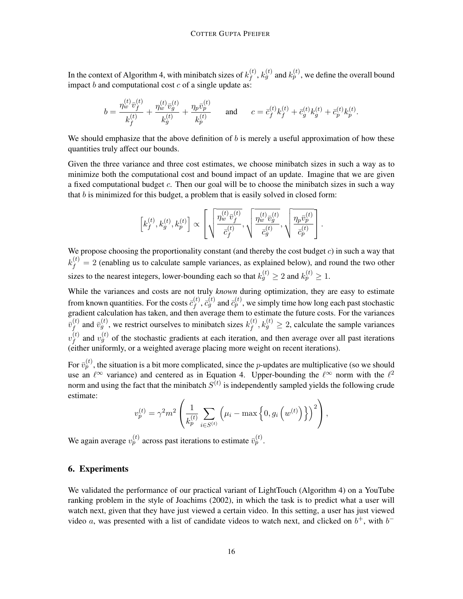In the context of Algorithm [4,](#page-13-2) with minibatch sizes of  $k_f^{(t)}$  $f_f^{(t)}, k_g^{(t)}$  and  $k_p^{(t)},$  we define the overall bound impact b and computational cost c of a single update as:

$$
b = \frac{\eta_w^{(t)} \bar{v}_f^{(t)}}{k_f^{(t)}} + \frac{\eta_w^{(t)} \bar{v}_g^{(t)}}{k_g^{(t)}} + \frac{\eta_p \bar{v}_p^{(t)}}{k_p^{(t)}} \quad \text{and} \quad c = \bar{c}_f^{(t)} k_f^{(t)} + \bar{c}_g^{(t)} k_g^{(t)} + \bar{c}_p^{(t)} k_p^{(t)}.
$$

We should emphasize that the above definition of  $b$  is merely a useful approximation of how these quantities truly affect our bounds.

Given the three variance and three cost estimates, we choose minibatch sizes in such a way as to minimize both the computational cost and bound impact of an update. Imagine that we are given a fixed computational budget c. Then our goal will be to choose the minibatch sizes in such a way that  $b$  is minimized for this budget, a problem that is easily solved in closed form:

$$
\left[k_f^{(t)},k_g^{(t)},k_p^{(t)}\right] \propto \left[\sqrt{\frac{\eta_w^{(t)}\bar{v}_f^{(t)}}{\bar{c}_f^{(t)}}},\sqrt{\frac{\eta_w^{(t)}\bar{v}_g^{(t)}}{\bar{c}_g^{(t)}}},\sqrt{\frac{\eta_p\bar{v}_p^{(t)}}{\bar{c}_p^{(t)}}}\right].
$$

We propose choosing the proportionality constant (and thereby the cost budget  $c$ ) in such a way that  $k_f^{(t)} = 2$  (enabling us to calculate sample variances, as explained below), and round the two other sizes to the nearest integers, lower-bounding each so that  $k_g^{(t)} \ge 2$  and  $k_p^{(t)} \ge 1$ .

While the variances and costs are not truly *known* during optimization, they are easy to estimate from known quantities. For the costs  $\bar{c}_f^{(t)}$  $f_f^{(t)}, \bar{c}_g^{(t)}$  and  $\bar{c}_p^{(t)},$  we simply time how long each past stochastic gradient calculation has taken, and then average them to estimate the future costs. For the variances  ${\bar v}_f^{(t)}$  $f_f^{(t)}$  and  $\bar{v}_g^{(t)}$ , we restrict ourselves to minibatch sizes  $k_f^{(t)}$  $f_f^{(t)}, k_g^{(t)} \ge 2$ , calculate the sample variances  $v_{\,t}^{(t)}$  $f_f^{(t)}$  and  $v_g^{(t)}$  of the stochastic gradients at each iteration, and then average over all past iterations (either uniformly, or a weighted average placing more weight on recent iterations).

For  $\bar{v}_p^{(t)}$ , the situation is a bit more complicated, since the *p*-updates are multiplicative (so we should use an  $\ell^{\infty}$  variance) and centered as in Equation [4.](#page-7-0) Upper-bounding the  $\ell^{\infty}$  norm with the  $\ell^2$ norm and using the fact that the minibatch  $S^{(t)}$  is independently sampled yields the following crude estimate:

$$
v_p^{(t)} = \gamma^2 m^2 \left( \frac{1}{k_p^{(t)}} \sum_{i \in S^{(t)}} \left( \mu_i - \max \left\{ 0, g_i \left( w^{(t)} \right) \right\} \right)^2 \right),
$$

We again average  $v_p^{(t)}$  across past iterations to estimate  $\bar{v}_p^{(t)}$ .

#### <span id="page-15-0"></span>6. Experiments

We validated the performance of our practical variant of [LightTouch](#page-6-0) (Algorithm [4\)](#page-13-2) on a YouTube ranking problem in the style of [Joachims](#page-21-12) [\(2002\)](#page-21-12), in which the task is to predict what a user will watch next, given that they have just viewed a certain video. In this setting, a user has just viewed video a, was presented with a list of candidate videos to watch next, and clicked on  $b^+$ , with  $b^-$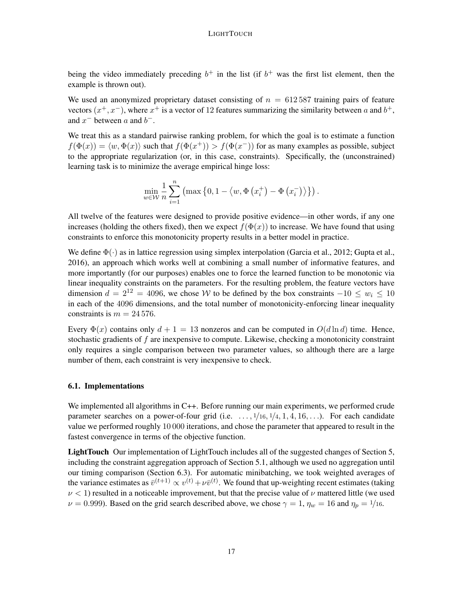being the video immediately preceding  $b^+$  in the list (if  $b^+$  was the first list element, then the example is thrown out).

We used an anonymized proprietary dataset consisting of  $n = 612587$  training pairs of feature vectors  $(x^+, x^-)$ , where  $x^+$  is a vector of 12 features summarizing the similarity between a and  $b^+$ , and  $x^-$  between a and  $b^-$ .

We treat this as a standard pairwise ranking problem, for which the goal is to estimate a function  $f(\Phi(x)) = \langle w, \Phi(x) \rangle$  such that  $f(\Phi(x^+)) > f(\Phi(x^-))$  for as many examples as possible, subject to the appropriate regularization (or, in this case, constraints). Specifically, the (unconstrained) learning task is to minimize the average empirical hinge loss:

$$
\min_{w \in \mathcal{W}} \frac{1}{n} \sum_{i=1}^{n} \left( \max \left\{ 0, 1 - \left\langle w, \Phi \left( x_i^+ \right) - \Phi \left( x_i^- \right) \right\rangle \right\} \right).
$$

All twelve of the features were designed to provide positive evidence—in other words, if any one increases (holding the others fixed), then we expect  $f(\Phi(x))$  to increase. We have found that using constraints to enforce this monotonicity property results in a better model in practice.

We define  $\Phi(\cdot)$  as in lattice regression using simplex interpolation [\(Garcia et al., 2012;](#page-21-13) [Gupta et al.,](#page-21-2) [2016\)](#page-21-2), an approach which works well at combining a small number of informative features, and more importantly (for our purposes) enables one to force the learned function to be monotonic via linear inequality constraints on the parameters. For the resulting problem, the feature vectors have dimension  $d = 2^{12} = 4096$ , we chose W to be defined by the box constraints  $-10 \le w_i \le 10$ in each of the 4096 dimensions, and the total number of monotonicity-enforcing linear inequality constraints is  $m = 24576$ .

Every  $\Phi(x)$  contains only  $d + 1 = 13$  nonzeros and can be computed in  $O(d \ln d)$  time. Hence, stochastic gradients of f are inexpensive to compute. Likewise, checking a monotonicity constraint only requires a single comparison between two parameter values, so although there are a large number of them, each constraint is very inexpensive to check.

### 6.1. Implementations

We implemented all algorithms in C++. Before running our main experiments, we performed crude parameter searches on a power-of-four grid (i.e.  $\dots$ ,  $1/16$ ,  $1/4$ ,  $1$ ,  $4$ ,  $16$ ,  $\dots$ ). For each candidate value we performed roughly 10 000 iterations, and chose the parameter that appeared to result in the fastest convergence in terms of the objective function.

LightTouch Our implementation of LightTouch includes all of the suggested changes of Section [5,](#page-13-0) including the constraint aggregation approach of Section [5.1,](#page-13-1) although we used no aggregation until our timing comparison (Section [6.3\)](#page-19-0). For automatic minibatching, we took weighted averages of the variance estimates as  $\bar{v}^{(t+1)} \propto v^{(t)} + \nu \bar{v}^{(t)}$ . We found that up-weighting recent estimates (taking  $\nu$  < 1) resulted in a noticeable improvement, but that the precise value of  $\nu$  mattered little (we used  $\nu = 0.999$ ). Based on the grid search described above, we chose  $\gamma = 1$ ,  $\eta_w = 16$  and  $\eta_p = 1/16$ .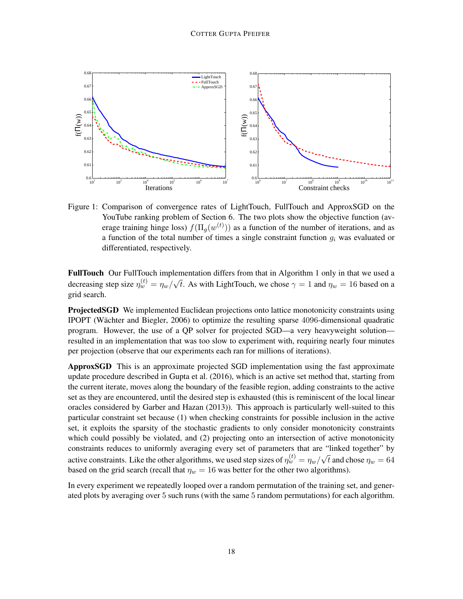

<span id="page-17-0"></span>Figure 1: Comparison of convergence rates of [LightTouch,](#page-6-0) [FullTouch](#page-3-0) and ApproxSGD on the YouTube ranking problem of Section [6.](#page-15-0) The two plots show the objective function (average training hinge loss)  $f(\Pi_g(w^{(t)}))$  as a function of the number of iterations, and as a function of the total number of times a single constraint function  $q_i$  was evaluated or differentiated, respectively.

FullTouch Our FullTouch implementation differs from that in Algorithm [1](#page-3-0) only in that we used a decreasing step size  $\eta_w^{(t)} = \eta_w/$ √ t. As with LightTouch, we chose  $\gamma = 1$  and  $\eta_w = 16$  based on a grid search.

**ProjectedSGD** We implemented Euclidean projections onto lattice monotonicity constraints using IPOPT (Wächter and Biegler, 2006) to optimize the resulting sparse 4096-dimensional quadratic program. However, the use of a QP solver for projected SGD—a very heavyweight solution resulted in an implementation that was too slow to experiment with, requiring nearly four minutes per projection (observe that our experiments each ran for millions of iterations).

ApproxSGD This is an approximate projected SGD implementation using the fast approximate update procedure described in [Gupta et al.](#page-21-2) [\(2016\)](#page-21-2), which is an active set method that, starting from the current iterate, moves along the boundary of the feasible region, adding constraints to the active set as they are encountered, until the desired step is exhausted (this is reminiscent of the local linear oracles considered by [Garber and Hazan](#page-21-9) [\(2013\)](#page-21-9)). This approach is particularly well-suited to this particular constraint set because (1) when checking constraints for possible inclusion in the active set, it exploits the sparsity of the stochastic gradients to only consider monotonicity constraints which could possibly be violated, and (2) projecting onto an intersection of active monotonicity constraints reduces to uniformly averaging every set of parameters that are "linked together" by active constraints. Like the other algorithms, we used step sizes of  $\eta_w^{(t)} = \eta_w/$ √ t and chose  $\eta_w = 64$ based on the grid search (recall that  $\eta_w = 16$  was better for the other two algorithms).

In every experiment we repeatedly looped over a random permutation of the training set, and generated plots by averaging over 5 such runs (with the same 5 random permutations) for each algorithm.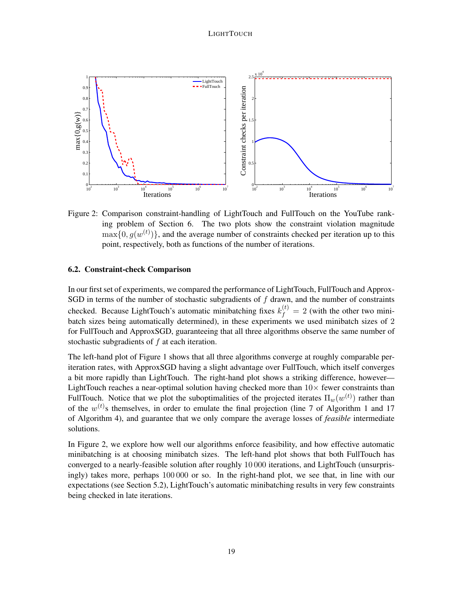

<span id="page-18-0"></span>Figure 2: Comparison constraint-handling of [LightTouch](#page-6-0) and [FullTouch](#page-3-0) on the YouTube ranking problem of Section [6.](#page-15-0) The two plots show the constraint violation magnitude  $\max\{0, g(w^{(t)})\}$ , and the average number of constraints checked per iteration up to this point, respectively, both as functions of the number of iterations.

### <span id="page-18-1"></span>6.2. Constraint-check Comparison

In our first set of experiments, we compared the performance of LightTouch, FullTouch and Approx-SGD in terms of the number of stochastic subgradients of  $f$  drawn, and the number of constraints checked. Because LightTouch's automatic minibatching fixes  $k_f^{(t)} = 2$  (with the other two minibatch sizes being automatically determined), in these experiments we used minibatch sizes of 2 for [FullTouch](#page-3-0) and ApproxSGD, guaranteeing that all three algorithms observe the same number of stochastic subgradients of f at each iteration.

The left-hand plot of Figure [1](#page-17-0) shows that all three algorithms converge at roughly comparable periteration rates, with ApproxSGD having a slight advantage over FullTouch, which itself converges a bit more rapidly than LightTouch. The right-hand plot shows a striking difference, however— LightTouch reaches a near-optimal solution having checked more than  $10\times$  fewer constraints than FullTouch. Notice that we plot the suboptimalities of the projected iterates  $\Pi_w(w^{(t)})$  rather than of the  $w^{(t)}$ s themselves, in order to emulate the final projection (line 7 of Algorithm [1](#page-3-0) and 17 of Algorithm [4\)](#page-13-2), and guarantee that we only compare the average losses of *feasible* intermediate solutions.

In Figure [2,](#page-18-0) we explore how well our algorithms enforce feasibility, and how effective automatic minibatching is at choosing minibatch sizes. The left-hand plot shows that both FullTouch has converged to a nearly-feasible solution after roughly 10 000 iterations, and LightTouch (unsurprisingly) takes more, perhaps 100 000 or so. In the right-hand plot, we see that, in line with our expectations (see Section [5.2\)](#page-14-0), LightTouch's automatic minibatching results in very few constraints being checked in late iterations.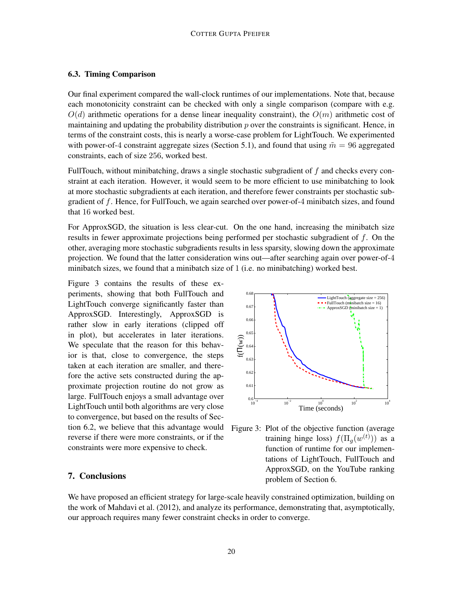### <span id="page-19-0"></span>6.3. Timing Comparison

Our final experiment compared the wall-clock runtimes of our implementations. Note that, because each monotonicity constraint can be checked with only a single comparison (compare with e.g.  $O(d)$  arithmetic operations for a dense linear inequality constraint), the  $O(m)$  arithmetic cost of maintaining and updating the probability distribution  $p$  over the constraints is significant. Hence, in terms of the constraint costs, this is nearly a worse-case problem for [LightTouch.](#page-6-0) We experimented with power-of-4 constraint aggregate sizes (Section [5.1\)](#page-13-1), and found that using  $\tilde{m} = 96$  aggregated constraints, each of size 256, worked best.

[FullTouch,](#page-3-0) without minibatching, draws a single stochastic subgradient of  $f$  and checks every constraint at each iteration. However, it would seem to be more efficient to use minibatching to look at more stochastic subgradients at each iteration, and therefore fewer constraints per stochastic subgradient of f. Hence, for [FullTouch,](#page-3-0) we again searched over power-of-4 minibatch sizes, and found that 16 worked best.

For ApproxSGD, the situation is less clear-cut. On the one hand, increasing the minibatch size results in fewer approximate projections being performed per stochastic subgradient of f. On the other, averaging more stochastic subgradients results in less sparsity, slowing down the approximate projection. We found that the latter consideration wins out—after searching again over power-of-4 minibatch sizes, we found that a minibatch size of 1 (i.e. no minibatching) worked best.

tion [6.2,](#page-18-1) we believe that this advantage would Figure 3: Plot of the objective function (average Figure [3](#page-19-1) contains the results of these experiments, showing that both [FullTouch](#page-3-0) and [LightTouch](#page-6-0) converge significantly faster than ApproxSGD. Interestingly, ApproxSGD is rather slow in early iterations (clipped off in plot), but accelerates in later iterations. We speculate that the reason for this behavior is that, close to convergence, the steps taken at each iteration are smaller, and therefore the active sets constructed during the approximate projection routine do not grow as large. [FullTouch](#page-3-0) enjoys a small advantage over [LightTouch](#page-6-0) until both algorithms are very close to convergence, but based on the results of Secreverse if there were more constraints, or if the constraints were more expensive to check.

# 7. Conclusions



<span id="page-19-1"></span>training hinge loss)  $f(\Pi_g(w^{(t)}))$  as a function of runtime for our implementations of [LightTouch,](#page-6-0) [FullTouch](#page-3-0) and ApproxSGD, on the YouTube ranking problem of Section [6.](#page-15-0)

We have proposed an efficient strategy for large-scale heavily constrained optimization, building on the work of [Mahdavi et al.](#page-21-5) [\(2012\)](#page-21-5), and analyze its performance, demonstrating that, asymptotically, our approach requires many fewer constraint checks in order to converge.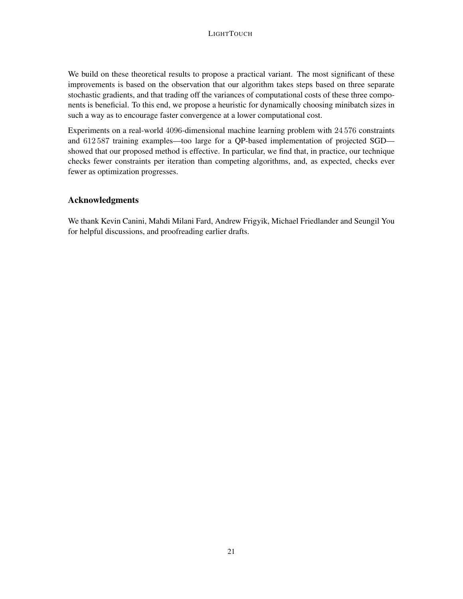We build on these theoretical results to propose a practical variant. The most significant of these improvements is based on the observation that our algorithm takes steps based on three separate stochastic gradients, and that trading off the variances of computational costs of these three components is beneficial. To this end, we propose a heuristic for dynamically choosing minibatch sizes in such a way as to encourage faster convergence at a lower computational cost.

Experiments on a real-world 4096-dimensional machine learning problem with 24 576 constraints and 612 587 training examples—too large for a QP-based implementation of projected SGD showed that our proposed method is effective. In particular, we find that, in practice, our technique checks fewer constraints per iteration than competing algorithms, and, as expected, checks ever fewer as optimization progresses.

# Acknowledgments

We thank Kevin Canini, Mahdi Milani Fard, Andrew Frigyik, Michael Friedlander and Seungil You for helpful discussions, and proofreading earlier drafts.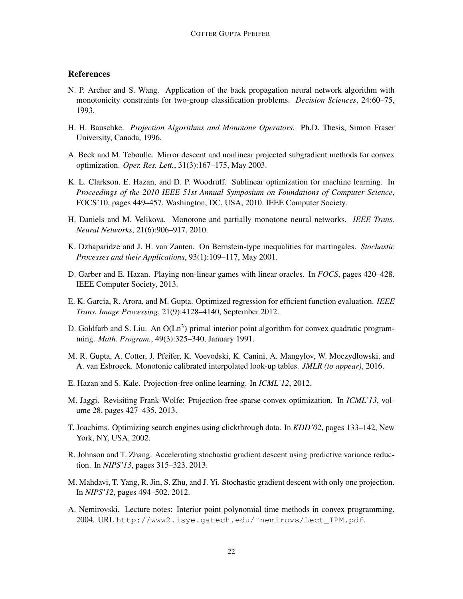# **References**

- <span id="page-21-0"></span>N. P. Archer and S. Wang. Application of the back propagation neural network algorithm with monotonicity constraints for two-group classification problems. *Decision Sciences*, 24:60–75, 1993.
- <span id="page-21-7"></span>H. H. Bauschke. *Projection Algorithms and Monotone Operators*. Ph.D. Thesis, Simon Fraser University, Canada, 1996.
- <span id="page-21-14"></span>A. Beck and M. Teboulle. Mirror descent and nonlinear projected subgradient methods for convex optimization. *Oper. Res. Lett.*, 31(3):167–175, May 2003.
- <span id="page-21-8"></span>K. L. Clarkson, E. Hazan, and D. P. Woodruff. Sublinear optimization for machine learning. In *Proceedings of the 2010 IEEE 51st Annual Symposium on Foundations of Computer Science*, FOCS'10, pages 449–457, Washington, DC, USA, 2010. IEEE Computer Society.
- <span id="page-21-1"></span>H. Daniels and M. Velikova. Monotone and partially monotone neural networks. *IEEE Trans. Neural Networks*, 21(6):906–917, 2010.
- <span id="page-21-15"></span>K. Dzhaparidze and J. H. van Zanten. On Bernstein-type inequalities for martingales. *Stochastic Processes and their Applications*, 93(1):109–117, May 2001.
- <span id="page-21-9"></span>D. Garber and E. Hazan. Playing non-linear games with linear oracles. In *FOCS*, pages 420–428. IEEE Computer Society, 2013.
- <span id="page-21-13"></span>E. K. Garcia, R. Arora, and M. Gupta. Optimized regression for efficient function evaluation. *IEEE Trans. Image Processing*, 21(9):4128–4140, September 2012.
- <span id="page-21-11"></span>D. Goldfarb and S. Liu. An  $O(Ln^3)$  primal interior point algorithm for convex quadratic programming. *Math. Program.*, 49(3):325–340, January 1991.
- <span id="page-21-2"></span>M. R. Gupta, A. Cotter, J. Pfeifer, K. Voevodski, K. Canini, A. Mangylov, W. Moczydlowski, and A. van Esbroeck. Monotonic calibrated interpolated look-up tables. *JMLR (to appear)*, 2016.
- <span id="page-21-3"></span>E. Hazan and S. Kale. Projection-free online learning. In *ICML'12*, 2012.
- <span id="page-21-4"></span>M. Jaggi. Revisiting Frank-Wolfe: Projection-free sparse convex optimization. In *ICML'13*, volume 28, pages 427–435, 2013.
- <span id="page-21-12"></span>T. Joachims. Optimizing search engines using clickthrough data. In *KDD'02*, pages 133–142, New York, NY, USA, 2002.
- <span id="page-21-6"></span>R. Johnson and T. Zhang. Accelerating stochastic gradient descent using predictive variance reduction. In *NIPS'13*, pages 315–323. 2013.
- <span id="page-21-5"></span>M. Mahdavi, T. Yang, R. Jin, S. Zhu, and J. Yi. Stochastic gradient descent with only one projection. In *NIPS'12*, pages 494–502. 2012.
- <span id="page-21-10"></span>A. Nemirovski. Lecture notes: Interior point polynomial time methods in convex programming. 2004. URL [http://www2.isye.gatech.edu/˜nemirovs/Lect\\_IPM.pdf](http://www2.isye.gatech.edu/~nemirovs/Lect_IPM.pdf).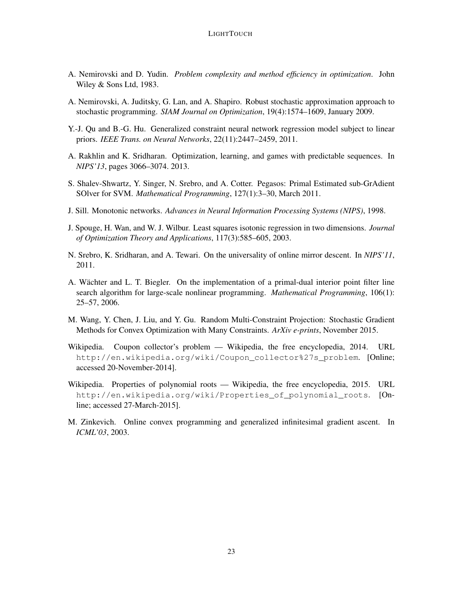- <span id="page-22-7"></span>A. Nemirovski and D. Yudin. *Problem complexity and method efficiency in optimization*. John Wiley & Sons Ltd, 1983.
- <span id="page-22-4"></span>A. Nemirovski, A. Juditsky, G. Lan, and A. Shapiro. Robust stochastic approximation approach to stochastic programming. *SIAM Journal on Optimization*, 19(4):1574–1609, January 2009.
- <span id="page-22-2"></span>Y.-J. Qu and B.-G. Hu. Generalized constraint neural network regression model subject to linear priors. *IEEE Trans. on Neural Networks*, 22(11):2447–2459, 2011.
- <span id="page-22-9"></span>A. Rakhlin and K. Sridharan. Optimization, learning, and games with predictable sequences. In *NIPS'13*, pages 3066–3074. 2013.
- <span id="page-22-10"></span>S. Shalev-Shwartz, Y. Singer, N. Srebro, and A. Cotter. Pegasos: Primal Estimated sub-GrAdient SOlver for SVM. *Mathematical Programming*, 127(1):3–30, March 2011.
- <span id="page-22-0"></span>J. Sill. Monotonic networks. *Advances in Neural Information Processing Systems (NIPS)*, 1998.
- <span id="page-22-1"></span>J. Spouge, H. Wan, and W. J. Wilbur. Least squares isotonic regression in two dimensions. *Journal of Optimization Theory and Applications*, 117(3):585–605, 2003.
- <span id="page-22-8"></span>N. Srebro, K. Sridharan, and A. Tewari. On the universality of online mirror descent. In *NIPS'11*, 2011.
- <span id="page-22-6"></span>A. Wächter and L. T. Biegler. On the implementation of a primal-dual interior point filter line search algorithm for large-scale nonlinear programming. *Mathematical Programming*, 106(1): 25–57, 2006.
- <span id="page-22-5"></span>M. Wang, Y. Chen, J. Liu, and Y. Gu. Random Multi-Constraint Projection: Stochastic Gradient Methods for Convex Optimization with Many Constraints. *ArXiv e-prints*, November 2015.
- <span id="page-22-12"></span>Wikipedia. Coupon collector's problem — Wikipedia, the free encyclopedia, 2014. URL [http://en.wikipedia.org/wiki/Coupon\\_collector%27s\\_problem](http://en.wikipedia.org/wiki/Coupon_collector%27s_problem). [Online; accessed 20-November-2014].
- <span id="page-22-11"></span>Wikipedia. Properties of polynomial roots — Wikipedia, the free encyclopedia, 2015. URL [http://en.wikipedia.org/wiki/Properties\\_of\\_polynomial\\_roots](http://en.wikipedia.org/wiki/Properties_of_polynomial_roots). [Online; accessed 27-March-2015].
- <span id="page-22-3"></span>M. Zinkevich. Online convex programming and generalized infinitesimal gradient ascent. In *ICML'03*, 2003.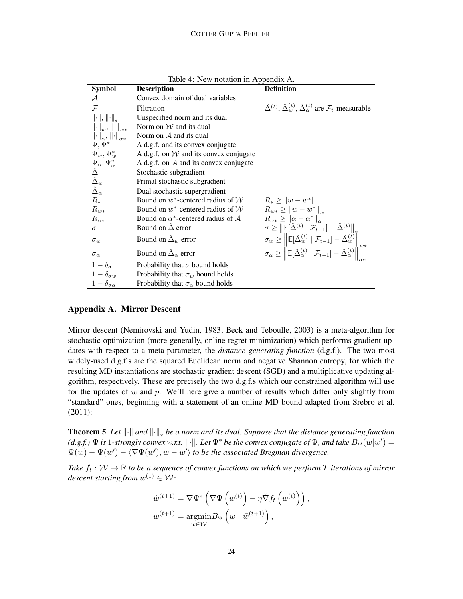| <b>Symbol</b>                                                                                | rable $\pi$ . Two notation in Teppendix T.<br><b>Description</b> | <b>Definition</b>                                                                                                                                                                                                                                                    |
|----------------------------------------------------------------------------------------------|------------------------------------------------------------------|----------------------------------------------------------------------------------------------------------------------------------------------------------------------------------------------------------------------------------------------------------------------|
| $\mathcal A$                                                                                 | Convex domain of dual variables                                  |                                                                                                                                                                                                                                                                      |
| $\mathcal{F}$                                                                                | Filtration                                                       | $\check{\Delta}^{(t)}$ , $\check{\Delta}^{(t)}_w$ , $\hat{\Delta}^{(t)}_\alpha$ are $\mathcal{F}_t$ -measurable                                                                                                                                                      |
| $\left\Vert \cdot \right\Vert$ , $\left\Vert \cdot \right\Vert _{*}$                         | Unspecified norm and its dual                                    |                                                                                                                                                                                                                                                                      |
| $\left\  \cdot \right\ _w, \left\  \cdot \right\ _{w*}$                                      | Norm on $W$ and its dual                                         |                                                                                                                                                                                                                                                                      |
| $\left\ \cdot\right\ _{\alpha}, \left\ \cdot\right\ _{\alpha*}$                              | Norm on $A$ and its dual                                         |                                                                                                                                                                                                                                                                      |
| $\Psi, \Psi^*$                                                                               | A d.g.f. and its convex conjugate                                |                                                                                                                                                                                                                                                                      |
| $\Psi_w, \Psi_w^*$                                                                           | A d.g.f. on $W$ and its convex conjugate                         |                                                                                                                                                                                                                                                                      |
|                                                                                              | A d.g.f. on $A$ and its convex conjugate                         |                                                                                                                                                                                                                                                                      |
|                                                                                              | Stochastic subgradient                                           |                                                                                                                                                                                                                                                                      |
| $\Psi_{\alpha}, \Psi_{\alpha}^*$ $\check{\Delta}$ $\check{\Delta}_w$ $\hat{\Delta}_{\alpha}$ | Primal stochastic subgradient                                    |                                                                                                                                                                                                                                                                      |
|                                                                                              | Dual stochastic supergradient                                    |                                                                                                                                                                                                                                                                      |
| $R_*$                                                                                        | Bound on $w^*$ -centered radius of $W$                           | $R_* \geq   w - w^*  $                                                                                                                                                                                                                                               |
| $R_{w*}$                                                                                     | Bound on $w^*$ -centered radius of $\mathcal W$                  | $R_{w*} \geq   w-w^*  _{w}$                                                                                                                                                                                                                                          |
| $R_{\alpha*}$                                                                                | Bound on $\alpha^*$ -centered radius of A                        | $R_{\alpha*} \geq   \alpha - \alpha^*  _{\alpha}$                                                                                                                                                                                                                    |
| $\sigma$                                                                                     | Bound on $\Delta$ error                                          | $\sigma \geq \left\  \mathbb{E}[\check{\Delta}^{(t)} \mid \mathcal{F}_{t-1}] - \check{\Delta}^{(t)} \right\ _{*}$                                                                                                                                                    |
| $\sigma_w$                                                                                   | Bound on $\Delta_w$ error                                        | $\sigma_w \geq \left\  \mathbb{E}[\check{\Delta}_w^{(t)} \mid \mathcal{F}_{t-1}] - \check{\Delta}_w^{(t)} \right\ _{w*}$<br>$\sigma_\alpha \geq \left\  \mathbb{E}[\hat{\Delta}_\alpha^{(t)} \mid \mathcal{F}_{t-1}] - \hat{\Delta}_\alpha^{(t)} \right\ _{\infty*}$ |
| $\sigma_{\alpha}$                                                                            | Bound on $\hat{\Delta}_{\alpha}$ error                           |                                                                                                                                                                                                                                                                      |
| $1-\delta_{\sigma}$                                                                          | Probability that $\sigma$ bound holds                            |                                                                                                                                                                                                                                                                      |
| $1-\delta_{\sigma w}$                                                                        | Probability that $\sigma_w$ bound holds                          |                                                                                                                                                                                                                                                                      |
| $1-\delta_{\sigma\alpha}$                                                                    | Probability that $\sigma_{\alpha}$ bound holds                   |                                                                                                                                                                                                                                                                      |

Table 4: New notation in Appendix [A.](#page-23-0)

### <span id="page-23-0"></span>Appendix A. Mirror Descent

Mirror descent [\(Nemirovski and Yudin, 1983;](#page-22-7) [Beck and Teboulle, 2003\)](#page-21-14) is a meta-algorithm for stochastic optimization (more generally, online regret minimization) which performs gradient updates with respect to a meta-parameter, the *distance generating function* (d.g.f.). The two most widely-used d.g.f.s are the squared Euclidean norm and negative Shannon entropy, for which the resulting MD instantiations are stochastic gradient descent (SGD) and a multiplicative updating algorithm, respectively. These are precisely the two d.g.f.s which our constrained algorithm will use for the updates of w and p. We'll here give a number of results which differ only slightly from "standard" ones, beginning with a statement of an online MD bound adapted from [Srebro et al.](#page-22-8) [\(2011\)](#page-22-8):

<span id="page-23-1"></span>**Theorem 5** Let  $\|\cdot\|$  and  $\|\cdot\|_*$  be a norm and its dual. Suppose that the distance generating function *(d.g.f.)*  $\Psi$  *is* 1-strongly convex w.r.t.  $\|\cdot\|$ . Let  $\Psi^*$  be the convex conjugate of  $\Psi$ , and take  $B_{\Psi}(w|w') =$  $\Psi(w) - \Psi(w') - \langle \nabla \Psi(w'), w - w' \rangle$  to be the associated Bregman divergence.

Take  $f_t: \mathcal{W} \to \mathbb{R}$  to be a sequence of convex functions on which we perform T iterations of mirror  $descent starting from w<sup>(1)</sup> \in W$ :

$$
\tilde{w}^{(t+1)} = \nabla \Psi^* \left( \nabla \Psi \left( w^{(t)} \right) - \eta \check{\nabla} f_t \left( w^{(t)} \right) \right),
$$
  

$$
w^{(t+1)} = \underset{w \in \mathcal{W}}{\operatorname{argmin}} B_{\Psi} \left( w \mid \tilde{w}^{(t+1)} \right),
$$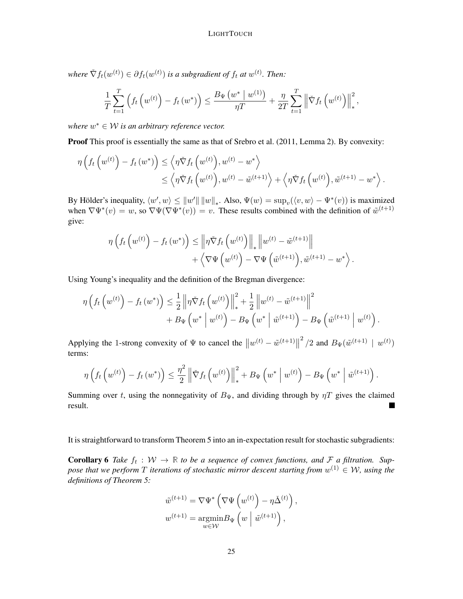where  $\check{\nabla} f_t(w^{(t)}) \in \partial f_t(w^{(t)})$  is a subgradient of  $f_t$  at  $w^{(t)}$ . Then:

$$
\frac{1}{T} \sum_{t=1}^{T} \left( f_t \left( w^{(t)} \right) - f_t \left( w^* \right) \right) \le \frac{B_{\Psi} \left( w^* \mid w^{(1)} \right)}{\eta T} + \frac{\eta}{2T} \sum_{t=1}^{T} \left\| \check{\nabla} f_t \left( w^{(t)} \right) \right\|_{*}^{2},
$$

where  $w^* \in W$  is an arbitrary reference vector.

Proof This proof is essentially the same as that of [Srebro et al.](#page-22-8) [\(2011,](#page-22-8) Lemma 2). By convexity:

$$
\eta\left(f_t\left(w^{(t)}\right) - f_t\left(w^*\right)\right) \leq \left\langle \eta \check{\nabla} f_t\left(w^{(t)}\right), w^{(t)} - w^* \right\rangle
$$
  
 
$$
\leq \left\langle \eta \check{\nabla} f_t\left(w^{(t)}\right), w^{(t)} - \tilde{w}^{(t+1)} \right\rangle + \left\langle \eta \check{\nabla} f_t\left(w^{(t)}\right), \tilde{w}^{(t+1)} - w^* \right\rangle.
$$

By Hölder's inequality,  $\langle w', w \rangle \le ||w'|| ||w||_*$ . Also,  $\Psi(w) = \sup_v (\langle v, w \rangle - \Psi^*(v))$  is maximized when  $\nabla \Psi^*(v) = w$ , so  $\nabla \Psi(\nabla \Psi^*(v)) = v$ . These results combined with the definition of  $\tilde{w}^{(t+1)}$ give:

$$
\eta\left(f_t\left(w^{(t)}\right) - f_t\left(w^*\right)\right) \le \left\|\eta \check{\nabla} f_t\left(w^{(t)}\right)\right\|_* \left\|w^{(t)} - \tilde{w}^{(t+1)}\right\| + \left\langle \nabla \Psi\left(w^{(t)}\right) - \nabla \Psi\left(\tilde{w}^{(t+1)}\right), \tilde{w}^{(t+1)} - w^*\right\rangle.
$$

Using Young's inequality and the definition of the Bregman divergence:

$$
\eta \left( f_t \left( w^{(t)} \right) - f_t \left( w^* \right) \right) \leq \frac{1}{2} \left\| \eta \check{\nabla} f_t \left( w^{(t)} \right) \right\|_*^2 + \frac{1}{2} \left\| w^{(t)} - \tilde{w}^{(t+1)} \right\|^2 + B_{\Psi} \left( w^* \mid w^{(t)} \right) - B_{\Psi} \left( w^* \mid \tilde{w}^{(t+1)} \right) - B_{\Psi} \left( \tilde{w}^{(t+1)} \mid w^{(t)} \right).
$$

Applying the 1-strong convexity of  $\Psi$  to cancel the  $||w^{(t)} - \tilde{w}^{(t+1)}||$  $^{2}/2$  and  $B_{\Psi}(\tilde{w}^{(t+1)} \mid w^{(t)})$ terms:

$$
\eta\left(f_t\left(w^{(t)}\right) - f_t\left(w^*\right)\right) \leq \frac{\eta^2}{2} \left\|\tilde{\nabla} f_t\left(w^{(t)}\right)\right\|_*^2 + B_{\Psi}\left(w^*\left|w^{(t)}\right) - B_{\Psi}\left(w^*\left|\tilde{w}^{(t+1)}\right.\right).
$$

Summing over t, using the nonnegativity of  $B_{\Psi}$ , and dividing through by  $\eta T$  gives the claimed result. ш

It is straightforward to transform Theorem [5](#page-23-1) into an in-expectation result for stochastic subgradients:

<span id="page-24-0"></span>**Corollary 6** Take  $f_t : W \to \mathbb{R}$  to be a sequence of convex functions, and F a filtration. Suppose that we perform  $T$  iterations of stochastic mirror descent starting from  $w^{(1)} \in \mathcal{W}$ , using the *definitions of Theorem [5:](#page-23-1)*

$$
\tilde{w}^{(t+1)} = \nabla \Psi^* \left( \nabla \Psi \left( w^{(t)} \right) - \eta \check{\Delta}^{(t)} \right),
$$
  

$$
w^{(t+1)} = \underset{w \in \mathcal{W}}{\operatorname{argmin}} B_{\Psi} \left( w \mid \tilde{w}^{(t+1)} \right),
$$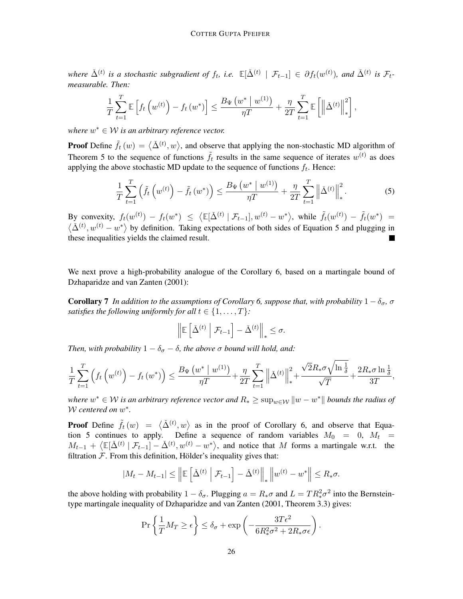$\Delta^{(t)}$  is a stochastic subgradient of  $f_t$ , i.e.  $\mathbb{E}[\check{\Delta}^{(t)} \mid \mathcal{F}_{t-1}] \in \partial f_t(w^{(t)})$ , and  $\check{\Delta}^{(t)}$  is  $\mathcal{F}_{t-1}$ *measurable. Then:*

$$
\frac{1}{T}\sum_{t=1}^T \mathbb{E}\left[f_t\left(w^{(t)}\right) - f_t\left(w^*\right)\right] \le \frac{B_\Psi\left(w^*\mid w^{(1)}\right)}{\eta T} + \frac{\eta}{2T}\sum_{t=1}^T \mathbb{E}\left[\left\|\check{\Delta}^{(t)}\right\|_*^2\right],
$$

where  $w^* \in W$  is an arbitrary reference vector.

**Proof** Define  $\tilde{f}_t(w) = \langle \tilde{\Delta}^{(t)}, w \rangle$ , and observe that applying the non-stochastic MD algorithm of Theorem [5](#page-23-1) to the sequence of functions  $\tilde{f}_t$  results in the same sequence of iterates  $w^{(t)}$  as does applying the above stochastic MD update to the sequence of functions  $f_t$ . Hence:

<span id="page-25-0"></span>
$$
\frac{1}{T}\sum_{t=1}^{T}\left(\tilde{f}_{t}\left(w^{(t)}\right)-\tilde{f}_{t}\left(w^{*}\right)\right)\leq\frac{B_{\Psi}\left(w^{*}\mid w^{(1)}\right)}{\eta T}+\frac{\eta}{2T}\sum_{t=1}^{T}\left\|\check{\Delta}^{(t)}\right\|_{*}^{2}.\tag{5}
$$

By convexity,  $f_t(w^{(t)}) - f_t(w^*) \leq \langle \mathbb{E}[\check{\Delta}^{(t)} | \mathcal{F}_{t-1}], w^{(t)} - w^* \rangle$ , while  $\tilde{f}_t(w^{(t)}) - \tilde{f}_t(w^*) =$  $\langle \tilde{\Delta}^{(t)}, w^{(t)} - w^* \rangle$  by definition. Taking expectations of both sides of Equation [5](#page-25-0) and plugging in these inequalities yields the claimed result.

We next prove a high-probability analogue of the Corollary [6,](#page-24-0) based on a martingale bound of [Dzhaparidze and van Zanten](#page-21-15) [\(2001\)](#page-21-15):

<span id="page-25-1"></span>**Corollary** 7 *In addition to the assumptions of Corollary* [6,](#page-24-0) *suppose that, with probability*  $1 - \delta_{\sigma}$ ,  $\sigma$ *satisfies the following uniformly for all*  $t \in \{1, ..., T\}$ *:* 

$$
\left\| \mathbb{E}\left[\check{\Delta}^{(t)}\,\,\bigg|\,\,\mathcal{F}_{t-1}\right]-\check{\Delta}^{(t)}\right\|_*\leq\sigma.
$$

*Then, with probability*  $1 - \delta_{\sigma} - \delta$ *, the above*  $\sigma$  *bound will hold, and:* 

$$
\frac{1}{T}\sum_{t=1}^T \left(f_t\left(w^{(t)}\right) - f_t\left(w^*\right)\right) \le \frac{B_\Psi\left(w^*\mid w^{(1)}\right)}{\eta T} + \frac{\eta}{2T}\sum_{t=1}^T \left\|\check{\Delta}^{(t)}\right\|_*^2 + \frac{\sqrt{2}R_*\sigma\sqrt{\ln\frac{1}{\delta}}}{\sqrt{T}} + \frac{2R_*\sigma\ln\frac{1}{\delta}}{3T},
$$

where  $w^* \in \mathcal{W}$  is an arbitrary reference vector and  $R_* \geq \sup_{w \in \mathcal{W}} \|w - w^*\|$  bounds the radius of W *centered on* w ∗ *.*

**Proof** Define  $\tilde{f}_t(w) = \langle \tilde{\Delta}^{(t)}, w \rangle$  as in the proof of Corollary [6,](#page-24-0) and observe that Equa-tion [5](#page-25-0) continues to apply. Define a sequence of random variables  $M_0 = 0$ ,  $M_t =$  $M_{t-1} + \langle \mathbb{E}[\check{\Delta}^{(t)} | \mathcal{F}_{t-1}] - \check{\Delta}^{(t)}, w^{(t)} - w^* \rangle$ , and notice that M forms a martingale w.r.t. the filtration  $F$ . From this definition, Hölder's inequality gives that:

$$
|M_t - M_{t-1}| \leq \left\| \mathbb{E}\left[\check{\Delta}^{(t)} \middle| \mathcal{F}_{t-1}\right] - \check{\Delta}^{(t)} \right\|_* \left\| w^{(t)} - w^* \right\| \leq R_* \sigma.
$$

the above holding with probability  $1 - \delta_{\sigma}$ . Plugging  $a = R_*\sigma$  and  $L = TR_*^2\sigma^2$  into the Bernsteintype martingale inequality of [Dzhaparidze and van Zanten](#page-21-15) [\(2001,](#page-21-15) Theorem 3.3) gives:

$$
\Pr\left\{\frac{1}{T}M_T \ge \epsilon\right\} \le \delta_\sigma + \exp\left(-\frac{3T\epsilon^2}{6R_*^2\sigma^2 + 2R_*\sigma\epsilon}\right).
$$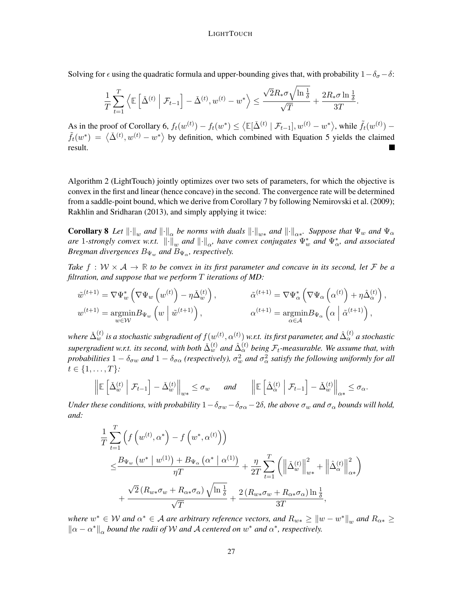Solving for  $\epsilon$  using the quadratic formula and upper-bounding gives that, with probability  $1-\delta_{\sigma}-\delta$ :

$$
\frac{1}{T}\sum_{t=1}^T \left\langle \mathbb{E}\left[\check{\Delta}^{(t)} \;\middle\vert\; \mathcal{F}_{t-1} \right] - \check{\Delta}^{(t)}, w^{(t)} - w^* \right\rangle \leq \frac{\sqrt{2}R_*\sigma\sqrt{\ln\frac{1}{\delta}}}{\sqrt{T}} + \frac{2R_*\sigma\ln\frac{1}{\delta}}{3T}.
$$

As in the proof of Corollary [6,](#page-24-0)  $f_t(w^{(t)}) - f_t(w^*) \leq \langle \mathbb{E}[\check{\Delta}^{(t)} | \mathcal{F}_{t-1}], w^{(t)} - w^* \rangle$ , while  $\tilde{f}_t(w^{(t)}) \tilde{f}_t(w^*) = \langle \tilde{\Delta}^{(t)}, w^{(t)} - w^* \rangle$  by definition, which combined with Equation [5](#page-25-0) yields the claimed result.

Algorithm [2](#page-6-0) (LightTouch) jointly optimizes over two sets of parameters, for which the objective is convex in the first and linear (hence concave) in the second. The convergence rate will be determined from a saddle-point bound, which we derive from Corollary [7](#page-25-1) by following [Nemirovski et al.](#page-22-4) [\(2009\)](#page-22-4); [Rakhlin and Sridharan](#page-22-9) [\(2013\)](#page-22-9), and simply applying it twice:

<span id="page-26-0"></span>**Corollary 8** Let  $\|\cdot\|_w$  and  $\|\cdot\|_{\alpha}$  be norms with duals  $\|\cdot\|_{w*}$  and  $\|\cdot\|_{\alpha*}$ . Suppose that  $\Psi_w$  and  $\Psi_\alpha$ *are* 1-strongly convex w.r.t.  $\|\cdot\|_w$  and  $\|\cdot\|_\alpha$ , have convex conjugates  $\Psi_w^*$  and  $\Psi_\alpha^*$ , and associated *Bregman divergences*  $B_{\Psi_{w}}$  *and*  $B_{\Psi_{\alpha}}$ *, respectively.* 

*Take*  $f : \mathcal{W} \times \mathcal{A} \to \mathbb{R}$  *to be convex in its first parameter and concave in its second, let* F *be a filtration, and suppose that we perform* T *iterations of MD:*

$$
\tilde{w}^{(t+1)} = \nabla \Psi_{w}^{*} \left( \nabla \Psi_{w} \left( w^{(t)} \right) - \eta \tilde{\Delta}_{w}^{(t)} \right), \qquad \qquad \tilde{\alpha}^{(t+1)} = \nabla \Psi_{\alpha}^{*} \left( \nabla \Psi_{\alpha} \left( \alpha^{(t)} \right) + \eta \hat{\Delta}_{\alpha}^{(t)} \right),
$$
\n
$$
w^{(t+1)} = \underset{w \in \mathcal{W}}{\operatorname{argmin}} B_{\Psi_{w}} \left( w \mid \tilde{w}^{(t+1)} \right), \qquad \qquad \alpha^{(t+1)} = \underset{\alpha \in \mathcal{A}}{\operatorname{argmin}} B_{\Psi_{\alpha}} \left( \alpha \mid \tilde{\alpha}^{(t+1)} \right),
$$

where  $\check\Delta_w^{(t)}$  is a stochastic subgradient of  $f(w^{(t)},\alpha^{(t)})$  w.r.t. its first parameter, and  $\hat\Delta_\alpha^{(t)}$  a stochastic  $s$ upergradient w.r.t. its second, with both  $\check\Delta_w^{(t)}$  and  $\hat\Delta_\alpha^{(t)}$  being  $\mathcal F_t$ -measurable. We assume that, with *probabilities*  $1-\delta_{\sigma w}$  *and*  $1-\delta_{\sigma\alpha}$  *(respectively),*  $\sigma_w^2$  *and*  $\sigma_\alpha^2$  *satisfy the following uniformly for all*  $t \in \{1, \ldots, T\}$ :

$$
\left\| \mathbb{E} \left[ \check{\Delta}^{(t)}_w \middle| \mathcal{F}_{t-1} \right] - \check{\Delta}^{(t)}_w \right\|_{w*} \le \sigma_w \quad \text{and} \quad \left\| \mathbb{E} \left[ \hat{\Delta}^{(t)}_\alpha \middle| \mathcal{F}_{t-1} \right] - \check{\Delta}^{(t)}_w \right\|_{\alpha*} \le \sigma_\alpha.
$$

*Under these conditions, with probability*  $1-\delta_{\sigma w}-\delta_{\sigma \alpha}-2\delta$ , *the above*  $\sigma_w$  *and*  $\sigma_\alpha$  *bounds will hold, and:*

$$
\frac{1}{T} \sum_{t=1}^{T} \left( f \left( w^{(t)}, \alpha^* \right) - f \left( w^*, \alpha^{(t)} \right) \right) \n\leq \frac{B_{\Psi_w} \left( w^* \mid w^{(1)} \right) + B_{\Psi_\alpha} \left( \alpha^* \mid \alpha^{(1)} \right)}{\eta T} + \frac{\eta}{2T} \sum_{t=1}^{T} \left( \left\| \check{\Delta}_w^{(t)} \right\|_{w*}^2 + \left\| \hat{\Delta}_\alpha^{(t)} \right\|_{\alpha*}^2 \right) \n+ \frac{\sqrt{2} \left( R_{w*} \sigma_w + R_{\alpha*} \sigma_\alpha \right) \sqrt{\ln \frac{1}{\delta}}}{\sqrt{T}} + \frac{2 \left( R_{w*} \sigma_w + R_{\alpha*} \sigma_\alpha \right) \ln \frac{1}{\delta}}{3T},
$$

where  $w^* \in W$  and  $\alpha^* \in A$  are arbitrary reference vectors, and  $R_{w*} \geq ||w-w^*||_{w}$  and  $R_{\alpha*} \geq$  $\|\alpha - \alpha^*\|_{\alpha}$  *bound the radii of* W *and* A *centered on*  $w^*$  *and*  $\alpha^*$ *, respectively.*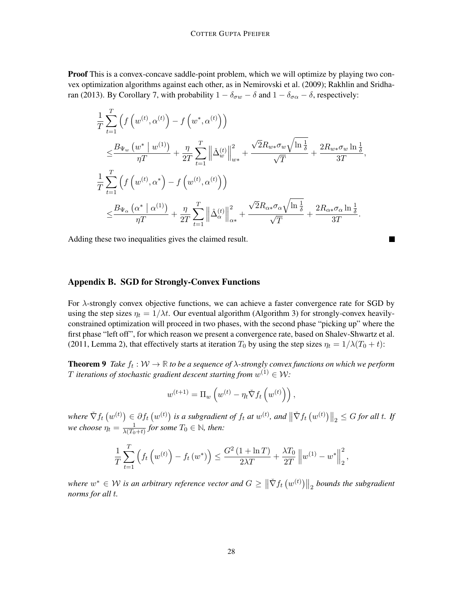**Proof** This is a convex-concave saddle-point problem, which we will optimize by playing two convex optimization algorithms against each other, as in [Nemirovski et al.](#page-22-4) [\(2009\)](#page-22-4); [Rakhlin and Sridha](#page-22-9)[ran](#page-22-9) [\(2013\)](#page-22-9). By Corollary [7,](#page-25-1) with probability  $1 - \delta_{\sigma w} - \delta$  and  $1 - \delta_{\sigma \alpha} - \delta$ , respectively:

$$
\frac{1}{T} \sum_{t=1}^{T} \left( f \left( w^{(t)}, \alpha^{(t)} \right) - f \left( w^*, \alpha^{(t)} \right) \right)
$$
\n
$$
\leq \frac{B_{\Psi_w} \left( w^* \mid w^{(1)} \right)}{\eta T} + \frac{\eta}{2T} \sum_{t=1}^{T} \left\| \check{\Delta}_w^{(t)} \right\|_{w*}^2 + \frac{\sqrt{2} R_{w*} \sigma_w \sqrt{\ln \frac{1}{\delta}}}{\sqrt{T}} + \frac{2 R_{w*} \sigma_w \ln \frac{1}{\delta}}{3T},
$$
\n
$$
\frac{1}{T} \sum_{t=1}^{T} \left( f \left( w^{(t)}, \alpha^* \right) - f \left( w^{(t)}, \alpha^{(t)} \right) \right)
$$
\n
$$
\leq \frac{B_{\Psi_\alpha} \left( \alpha^* \mid \alpha^{(1)} \right)}{\eta T} + \frac{\eta}{2T} \sum_{t=1}^{T} \left\| \hat{\Delta}_\alpha^{(t)} \right\|_{\alpha*}^2 + \frac{\sqrt{2} R_{\alpha*} \sigma_\alpha \sqrt{\ln \frac{1}{\delta}}}{\sqrt{T}} + \frac{2 R_{\alpha*} \sigma_\alpha \ln \frac{1}{\delta}}{3T}.
$$

П

Adding these two inequalities gives the claimed result.

# Appendix B. SGD for Strongly-Convex Functions

For  $\lambda$ -strongly convex objective functions, we can achieve a faster convergence rate for SGD by using the step sizes  $\eta_t = 1/\lambda t$ . Our eventual algorithm (Algorithm [3\)](#page-10-0) for strongly-convex heavilyconstrained optimization will proceed in two phases, with the second phase "picking up" where the first phase "left off", for which reason we present a convergence rate, based on [Shalev-Shwartz et al.](#page-22-10) [\(2011,](#page-22-10) Lemma 2), that effectively starts at iteration  $T_0$  by using the step sizes  $\eta_t = 1/\lambda(T_0 + t)$ :

<span id="page-27-0"></span>**Theorem 9** Take  $f_t: \mathcal{W} \to \mathbb{R}$  to be a sequence of  $\lambda$ -strongly convex functions on which we perform  $T$  iterations of stochastic gradient descent starting from  $w^{(1)} \in \mathcal{W}$ :

$$
w^{(t+1)} = \Pi_w \left( w^{(t)} - \eta_t \check{\nabla} f_t \left( w^{(t)} \right) \right),
$$

 $where \ \ \nabla f_t \left( w^{(t)} \right) \in \partial f_t \left( w^{(t)} \right)$  is a subgradient of  $f_t$  at  $w^{(t)}$ , and  $\left\| \tilde{\nabla} f_t \left( w^{(t)} \right) \right\|_2 \leq G$  for all t. If *we choose*  $\eta_t = \frac{1}{\lambda(T_0)}$  $\frac{1}{\lambda(T_0+t)}$  for some  $T_0 \in \mathbb{N}$ , then:

$$
\frac{1}{T} \sum_{t=1}^{T} \left( f_t \left( w^{(t)} \right) - f_t \left( w^* \right) \right) \le \frac{G^2 \left( 1 + \ln T \right)}{2 \lambda T} + \frac{\lambda T_0}{2T} \left\| w^{(1)} - w^* \right\|_2^2,
$$

where  $w^* \in W$  is an arbitrary reference vector and  $G \geq \left\| \check{\nabla} f_t \left( w^{(t)} \right) \right\|_2$  bounds the subgradient *norms for all* t*.*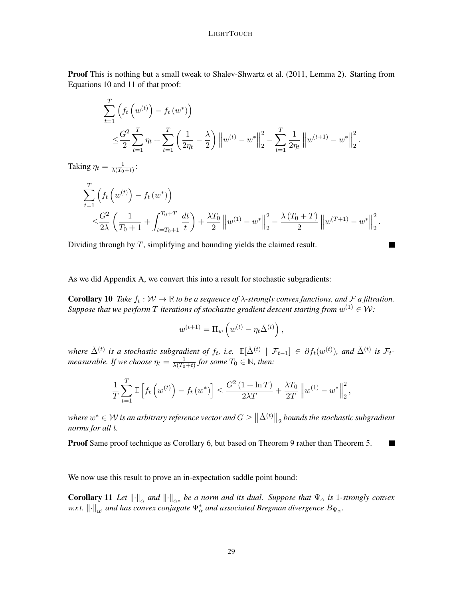Proof This is nothing but a small tweak to [Shalev-Shwartz et al.](#page-22-10) [\(2011,](#page-22-10) Lemma 2). Starting from Equations 10 and 11 of that proof:

$$
\sum_{t=1}^{T} \left( f_t \left( w^{(t)} \right) - f_t \left( w^* \right) \right)
$$
\n
$$
\leq \frac{G^2}{2} \sum_{t=1}^{T} \eta_t + \sum_{t=1}^{T} \left( \frac{1}{2\eta_t} - \frac{\lambda}{2} \right) \left\| w^{(t)} - w^* \right\|_2^2 - \sum_{t=1}^{T} \frac{1}{2\eta_t} \left\| w^{(t+1)} - w^* \right\|_2^2.
$$

Taking  $\eta_t = \frac{1}{\lambda(T_0)}$  $\frac{1}{\lambda(T_0+t)}$ :

$$
\sum_{t=1}^{T} \left( f_t \left( w^{(t)} \right) - f_t \left( w^* \right) \right) \n\leq \frac{G^2}{2\lambda} \left( \frac{1}{T_0 + 1} + \int_{t=T_0 + 1}^{T_0 + T} \frac{dt}{t} \right) + \frac{\lambda T_0}{2} \left\| w^{(1)} - w^* \right\|_2^2 - \frac{\lambda (T_0 + T)}{2} \left\| w^{(T+1)} - w^* \right\|_2^2.
$$

Dividing through by  $T$ , simplifying and bounding yields the claimed result.

As we did Appendix [A,](#page-23-0) we convert this into a result for stochastic subgradients:

<span id="page-28-0"></span>**Corollary 10** Take  $f_t : W \to \mathbb{R}$  to be a sequence of  $\lambda$ -strongly convex functions, and F a filtration. Suppose that we perform  $T$  iterations of stochastic gradient descent starting from  $w^{(1)} \in \mathcal{W}$ :

$$
w^{(t+1)} = \Pi_w \left( w^{(t)} - \eta_t \check{\Delta}^{(t)} \right),
$$

 $\Delta^{(t)}$  is a stochastic subgradient of  $f_t$ , i.e.  $\mathbb{E}[\check{\Delta}^{(t)} \mid \mathcal{F}_{t-1}] \in \partial f_t(w^{(t)})$ , and  $\check{\Delta}^{(t)}$  is  $\mathcal{F}_{t-1}$ *measurable. If we choose*  $\eta_t = \frac{1}{\lambda(T_0)}$  $\frac{1}{\lambda(T_0+t)}$  for some  $T_0 \in \mathbb{N}$ , then:

$$
\frac{1}{T} \sum_{t=1}^{T} \mathbb{E} \left[ f_t \left( w^{(t)} \right) - f_t \left( w^* \right) \right] \le \frac{G^2 \left( 1 + \ln T \right)}{2 \lambda T} + \frac{\lambda T_0}{2T} \left\| w^{(1)} - w^* \right\|_2^2,
$$

where  $w^* \in \mathcal{W}$  is an arbitrary reference vector and  $G \geq \big\| \check\Delta^{(t)} \big\|_2$  bounds the stochastic subgradient *norms for all* t*.*

Proof Same proof technique as Corollary [6,](#page-24-0) but based on Theorem [9](#page-27-0) rather than Theorem [5.](#page-23-1)  $\blacksquare$ 

We now use this result to prove an in-expectation saddle point bound:

<span id="page-28-1"></span>**Corollary 11** Let  $\|\cdot\|_{\alpha}$  and  $\|\cdot\|_{\alpha*}$  be a norm and its dual. Suppose that  $\Psi_{\alpha}$  is 1-strongly convex w.r.t.  $\left\|\cdot\right\|_{\alpha}$ , and has convex conjugate  $\Psi_{\alpha}^*$  and associated Bregman divergence  $B_{\Psi_{\alpha}}.$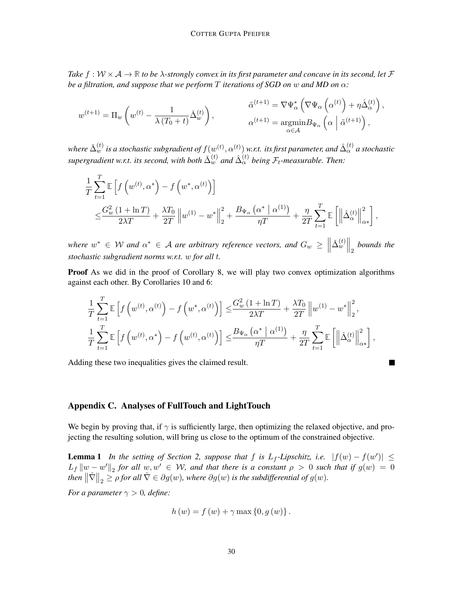*Take*  $f: W \times A \rightarrow \mathbb{R}$  *to be*  $\lambda$ -strongly convex in its first parameter and concave in its second, let  $\mathcal{F}$ *be a filtration, and suppose that we perform* T *iterations of SGD on* w *and MD on* α*:*

$$
w^{(t+1)} = \Pi_w \left( w^{(t)} - \frac{1}{\lambda (T_0 + t)} \check{\Delta}_w^{(t)} \right), \qquad \qquad \begin{aligned} \tilde{\alpha}^{(t+1)} &= \nabla \Psi_\alpha^* \left( \nabla \Psi_\alpha \left( \alpha^{(t)} \right) + \eta \hat{\Delta}_\alpha^{(t)} \right), \\ \alpha^{(t+1)} &= \underset{\alpha \in \mathcal{A}}{\operatorname{argmin}} B_{\Psi_\alpha} \left( \alpha \left| \tilde{\alpha}^{(t+1)} \right. \right), \end{aligned}
$$

where  $\check\Delta_w^{(t)}$  is a stochastic subgradient of  $f(w^{(t)},\alpha^{(t)})$  w.r.t. its first parameter, and  $\hat\Delta_\alpha^{(t)}$  a stochastic supergradient w.r.t. its second, with both  $\check{\Delta}_{w}^{(t)}$  and  $\hat{\Delta}_{\alpha}^{(t)}$  being  $\mathcal{F}_t$ -measurable. Then:

$$
\frac{1}{T} \sum_{t=1}^{T} \mathbb{E} \left[ f \left( w^{(t)}, \alpha^* \right) - f \left( w^*, \alpha^{(t)} \right) \right] \n\leq \frac{G_w^2 (1 + \ln T)}{2\lambda T} + \frac{\lambda T_0}{2T} \left\| w^{(1)} - w^* \right\|_2^2 + \frac{B_{\Psi_\alpha} \left( \alpha^* \mid \alpha^{(1)} \right)}{\eta T} + \frac{\eta}{2T} \sum_{t=1}^{T} \mathbb{E} \left[ \left\| \hat{\Delta}_{\alpha}^{(t)} \right\|_{\alpha^*}^2 \right],
$$

*where*  $w^* \in W$  *and*  $\alpha^* \in A$  *are arbitrary reference vectors, and*  $G_w \geq \left\| \begin{array}{c} 1 & \cdots & \cdots & \cdots \\ 0 & 0 & \cdots & \cdots & \cdots \\ 0 & 0 & 0 & \cdots & \cdots \end{array} \right\|$  $\Delta_{w}^{(t)}\Big\|_2$  bounds the *stochastic subgradient norms w.r.t.* w *for all* t*.*

Proof As we did in the proof of Corollary [8,](#page-26-0) we will play two convex optimization algorithms against each other. By Corollaries [10](#page-28-0) and [6:](#page-24-0)

$$
\frac{1}{T} \sum_{t=1}^{T} \mathbb{E} \left[ f \left( w^{(t)}, \alpha^{(t)} \right) - f \left( w^*, \alpha^{(t)} \right) \right] \leq \frac{G_w^2 \left( 1 + \ln T \right)}{2\lambda T} + \frac{\lambda T_0}{2T} \left\| w^{(1)} - w^* \right\|_2^2,
$$
\n
$$
\frac{1}{T} \sum_{t=1}^{T} \mathbb{E} \left[ f \left( w^{(t)}, \alpha^* \right) - f \left( w^{(t)}, \alpha^{(t)} \right) \right] \leq \frac{B_{\Psi_\alpha} \left( \alpha^* \mid \alpha^{(1)} \right)}{\eta T} + \frac{\eta}{2T} \sum_{t=1}^{T} \mathbb{E} \left[ \left\| \hat{\Delta}_{\alpha}^{(t)} \right\|_{\alpha^*}^2 \right],
$$

**In the Second** 

Adding these two inequalities gives the claimed result.

# <span id="page-29-0"></span>Appendix C. Analyses of [FullTouch](#page-3-0) and [LightTouch](#page-6-0)

We begin by proving that, if  $\gamma$  is sufficiently large, then optimizing the relaxed objective, and projecting the resulting solution, will bring us close to the optimum of the constrained objective.

**Lemma [1](#page-3-1)** *In the setting of Section [2,](#page-2-2) suppose that* f *is*  $L_f$ -*Lipschitz, i.e.*  $|f(w) - f(w')| \le$  $L_f \|w - w'\|_2$  for all  $w, w' \in W$ , and that there is a constant  $\rho > 0$  such that if  $g(w) = 0$ *then*  $\|\breve{\nabla}\|_2 \geq \rho$  *for all*  $\breve{\nabla} \in \partial g(w)$ *, where*  $\partial g(w)$  *is the subdifferential of*  $g(w)$ *.* 

*For a parameter*  $\gamma > 0$ *, define:* 

$$
h(w) = f(w) + \gamma \max\{0, g(w)\}.
$$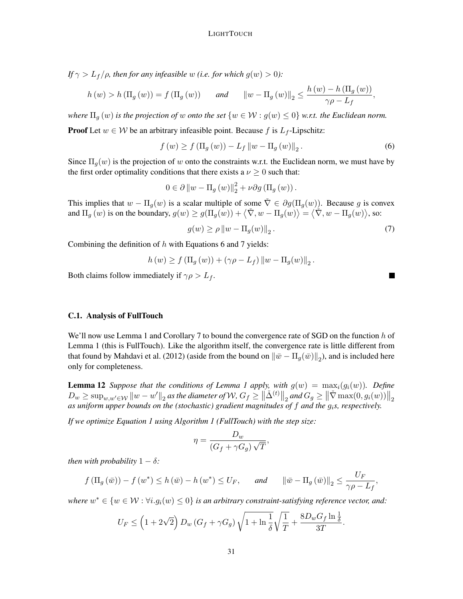*If*  $\gamma > L_f/\rho$ *, then for any infeasible w (i.e. for which g(w) > 0):* 

$$
h(w) > h(\Pi_g(w)) = f(\Pi_g(w)) \quad \text{and} \quad \|w - \Pi_g(w)\|_2 \le \frac{h(w) - h(\Pi_g(w))}{\gamma \rho - L_f},
$$

*where*  $\Pi_q(w)$  *is the projection of* w *onto the set*  $\{w \in \mathcal{W} : g(w) \leq 0\}$  *w.r.t. the Euclidean norm.* 

**Proof** Let  $w \in \mathcal{W}$  be an arbitrary infeasible point. Because f is  $L_f$ -Lipschitz:

<span id="page-30-2"></span>
$$
f(w) \ge f(\Pi_g(w)) - L_f \|w - \Pi_g(w)\|_2.
$$
 (6)

Since  $\Pi_q(w)$  is the projection of w onto the constraints w.r.t. the Euclidean norm, we must have by the first order optimality conditions that there exists a  $\nu \geq 0$  such that:

$$
0 \in \partial ||w - \Pi_g(w)||_2^2 + \nu \partial g(\Pi_g(w)).
$$

This implies that  $w - \Pi_q(w)$  is a scalar multiple of some  $\tilde{\nabla} \in \partial g(\Pi_q(w))$ . Because g is convex and  $\Pi_g(w)$  is on the boundary,  $g(w) \ge g(\Pi_g(w)) + \langle \check{\nabla}, w - \Pi_g(w) \rangle = \langle \check{\nabla}, w - \Pi_g(w) \rangle$ , so:

<span id="page-30-0"></span>
$$
g(w) \ge \rho \|w - \Pi_g(w)\|_2.
$$
\n<sup>(7)</sup>

Combining the definition of  $h$  with Equations [6](#page-30-2) and [7](#page-30-0) yields:

$$
h(w) \ge f(\Pi_g(w)) + (\gamma \rho - L_f) ||w - \Pi_g(w)||_2.
$$

Both claims follow immediately if  $\gamma \rho > L_f$ .

#### <span id="page-30-1"></span>C.1. Analysis of [FullTouch](#page-3-0)

We'll now use Lemma [1](#page-3-1) and Corollary [7](#page-25-1) to bound the convergence rate of SGD on the function  $h$  of Lemma [1](#page-3-1) (this is [FullTouch\)](#page-3-0). Like the algorithm itself, the convergence rate is little different from that found by [Mahdavi et al.](#page-21-5) [\(2012\)](#page-21-5) (aside from the bound on  $\|\bar{w} - \Pi_g(\bar{w})\|_2$ ), and is included here only for completeness.

<span id="page-30-3"></span>**Lemma [1](#page-3-1)2** *Suppose that the conditions of Lemma 1 apply, with*  $g(w) = \max_i(g_i(w))$ *. Define*  $D_w \ge \sup_{w,w'\in \mathcal{W}} \|w-w'\|_2$  as the diameter of  $\mathcal{W}, G_f \ge \|\check{\Delta}^{(t)}\|_2$  and  $G_g \ge \|\check{\nabla} \max(0, g_i(w))\|_2$ *as uniform upper bounds on the (stochastic) gradient magnitudes of* f *and the* gi*s, respectively.*

*If we optimize Equation [1](#page-2-1) using Algorithm [1](#page-3-0) (FullTouch) with the step size:*

$$
\eta = \frac{D_w}{(G_f + \gamma G_g)\sqrt{T}},
$$

*then with probability*  $1 - \delta$ *:* 

$$
f(\Pi_g(\bar{w})) - f(w^*) \le h(\bar{w}) - h(w^*) \le U_F
$$
, and  $\|\bar{w} - \Pi_g(\bar{w})\|_2 \le \frac{U_F}{\gamma \rho - L_f}$ ,

where  $w^* \in \{w \in \mathcal{W} : \forall i. g_i(w) \leq 0\}$  is an arbitrary constraint-satisfying reference vector, and:

$$
U_F \le \left(1 + 2\sqrt{2}\right)D_w\left(G_f + \gamma G_g\right)\sqrt{1 + \ln\frac{1}{\delta}}\sqrt{\frac{1}{T}} + \frac{8D_wG_f\ln\frac{1}{\delta}}{3T}
$$

.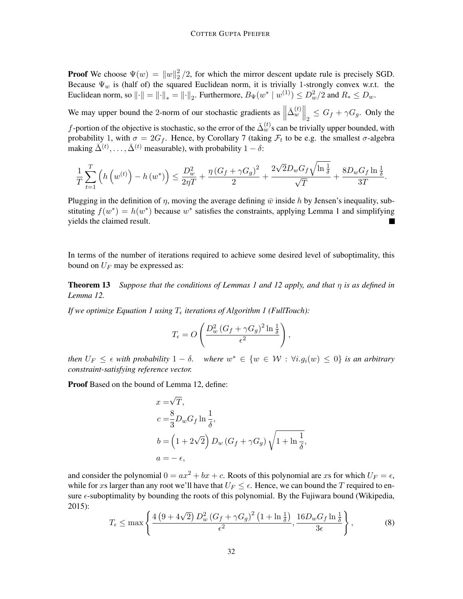**Proof** We choose  $\Psi(w) = ||w||_2^2$  $\frac{2}{2}$ /2, for which the mirror descent update rule is precisely SGD. Because  $\Psi_w$  is (half of) the squared Euclidean norm, it is trivially 1-strongly convex w.r.t. the Euclidean norm, so  $\|\cdot\| = \|\cdot\|_* = \|\cdot\|_2$ . Furthermore,  $B_{\Psi}(w^* \mid w^{(1)}) \leq D_w^2/2$  and  $R_* \leq D_w$ .

We may upper bound the 2-norm of our stochastic gradients as  $\parallel$  $\left. \check{\Delta}_{w}^{(t)} \right\|_{2} \leq G_f + \gamma G_g$ . Only the f-portion of the objective is stochastic, so the error of the  $\check{\Delta}_{w}^{(t)}$ s can be trivially upper bounded, with probability 1, with  $\sigma = 2G_f$ . Hence, by Corollary [7](#page-25-1) (taking  $\mathcal{F}_t$  to be e.g. the smallest  $\sigma$ -algebra making  $\check{\Delta}^{(t)}, \ldots, \check{\Delta}^{(t)}$  measurable), with probability  $1 - \delta$ :

$$
\frac{1}{T}\sum_{t=1}^T\left(h\left(w^{(t)}\right)-h\left(w^*\right)\right)\leq \frac{D_w^2}{2\eta T}+\frac{\eta\left(G_f+\gamma G_g\right)^2}{2}+\frac{2\sqrt{2}D_wG_f\sqrt{\ln\frac{1}{\delta}}}{\sqrt{T}}+\frac{8D_wG_f\ln\frac{1}{\delta}}{3T}.
$$

Plugging in the definition of  $\eta$ , moving the average defining  $\bar{w}$  inside h by Jensen's inequality, substituting  $f(w^*) = h(w^*)$  because w<sup>\*</sup> satisfies the constraints, applying Lemma [1](#page-3-1) and simplifying yields the claimed result.

In terms of the number of iterations required to achieve some desired level of suboptimality, this bound on  $U_F$  may be expressed as:

<span id="page-31-0"></span>Theorem 13 *Suppose that the conditions of Lemmas [1](#page-3-1) and [12](#page-30-3) apply, and that* η *is as defined in Lemma [12.](#page-30-3)*

*If we optimize Equation [1](#page-3-0) using*  $T_{\epsilon}$  *iterations of Algorithm 1 (FullTouch):* 

$$
T_{\epsilon} = O\left(\frac{D_w^2 (G_f + \gamma G_g)^2 \ln \frac{1}{\delta}}{\epsilon^2}\right),\,
$$

*then*  $U_F \leq \epsilon$  *with probability*  $1 - \delta$ *. where*  $w^* \in \{w \in \mathcal{W} : \forall i.g_i(w) \leq 0\}$  *is an arbitrary constraint-satisfying reference vector.*

Proof Based on the bound of Lemma [12,](#page-30-3) define:

$$
x = \sqrt{T},
$$
  
\n
$$
c = \frac{8}{3} D_w G_f \ln \frac{1}{\delta},
$$
  
\n
$$
b = \left(1 + 2\sqrt{2}\right) D_w \left(G_f + \gamma G_g\right) \sqrt{1 + \ln \frac{1}{\delta}},
$$
  
\n
$$
a = -\epsilon,
$$

and consider the polynomial  $0 = ax^2 + bx + c$ . Roots of this polynomial are xs for which  $U_F = \epsilon$ , while for xs larger than any root we'll have that  $U_F \leq \epsilon$ . Hence, we can bound the T required to ensure  $\epsilon$ -suboptimality by bounding the roots of this polynomial. By the Fujiwara bound [\(Wikipedia,](#page-22-11) [2015\)](#page-22-11):

$$
T_{\epsilon} \le \max\left\{ \frac{4\left(9 + 4\sqrt{2}\right)D_w^2\left(G_f + \gamma G_g\right)^2\left(1 + \ln\frac{1}{\delta}\right)}{\epsilon^2}, \frac{16D_wG_f\ln\frac{1}{\delta}}{3\epsilon}\right\},\tag{8}
$$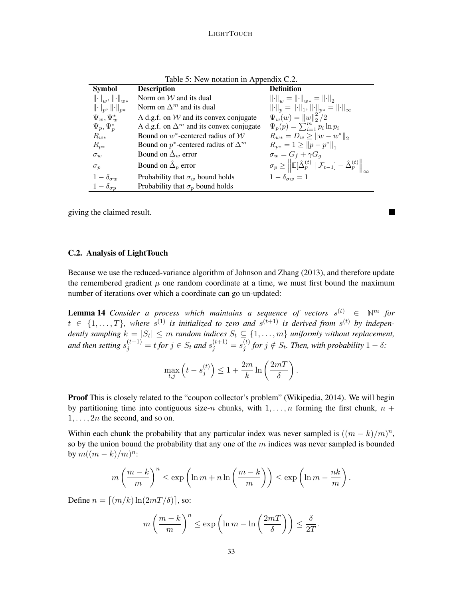| <b>Symbol</b>                                             | rable $\mathcal{I}$ . Then holding in Tippendix $\mathcal{I}$ .<br><b>Description</b> | <b>Definition</b>                                                                                                                                    |
|-----------------------------------------------------------|---------------------------------------------------------------------------------------|------------------------------------------------------------------------------------------------------------------------------------------------------|
| $\left\  \cdot \right\ _{w}, \left\  \cdot \right\ _{w*}$ | Norm on $W$ and its dual                                                              | $\left\ \cdot\right\ _w = \left\ \cdot\right\ _{w*} = \left\ \cdot\right\ _2$                                                                        |
| $\left\  \cdot \right\ _p, \left\  \cdot \right\ _{p*}$   | Norm on $\Delta^m$ and its dual                                                       | $\left\ \cdot\right\ _p = \left\ \cdot\right\ _1, \left\ \cdot\right\ _{p*} = \left\ \cdot\right\ _{\infty}$                                         |
| $\Psi_w, \Psi_w^*$                                        | A d.g.f. on $W$ and its convex conjugate                                              | $\Psi_w(w) =   w  _2^2/2$                                                                                                                            |
| $\Psi_p, \Psi_p^*$                                        | A d.g.f. on $\Delta^m$ and its convex conjugate                                       | $\Psi_p(p) = \sum_{i=1}^m p_i \ln p_i$                                                                                                               |
| $R_{w*}$                                                  | Bound on $w^*$ -centered radius of $W$                                                | $R_{w*} = D_w \ge   w - w^*  _2$                                                                                                                     |
| $R_{p*}$                                                  | Bound on $p^*$ -centered radius of $\Delta^m$                                         | $R_{p*} = 1 \geq   p - p^*  _1$                                                                                                                      |
| $\sigma_w$                                                | Bound on $\Delta_w$ error                                                             | $\sigma_w = G_f + \gamma G_q$                                                                                                                        |
| $\sigma_p$                                                | Bound on $\hat{\Delta}_p$ error                                                       | $\sigma_p \geq \left\  \mathbb{E}[\hat{\Delta}_p^{(t)}   \mathcal{F}_{t-1}] - \hat{\Delta}_p^{(t)} \right\ _{\infty}$<br>$1 - \delta_{\sigma w} = 1$ |
| $1-\delta_{\sigma w}$                                     | Probability that $\sigma_w$ bound holds                                               |                                                                                                                                                      |
| $1-\delta_{\sigma p}$                                     | Probability that $\sigma_p$ bound holds                                               |                                                                                                                                                      |

 $\mathcal{L}$ 

Table 5: New notation in Appendix  $C<sub>2</sub>$ 

giving the claimed result.

### <span id="page-32-1"></span>C.2. Analysis of [LightTouch](#page-6-0)

Because we use the reduced-variance algorithm of [Johnson and Zhang](#page-21-6) [\(2013\)](#page-21-6), and therefore update the remembered gradient  $\mu$  one random coordinate at a time, we must first bound the maximum number of iterations over which a coordinate can go un-updated:

<span id="page-32-0"></span>**Lemma 14** Consider a process which maintains a sequence of vectors  $s^{(t)} \in \mathbb{N}^m$  for  $t \in \{1, \ldots, T\}$ , where  $s^{(1)}$  is initialized to zero and  $s^{(t+1)}$  is derived from  $s^{(t)}$  by independently sampling  $k = |S_t| \leq m$  random indices  $S_t \subseteq \{1, \ldots, m\}$  uniformly without replacement, and then setting  $s_j^{(t+1)} = t$  for  $j \in S_t$  and  $s_j^{(t+1)} = s_j^{(t)}$  $j_j^{(t)}$  for  $j \notin S_t$ . Then, with probability  $1 - \delta$ :

$$
\max_{t,j} \left( t - s_j^{(t)} \right) \leq 1 + \frac{2m}{k} \ln \left( \frac{2m}{\delta} \right).
$$

Proof This is closely related to the "coupon collector's problem" [\(Wikipedia, 2014\)](#page-22-12). We will begin by partitioning time into contiguous size-n chunks, with  $1, \ldots, n$  forming the first chunk,  $n +$  $1, \ldots, 2n$  the second, and so on.

Within each chunk the probability that any particular index was never sampled is  $((m-k)/m)^n$ , so by the union bound the probability that any one of the  $m$  indices was never sampled is bounded by  $m((m-k)/m)^n$ :

$$
m\left(\frac{m-k}{m}\right)^n \le \exp\left(\ln m + n\ln\left(\frac{m-k}{m}\right)\right) \le \exp\left(\ln m - \frac{nk}{m}\right).
$$

Define  $n = \lfloor (m/k) \ln(2mT/\delta) \rfloor$ , so:

$$
m\left(\frac{m-k}{m}\right)^n \le \exp\left(\ln m - \ln\left(\frac{2mT}{\delta}\right)\right) \le \frac{\delta}{2T}.
$$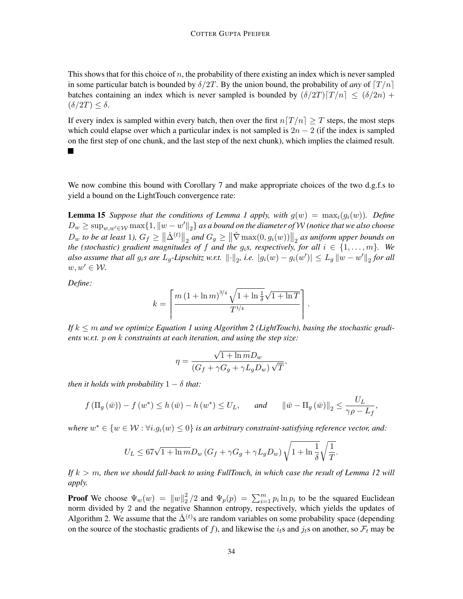This shows that for this choice of  $n$ , the probability of there existing an index which is never sampled in some particular batch is bounded by  $\delta/2T$ . By the union bound, the probability of *any* of  $T/n$ batches containing an index which is never sampled is bounded by  $(\delta/2T)\lceil T/n \rceil \leq (\delta/2n) +$  $(\delta/2T) < \delta$ .

If every index is sampled within every batch, then over the first  $n[T/n] \geq T$  steps, the most steps which could elapse over which a particular index is not sampled is  $2n - 2$  (if the index is sampled on the first step of one chunk, and the last step of the next chunk), which implies the claimed result.  $\blacksquare$ 

We now combine this bound with Corollary [7](#page-25-1) and make appropriate choices of the two d.g.f.s to yield a bound on the [LightTouch](#page-6-0) convergence rate:

<span id="page-33-0"></span>**Lemma [1](#page-3-1)5** *Suppose that the conditions of Lemma 1 apply, with*  $g(w) = \max_i(g_i(w))$ *. Define*  $D_w \geq \sup_{w,w'\in\mathcal{W}}\max\{1,\|w-w'\|_2\}$  as a bound on the diameter of  $\mathcal W$  (notice that we also choose  $D_w$  to be at least 1),  $G_f \geq ||\check{\Delta}^{(t)}||_2$  and  $G_g \geq ||\check{\nabla} \max(0, g_i(w))||_2$  as uniform upper bounds on *the (stochastic) gradient magnitudes of f and the*  $g_i$ *s, respectively, for all*  $i \in \{1, \ldots, m\}$ . We also assume that all  $g_i$ s are  $L_g$ -Lipschitz w.r.t.  $\left\| \cdot \right\|_2$ , i.e.  $|g_i(w) - g_i(w')| \leq L_g \left\| w - w' \right\|_2$  for all  $w, w' \in \mathcal{W}$ .

*Define:*

$$
k = \left\lceil \frac{m\left(1 + \ln m\right)^{3/4} \sqrt{1 + \ln \frac{1}{\delta}} \sqrt{1 + \ln T}}{T^{1/4}} \right\rceil
$$

.

,

*If* k ≤ m *and we optimize Equation [1](#page-2-1) using Algorithm [2](#page-6-0) (LightTouch), basing the stochastic gradients w.r.t.* p *on* k *constraints at each iteration, and using the step size:*

$$
\eta = \frac{\sqrt{1 + \ln m} D_w}{\left(G_f + \gamma G_g + \gamma L_g D_w\right) \sqrt{T}}
$$

*then it holds with probability*  $1 - \delta$  *that:* 

$$
f(\Pi_g(\bar{w})) - f(w^*) \le h(\bar{w}) - h(w^*) \le U_L
$$
, and  $\|\bar{w} - \Pi_g(\bar{w})\|_2 \le \frac{U_L}{\gamma \rho - L_f}$ ,

where  $w^* \in \{w \in \mathcal{W} : \forall i. g_i(w) \leq 0\}$  *is an arbitrary constraint-satisfying reference vector, and:* 

$$
U_L \le 67\sqrt{1+\ln m}D_w \left(G_f + \gamma G_g + \gamma L_g D_w\right)\sqrt{1+\ln\frac{1}{\delta}}\sqrt{\frac{1}{T}}.
$$

*If* k > m*, then we should fall-back to using [FullTouch,](#page-3-0) in which case the result of Lemma [12](#page-30-3) will apply.*

**Proof** We choose  $\Psi_w(w) = ||w||_2^2$  $\frac{2}{2}$ /2 and  $\Psi_p(p) = \sum_{i=1}^m p_i \ln p_i$  to be the squared Euclidean norm divided by 2 and the negative Shannon entropy, respectively, which yields the updates of Algorithm [2.](#page-6-0) We assume that the  $\check{\Delta}^{(t)}$ s are random variables on some probability space (depending on the source of the stochastic gradients of f), and likewise the  $i_t$ s and  $j_t$ s on another, so  $\mathcal{F}_t$  may be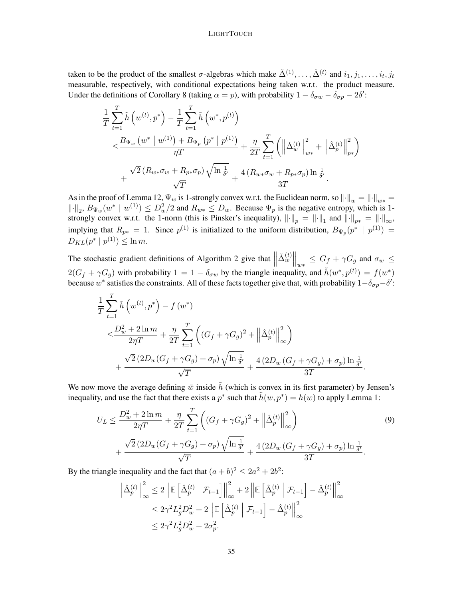taken to be the product of the smallest  $\sigma$ -algebras which make  $\check{\Delta}^{(1)}, \ldots, \check{\Delta}^{(t)}$  and  $i_1, j_1, \ldots, i_t, j_t$ measurable, respectively, with conditional expectations being taken w.r.t. the product measure. Under the definitions of Corollary [8](#page-26-0) (taking  $\alpha = p$ ), with probability  $1 - \delta_{\sigma w} - \delta_{\sigma p} - 2\delta'$ :

$$
\frac{1}{T} \sum_{t=1}^{T} \tilde{h} \left( w^{(t)}, p^* \right) - \frac{1}{T} \sum_{t=1}^{T} \tilde{h} \left( w^*, p^{(t)} \right) \n\leq \frac{B_{\Psi_w} \left( w^* \mid w^{(1)} \right) + B_{\Psi_p} \left( p^* \mid p^{(1)} \right)}{\eta T} + \frac{\eta}{2T} \sum_{t=1}^{T} \left( \left\| \tilde{\Delta}_w^{(t)} \right\|_{w^*}^2 + \left\| \hat{\Delta}_p^{(t)} \right\|_{p^*}^2 \right) \n+ \frac{\sqrt{2} \left( R_{w*} \sigma_w + R_{p*} \sigma_p \right) \sqrt{\ln \frac{1}{\delta'}}}{\sqrt{T}} + \frac{4 \left( R_{w*} \sigma_w + R_{p*} \sigma_p \right) \ln \frac{1}{\delta'}}{3T}.
$$

As in the proof of Lemma [12,](#page-30-3)  $\Psi_w$  is 1-strongly convex w.r.t. the Euclidean norm, so  $\|\cdot\|_w = \|\cdot\|_{w*} =$  $\|\cdot\|_2$ ,  $B_{\Psi_w}(w^* \mid w^{(1)}) \leq D_w^2/2$  and  $R_{w*} \leq D_w$ . Because  $\Psi_p$  is the negative entropy, which is 1strongly convex w.r.t. the 1-norm (this is Pinsker's inequality),  $\left\|\cdot\right\|_p = \left\|\cdot\right\|_1$  and  $\left\|\cdot\right\|_{p*} = \left\|\cdot\right\|_{\infty}$ , implying that  $R_{p*} = 1$ . Since  $p^{(1)}$  is initialized to the uniform distribution,  $B_{\Psi_p}(p^* | p^{(1)}) =$  $D_{KL}(p^* | p^{(1)}) \leq \ln m.$ 

The stochastic gradient definitions of Algorithm [2](#page-6-0) give that  $\parallel$  $\left\| \tilde{\Delta}_{w}^{(t)} \right\|_{w*} \leq G_f + \gamma G_g$  and  $\sigma_w \leq$  $2(G_f + \gamma G_g)$  with probability  $1 = 1 - \delta_{\sigma w}$  by the triangle inequality, and  $\tilde{h}(w^*, p^{(t)}) = f(w^*)$ because  $w^*$  satisfies the constraints. All of these facts together give that, with probability  $1-\delta_{\sigma p}-\delta'$ :

$$
\frac{1}{T} \sum_{t=1}^{T} \tilde{h} \left( w^{(t)}, p^* \right) - f \left( w^* \right)
$$
\n
$$
\leq \frac{D_w^2 + 2 \ln m}{2\eta T} + \frac{\eta}{2T} \sum_{t=1}^{T} \left( \left( G_f + \gamma G_g \right)^2 + \left\| \hat{\Delta}_p^{(t)} \right\|_{\infty}^2 \right)
$$
\n
$$
+ \frac{\sqrt{2} \left( 2D_w (G_f + \gamma G_g) + \sigma_p \right) \sqrt{\ln \frac{1}{\delta'}}}{\sqrt{T}} + \frac{4 \left( 2D_w (G_f + \gamma G_g) + \sigma_p \right) \ln \frac{1}{\delta'}}{3T}.
$$

We now move the average defining  $\bar{w}$  inside  $\tilde{h}$  (which is convex in its first parameter) by Jensen's inequality, and use the fact that there exists a  $p^*$  such that  $\tilde{h}(w, p^*) = h(w)$  to apply Lemma [1:](#page-3-1)

$$
U_L \le \frac{D_w^2 + 2\ln m}{2\eta T} + \frac{\eta}{2T} \sum_{t=1}^T \left( (G_f + \gamma G_g)^2 + \left\| \hat{\Delta}_p^{(t)} \right\|_{\infty}^2 \right) + \frac{\sqrt{2} (2D_w(G_f + \gamma G_g) + \sigma_p) \sqrt{\ln \frac{1}{\delta'}}}{\sqrt{T}} + \frac{4 (2D_w(G_f + \gamma G_g) + \sigma_p) \ln \frac{1}{\delta'}}{3T}.
$$
\n(9)

By the triangle inequality and the fact that  $(a + b)^2 \le 2a^2 + 2b^2$ :

<span id="page-34-0"></span>
$$
\left\| \hat{\Delta}_p^{(t)} \right\|_\infty^2 \le 2 \left\| \mathbb{E} \left[ \hat{\Delta}_p^{(t)} \middle| \mathcal{F}_{t-1} \right] \right\|_\infty^2 + 2 \left\| \mathbb{E} \left[ \hat{\Delta}_p^{(t)} \middle| \mathcal{F}_{t-1} \right] - \hat{\Delta}_p^{(t)} \right\|_\infty^2
$$
  

$$
\le 2\gamma^2 L_g^2 D_w^2 + 2 \left\| \mathbb{E} \left[ \hat{\Delta}_p^{(t)} \middle| \mathcal{F}_{t-1} \right] - \hat{\Delta}_p^{(t)} \right\|_\infty^2
$$
  

$$
\le 2\gamma^2 L_g^2 D_w^2 + 2\sigma_p^2.
$$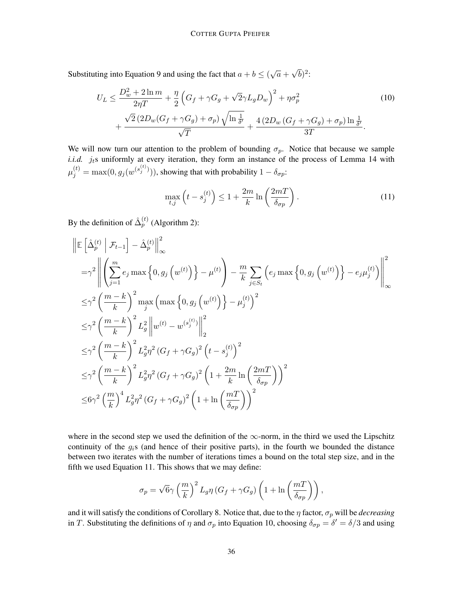Substituting into Equation [9](#page-34-0) and using the fact that  $a + b \le (\sqrt{a} + b)$ √  $\overline{b})^2$ :

$$
U_L \le \frac{D_w^2 + 2\ln m}{2\eta T} + \frac{\eta}{2} \left( G_f + \gamma G_g + \sqrt{2}\gamma L_g D_w \right)^2 + \eta \sigma_p^2
$$
  
+ 
$$
\frac{\sqrt{2} (2D_w(G_f + \gamma G_g) + \sigma_p) \sqrt{\ln \frac{1}{\delta'}}}{\sqrt{T}} + \frac{4 (2D_w(G_f + \gamma G_g) + \sigma_p) \ln \frac{1}{\delta'}}{3T}.
$$
 (10)

We will now turn our attention to the problem of bounding  $\sigma_p$ . Notice that because we sample *i.i.d.*  $j_t$ s uniformly at every iteration, they form an instance of the process of Lemma [14](#page-32-0) with  $\mu_j^{(t)} = \max(0, g_j(w^{(s_j^{(t)})})),$  showing that with probability  $1 - \delta_{\sigma p}$ :

<span id="page-35-1"></span><span id="page-35-0"></span>
$$
\max_{t,j} \left( t - s_j^{(t)} \right) \le 1 + \frac{2m}{k} \ln \left( \frac{2m}{\delta_{\sigma p}} \right). \tag{11}
$$

By the definition of  $\hat{\Delta}_p^{(t)}$  (Algorithm [2\)](#page-6-0):

$$
\begin{split}\n&\left\|\mathbb{E}\left[\hat{\Delta}_{p}^{(t)}\,\Big|\,\mathcal{F}_{t-1}\right]-\hat{\Delta}_{p}^{(t)}\right\|_{\infty}^{2} \\
&= \gamma^{2}\left\|\left(\sum_{j=1}^{m}e_{j}\max\left\{0,g_{j}\left(w^{(t)}\right)\right\}-\mu^{(t)}\right)-\frac{m}{k}\sum_{j\in S_{t}}\left(e_{j}\max\left\{0,g_{j}\left(w^{(t)}\right)\right\}-e_{j}\mu_{j}^{(t)}\right)\right\|_{\infty}^{2} \\
&\leq \gamma^{2}\left(\frac{m-k}{k}\right)^{2}\max_{j}\left(\max\left\{0,g_{j}\left(w^{(t)}\right)\right\}-\mu_{j}^{(t)}\right)^{2} \\
&\leq \gamma^{2}\left(\frac{m-k}{k}\right)^{2}L_{g}^{2}\left\|w^{(t)}-w^{(s_{j}^{(t)})}\right\|_{2}^{2} \\
&\leq \gamma^{2}\left(\frac{m-k}{k}\right)^{2}L_{g}^{2}\eta^{2}\left(G_{f}+\gamma G_{g}\right)^{2}\left(t-s_{j}^{(t)}\right)^{2} \\
&\leq \gamma^{2}\left(\frac{m-k}{k}\right)^{2}L_{g}^{2}\eta^{2}\left(G_{f}+\gamma G_{g}\right)^{2}\left(1+\frac{2m}{k}\ln\left(\frac{2mT}{\delta_{\sigma p}}\right)\right)^{2} \\
&\leq 6\gamma^{2}\left(\frac{m}{k}\right)^{4}L_{g}^{2}\eta^{2}\left(G_{f}+\gamma G_{g}\right)^{2}\left(1+\ln\left(\frac{mT}{\delta_{\sigma p}}\right)\right)^{2}\n\end{split}
$$

where in the second step we used the definition of the  $\infty$ -norm, in the third we used the Lipschitz continuity of the  $g_i$ s (and hence of their positive parts), in the fourth we bounded the distance between two iterates with the number of iterations times a bound on the total step size, and in the fifth we used Equation [11.](#page-35-0) This shows that we may define:

$$
\sigma_p = \sqrt{6} \gamma \left(\frac{m}{k}\right)^2 L_g \eta \left(G_f + \gamma G_g\right) \left(1 + \ln\left(\frac{mT}{\delta_{\sigma p}}\right)\right),\,
$$

and it will satisfy the conditions of Corollary [8.](#page-26-0) Notice that, due to the  $\eta$  factor,  $\sigma_p$  will be *decreasing* in T. Substituting the definitions of  $\eta$  and  $\sigma_p$  into Equation [10,](#page-35-1) choosing  $\delta_{\sigma p} = \delta' = \delta/3$  and using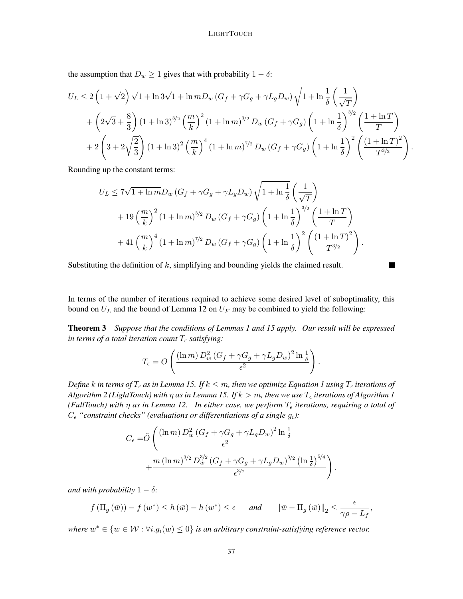the assumption that  $D_w \ge 1$  gives that with probability  $1 - \delta$ :

$$
U_L \le 2\left(1+\sqrt{2}\right)\sqrt{1+\ln 3}\sqrt{1+\ln m}D_w\left(G_f + \gamma G_g + \gamma L_g D_w\right)\sqrt{1+\ln\frac{1}{\delta}}\left(\frac{1}{\sqrt{T}}\right)
$$
  
+  $\left(2\sqrt{3}+\frac{8}{3}\right)(1+\ln 3)^{3/2}\left(\frac{m}{k}\right)^2(1+\ln m)^{3/2}D_w\left(G_f + \gamma G_g\right)\left(1+\ln\frac{1}{\delta}\right)^{3/2}\left(\frac{1+\ln T}{T}\right)$   
+  $2\left(3+2\sqrt{\frac{2}{3}}\right)(1+\ln 3)^2\left(\frac{m}{k}\right)^4(1+\ln m)^{7/2}D_w\left(G_f + \gamma G_g\right)\left(1+\ln\frac{1}{\delta}\right)^2\left(\frac{(1+\ln T)^2}{T^{3/2}}\right)$ 

.

Rounding up the constant terms:

$$
U_L \le 7\sqrt{1 + \ln m} D_w (G_f + \gamma G_g + \gamma L_g D_w) \sqrt{1 + \ln \frac{1}{\delta}} \left(\frac{1}{\sqrt{T}}\right)
$$
  
+ 19  $\left(\frac{m}{k}\right)^2 (1 + \ln m)^{3/2} D_w (G_f + \gamma G_g) \left(1 + \ln \frac{1}{\delta}\right)^{3/2} \left(\frac{1 + \ln T}{T}\right)$   
+ 41  $\left(\frac{m}{k}\right)^4 (1 + \ln m)^{7/2} D_w (G_f + \gamma G_g) \left(1 + \ln \frac{1}{\delta}\right)^2 \left(\frac{(1 + \ln T)^2}{T^{3/2}}\right).$ 

Substituting the definition of  $k$ , simplifying and bounding yields the claimed result.

In terms of the number of iterations required to achieve some desired level of suboptimality, this bound on  $U_L$  and the bound of Lemma [12](#page-30-3) on  $U_F$  may be combined to yield the following:

Theorem [3](#page-8-0) *Suppose that the conditions of Lemmas [1](#page-3-1) and [15](#page-33-0) apply. Our result will be expressed in terms of a total iteration count*  $T_{\epsilon}$  *satisfying:* 

$$
T_{\epsilon} = O\left(\frac{(\ln m) D_w^2 (G_f + \gamma G_g + \gamma L_g D_w)^2 \ln \frac{1}{\delta}}{\epsilon^2}\right).
$$

*Define* k in terms of  $T_{\epsilon}$  as in Lemma [15.](#page-33-0) If  $k \leq m$ , then we optimize Equation [1](#page-2-1) using  $T_{\epsilon}$  iterations of *Algorithm* [2](#page-6-0) (*LightTouch*) with  $\eta$  *as in Lemma [15.](#page-33-0) If*  $k > m$ , then we use  $T_{\epsilon}$  iterations of Algorithm [1](#page-3-0) *(FullTouch) with*  $\eta$  *as in Lemma [12.](#page-30-3) In either case, we perform*  $T_{\epsilon}$  *iterations, requiring a total of*  $C_{\epsilon}$  "constraint checks" (evaluations or differentiations of a single  $g_i$ ):

$$
C_{\epsilon} = \tilde{O}\left(\frac{(\ln m) D_w^2 (G_f + \gamma G_g + \gamma L_g D_w)^2 \ln \frac{1}{\delta}}{\epsilon^2} + \frac{m (\ln m)^{3/2} D_w^{3/2} (G_f + \gamma G_g + \gamma L_g D_w)^{3/2} (\ln \frac{1}{\delta})^{5/4}}{\epsilon^{3/2}}\right).
$$

*and with probability*  $1 - \delta$ *:* 

$$
f(\Pi_g(\bar{w})) - f(w^*) \le h(\bar{w}) - h(w^*) \le \epsilon
$$
 and  $\|\bar{w} - \Pi_g(\bar{w})\|_2 \le \frac{\epsilon}{\gamma \rho - L_f}$ ,

where  $w^* \in \{w \in \mathcal{W} : \forall i. g_i(w) \leq 0\}$  *is an arbitrary constraint-satisfying reference vector.*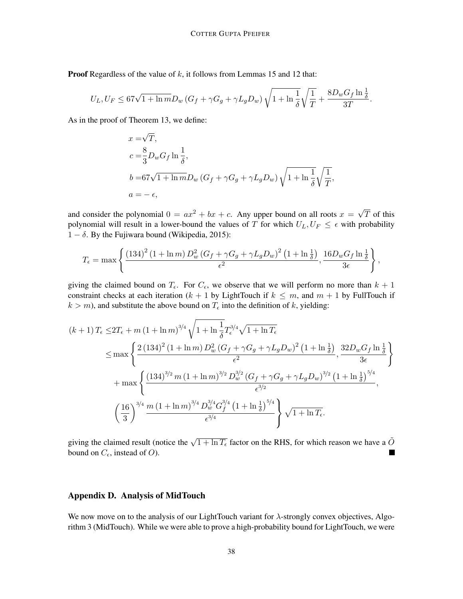**Proof** Regardless of the value of  $k$ , it follows from Lemmas [15](#page-33-0) and [12](#page-30-3) that:

$$
U_L, U_F \leq 67\sqrt{1+\ln m}D_w \left(G_f + \gamma G_g + \gamma L_g D_w\right) \sqrt{1+\ln\frac{1}{\delta}}\sqrt{\frac{1}{T}} + \frac{8D_w G_f \ln\frac{1}{\delta}}{3T}.
$$

As in the proof of Theorem [13,](#page-31-0) we define:

$$
x = \sqrt{T},
$$
  
\n
$$
c = \frac{8}{3}D_wG_f \ln \frac{1}{\delta},
$$
  
\n
$$
b = 67\sqrt{1 + \ln m}D_w (G_f + \gamma G_g + \gamma L_g D_w) \sqrt{1 + \ln \frac{1}{\delta}} \sqrt{\frac{1}{T}},
$$
  
\n
$$
a = -\epsilon,
$$

and consider the polynomial  $0 = ax^2 + bx + c$ . Any upper bound on all roots  $x = \sqrt{ }$ T of this polynomial will result in a lower-bound the values of T for which  $U_L, U_F \leq \epsilon$  with probability  $1 - \delta$ . By the Fujiwara bound [\(Wikipedia, 2015\)](#page-22-11):

$$
T_{\epsilon} = \max \left\{ \frac{\left(134\right)^2 \left(1 + \ln m\right) D_w^2 \left(G_f + \gamma G_g + \gamma L_g D_w\right)^2 \left(1 + \ln \frac{1}{\delta}\right)}{\epsilon^2}, \frac{16 D_w G_f \ln \frac{1}{\delta}}{3 \epsilon} \right\},\,
$$

giving the claimed bound on  $T_{\epsilon}$ . For  $C_{\epsilon}$ , we observe that we will perform no more than  $k + 1$ constraint checks at each iteration ( $k + 1$  by [LightTouch](#page-6-0) if  $k \leq m$ , and  $m + 1$  by [FullTouch](#page-3-0) if  $k > m$ ), and substitute the above bound on  $T_{\epsilon}$  into the definition of k, yielding:

$$
(k+1) T_{\epsilon} \leq 2T_{\epsilon} + m (1 + \ln m)^{3/4} \sqrt{1 + \ln \frac{1}{\delta}} T_{\epsilon}^{3/4} \sqrt{1 + \ln T_{\epsilon}}
$$
  
\n
$$
\leq \max \left\{ \frac{2 (134)^{2} (1 + \ln m) D_{w}^{2} (G_{f} + \gamma G_{g} + \gamma L_{g} D_{w})^{2} (1 + \ln \frac{1}{\delta})}{\epsilon^{2}}, \frac{32 D_{w} G_{f} \ln \frac{1}{\delta}}{3 \epsilon} \right\}
$$
  
\n
$$
+ \max \left\{ \frac{(134)^{3/2} m (1 + \ln m)^{3/2} D_{w}^{3/2} (G_{f} + \gamma G_{g} + \gamma L_{g} D_{w})^{3/2} (1 + \ln \frac{1}{\delta})^{5/4}}{\epsilon^{3/2}}, \frac{16}{\epsilon^{3/2}} \right\}
$$
  
\n
$$
\left(\frac{16}{3}\right)^{3/4} \frac{m (1 + \ln m)^{3/4} D_{w}^{3/4} G_{f}^{3/4} (1 + \ln \frac{1}{\delta})^{5/4}}{\epsilon^{3/4}} \sqrt{1 + \ln T_{\epsilon}}.
$$

giving the claimed result (notice the  $\sqrt{1 + \ln T_{\epsilon}}$  factor on the RHS, for which reason we have a  $\tilde{O}$ bound on  $C_{\epsilon}$ , instead of O).

# <span id="page-37-0"></span>Appendix D. Analysis of [MidTouch](#page-10-0)

We now move on to the analysis of our [LightTouch](#page-6-0) variant for λ-strongly convex objectives, Algorithm [3](#page-10-0) [\(MidTouch\)](#page-10-0). While we were able to prove a high-probability bound for [LightTouch,](#page-6-0) we were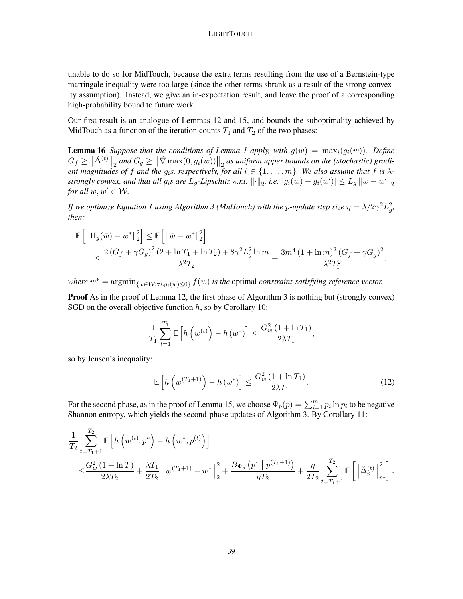unable to do so for [MidTouch,](#page-10-0) because the extra terms resulting from the use of a Bernstein-type martingale inequality were too large (since the other terms shrank as a result of the strong convexity assumption). Instead, we give an in-expectation result, and leave the proof of a corresponding high-probability bound to future work.

Our first result is an analogue of Lemmas [12](#page-30-3) and [15,](#page-33-0) and bounds the suboptimality achieved by [MidTouch](#page-10-0) as a function of the iteration counts  $T_1$  and  $T_2$  of the two phases:

<span id="page-38-1"></span>**Lemma [1](#page-3-1)6** *Suppose that the conditions of Lemma 1 apply, with*  $g(w) = \max_i(g_i(w))$ *. Define*  $G_f \geq \left\|\check{\Delta}^{(t)}\right\|_2$  and  $G_g \geq \left\|\check{\nabla} \max(0, g_i(w))\right\|_2$  as uniform upper bounds on the (stochastic) gradi*ent magnitudes of* f and the  $g_i s$ , respectively, for all  $i \in \{1, \ldots, m\}$ . We also assume that f is  $\lambda$ *strongly convex, and that all*  $g_i$ *s are*  $L_g$ -Lipschitz w.r.t.  $\lVert \cdot \rVert_2$ , i.e.  $|g_i(w) - g_i(w')| \le L_g \lVert w - w' \rVert_2$ *for all*  $w, w' \in W$ *.* 

*If we optimize Equation [1](#page-2-1) using Algorithm [3](#page-10-0) (MidTouch) with the p-update step size*  $\eta = \lambda/2\gamma^2 L_g^2$ , *then:*

$$
\mathbb{E}\left[\|\Pi_g(\bar{w}) - w^*\|_2^2\right] \le \mathbb{E}\left[\|\bar{w} - w^*\|_2^2\right] \n\le \frac{2\left(G_f + \gamma G_g\right)^2 (2 + \ln T_1 + \ln T_2) + 8\gamma^2 L_g^2 \ln m}{\lambda^2 T_2} + \frac{3m^4 (1 + \ln m)^2 (G_f + \gamma G_g)^2}{\lambda^2 T_1^2},
$$

where  $w^* = \arg\min_{\{w \in \mathcal{W}: \forall i, g_i(w) \le 0\}} f(w)$  *is the optimal constraint-satisfying reference vector.* 

Proof As in the proof of Lemma [12,](#page-30-3) the first phase of Algorithm [3](#page-10-0) is nothing but (strongly convex) SGD on the overall objective function  $h$ , so by Corollary [10:](#page-28-0)

$$
\frac{1}{T_1} \sum_{t=1}^{T_1} \mathbb{E}\left[h\left(w^{(t)}\right) - h\left(w^*\right)\right] \le \frac{G_w^2 \left(1 + \ln T_1\right)}{2\lambda T_1},
$$

so by Jensen's inequality:

<span id="page-38-0"></span>
$$
\mathbb{E}\left[h\left(w^{(T_1+1)}\right) - h\left(w^*\right)\right] \le \frac{G_w^2\left(1 + \ln T_1\right)}{2\lambda T_1}.\tag{12}
$$

For the second phase, as in the proof of Lemma [15,](#page-33-0) we choose  $\Psi_p(p) = \sum_{i=1}^m p_i \ln p_i$  to be negative Shannon entropy, which yields the second-phase updates of Algorithm [3.](#page-10-0) By Corollary [11:](#page-28-1)

$$
\frac{1}{T_2} \sum_{t=T_1+1}^{T_2} \mathbb{E} \left[ \tilde{h} \left( w^{(t)}, p^* \right) - \tilde{h} \left( w^*, p^{(t)} \right) \right] \n\leq \frac{G_w^2 (1 + \ln T)}{2\lambda T_2} + \frac{\lambda T_1}{2T_2} \left\| w^{(T_1+1)} - w^* \right\|_2^2 + \frac{B_{\Psi_p} \left( p^* \mid p^{(T_1+1)} \right)}{\eta T_2} + \frac{\eta}{2T_2} \sum_{t=T_1+1}^{T_2} \mathbb{E} \left[ \left\| \hat{\Delta}_p^{(t)} \right\|_{p*}^2 \right].
$$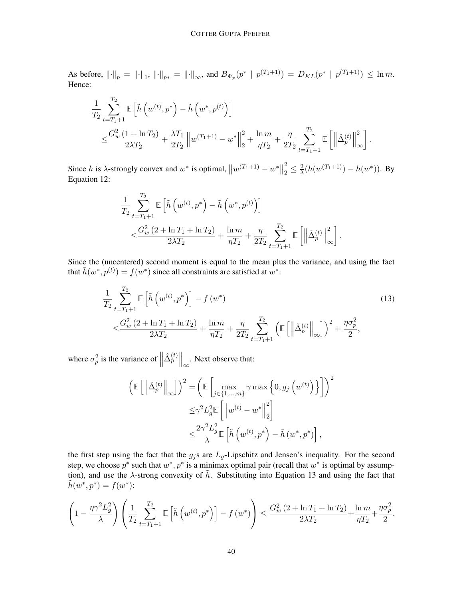As before,  $\|\cdot\|_p = \|\cdot\|_1$ ,  $\|\cdot\|_{p*} = \|\cdot\|_{\infty}$ , and  $B_{\Psi_p}(p^* \mid p^{(T_1+1)}) = D_{KL}(p^* \mid p^{(T_1+1)}) \le \ln m$ . Hence:

$$
\begin{split} &\frac{1}{T_2}\sum_{t=T_1+1}^{T_2}\mathbb{E}\left[\tilde{h}\left(w^{(t)},p^*\right)-\tilde{h}\left(w^*,p^{(t)}\right)\right]\\ &\leq& \frac{G_w^2\left(1+\ln T_2\right)}{2\lambda T_2}+\frac{\lambda T_1}{2T_2}\left\|w^{(T_1+1)}-w^*\right\|_2^2+\frac{\ln m}{\eta T_2}+\frac{\eta}{2T_2}\sum_{t=T_1+1}^{T_2}\mathbb{E}\left[\left\|\hat{\Delta}_p^{(t)}\right\|_\infty^2\right]. \end{split}
$$

Since h is  $\lambda$ -strongly convex and  $w^*$  is optimal,  $||w^{(T_1+1)} - w^*||$ 2  $\frac{2}{2} \leq \frac{2}{\lambda}$  $\frac{2}{\lambda}(h(w^{(T_1+1)}) - h(w^*))$ . By Equation [12:](#page-38-0)

$$
\frac{1}{T_2} \sum_{t=T_1+1}^{T_2} \mathbb{E}\left[\tilde{h}\left(w^{(t)}, p^*\right) - \tilde{h}\left(w^*, p^{(t)}\right)\right] \leq \frac{G_w^2 \left(2 + \ln T_1 + \ln T_2\right)}{2\lambda T_2} + \frac{\ln m}{\eta T_2} + \frac{\eta}{2T_2} \sum_{t=T_1+1}^{T_2} \mathbb{E}\left[\left\|\hat{\Delta}_p^{(t)}\right\|_{\infty}^2\right].
$$

Since the (uncentered) second moment is equal to the mean plus the variance, and using the fact that  $\tilde{h}(w^*, p^{(t)}) = f(w^*)$  since all constraints are satisfied at  $w^*$ :

$$
\frac{1}{T_2} \sum_{t=T_1+1}^{T_2} \mathbb{E} \left[ \tilde{h} \left( w^{(t)}, p^* \right) \right] - f \left( w^* \right) \n\leq \frac{G_w^2 (2 + \ln T_1 + \ln T_2)}{2\lambda T_2} + \frac{\ln m}{\eta T_2} + \frac{\eta}{2T_2} \sum_{t=T_1+1}^{T_2} \left( \mathbb{E} \left[ \left\| \hat{\Delta}_p^{(t)} \right\|_{\infty} \right] \right)^2 + \frac{\eta \sigma_p^2}{2},
$$
\n(13)

where  $\sigma_p^2$  is the variance of  $\parallel$  $\left.\hat{\Delta}_p^{(t)}\right|\right|_{\infty}$ . Next observe that:

<span id="page-39-0"></span>
$$
\left(\mathbb{E}\left[\left\|\hat{\Delta}_{p}^{(t)}\right\|_{\infty}\right]\right)^{2} = \left(\mathbb{E}\left[\max_{j\in\{1,\ldots,m\}}\gamma\max\left\{0,g_j\left(w^{(t)}\right)\right\}\right]\right)^{2}
$$

$$
\leq \gamma^2 L_g^2 \mathbb{E}\left[\left\|w^{(t)} - w^*\right\|_{2}^{2}\right]
$$

$$
\leq \frac{2\gamma^2 L_g^2}{\lambda} \mathbb{E}\left[\tilde{h}\left(w^{(t)},p^*\right) - \tilde{h}\left(w^*,p^*\right)\right],
$$

the first step using the fact that the  $g_j$ s are  $L_g$ -Lipschitz and Jensen's inequality. For the second step, we choose  $p^*$  such that  $w^*$ ,  $p^*$  is a minimax optimal pair (recall that  $w^*$  is optimal by assumption), and use the  $\lambda$ -strong convexity of  $\tilde{h}$ . Substituting into Equation [13](#page-39-0) and using the fact that  $h(w^*, p^*) = f(w^*)$ :

$$
\left(1 - \frac{\eta \gamma^2 L_g^2}{\lambda}\right) \left(\frac{1}{T_2} \sum_{t=T_1+1}^{T_2} \mathbb{E}\left[\tilde{h}\left(w^{(t)}, p^*\right)\right] - f\left(w^*\right)\right) \le \frac{G_w^2 \left(2 + \ln T_1 + \ln T_2\right)}{2\lambda T_2} + \frac{\ln m}{\eta T_2} + \frac{\eta \sigma_p^2}{2}.
$$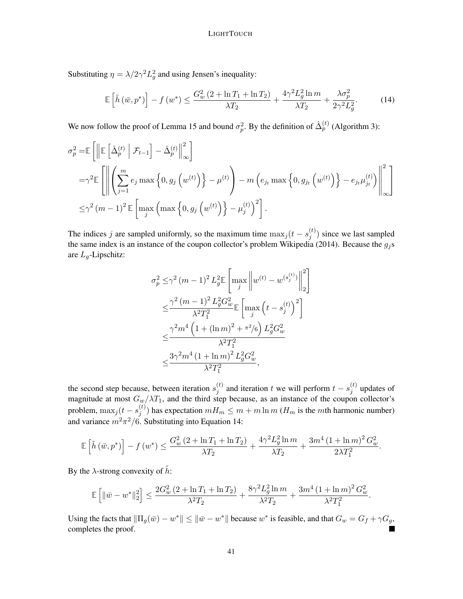Substituting  $\eta = \lambda/2\gamma^2 L_g^2$  and using Jensen's inequality:

<span id="page-40-0"></span>
$$
\mathbb{E}\left[\tilde{h}\left(\bar{w},p^{*}\right)\right] - f\left(w^{*}\right) \leq \frac{G_{w}^{2}\left(2 + \ln T_{1} + \ln T_{2}\right)}{\lambda T_{2}} + \frac{4\gamma^{2}L_{g}^{2}\ln m}{\lambda T_{2}} + \frac{\lambda\sigma_{p}^{2}}{2\gamma^{2}L_{g}^{2}}.\tag{14}
$$

We now follow the proof of Lemma [15](#page-33-0) and bound  $\sigma_p^2$ . By the definition of  $\hat{\Delta}_p^{(t)}$  (Algorithm [3\)](#page-10-0):

$$
\sigma_p^2 = \mathbb{E} \left[ \left\| \mathbb{E} \left[ \hat{\Delta}_p^{(t)} \middle| \mathcal{F}_{t-1} \right] - \hat{\Delta}_p^{(t)} \right\|_{\infty}^2 \right]
$$
  
\n
$$
= \gamma^2 \mathbb{E} \left[ \left\| \left( \sum_{j=1}^m e_j \max \left\{ 0, g_j \left( w^{(t)} \right) \right\} - \mu^{(t)} \right) - m \left( e_{j_t} \max \left\{ 0, g_{j_t} \left( w^{(t)} \right) \right\} - e_{j_t} \mu_{j_t}^{(t)} \right) \right\|_{\infty}^2 \right]
$$
  
\n
$$
\leq \gamma^2 (m-1)^2 \mathbb{E} \left[ \max_j \left( \max \left\{ 0, g_j \left( w^{(t)} \right) \right\} - \mu_j^{(t)} \right)^2 \right].
$$

The indices j are sampled uniformly, so the maximum time  $\max_j (t - s_j^{(t)})$  $j^{(i)}$ ) since we last sampled the same index is an instance of the coupon collector's problem [Wikipedia](#page-22-12) [\(2014\)](#page-22-12). Because the  $g_j$ s are  $L_q$ -Lipschitz:

$$
\sigma_p^2 \leq \gamma^2 (m-1)^2 L_g^2 \mathbb{E} \left[ \max_j \left\| w^{(t)} - w^{(s_j^{(t)})} \right\|_2^2 \right]
$$
  

$$
\leq \frac{\gamma^2 (m-1)^2 L_g^2 G_w^2}{\lambda^2 T_1^2} \mathbb{E} \left[ \max_j \left( t - s_j^{(t)} \right)^2 \right]
$$
  

$$
\leq \frac{\gamma^2 m^4 \left( 1 + (\ln m)^2 + \pi^2 / 6 \right) L_g^2 G_w^2}{\lambda^2 T_1^2}
$$
  

$$
\leq \frac{3 \gamma^2 m^4 (1 + \ln m)^2 L_g^2 G_w^2}{\lambda^2 T_1^2},
$$

the second step because, between iteration  $s_i^{(t)}$  $j^{(t)}$  and iteration t we will perform  $t - s_j^{(t)}$  $j^{(i)}$  updates of magnitude at most  $G_w/\lambda T_1$ , and the third step because, as an instance of the coupon collector's problem,  $\max_j (t - s_j^{(t)})$  $j^{(l)}$ ) has expectation  $mH_m \leq m + m \ln m$  ( $H_m$  is the mth harmonic number) and variance  $m^2\pi^2/6$ . Substituting into Equation [14:](#page-40-0)

$$
\mathbb{E}\left[\tilde{h}\left(\bar{w},p^{*}\right)\right] - f\left(w^{*}\right) \leq \frac{G_{w}^{2}\left(2 + \ln T_{1} + \ln T_{2}\right)}{\lambda T_{2}} + \frac{4\gamma^{2}L_{g}^{2}\ln m}{\lambda T_{2}} + \frac{3m^{4}\left(1 + \ln m\right)^{2}G_{w}^{2}}{2\lambda T_{1}^{2}}.
$$

By the  $\lambda$ -strong convexity of  $\tilde{h}$ :

$$
\mathbb{E}\left[\|\bar{w} - w^*\|_2^2\right] \le \frac{2G_w^2\left(2 + \ln T_1 + \ln T_2\right)}{\lambda^2 T_2} + \frac{8\gamma^2 L_g^2 \ln m}{\lambda^2 T_2} + \frac{3m^4\left(1 + \ln m\right)^2 G_w^2}{\lambda^2 T_1^2}.
$$

Using the facts that  $\|\Pi_g(\bar{w}) - w^*\| \leq \|\bar{w} - w^*\|$  because  $w^*$  is feasible, and that  $G_w = G_f + \gamma G_g$ , completes the proof.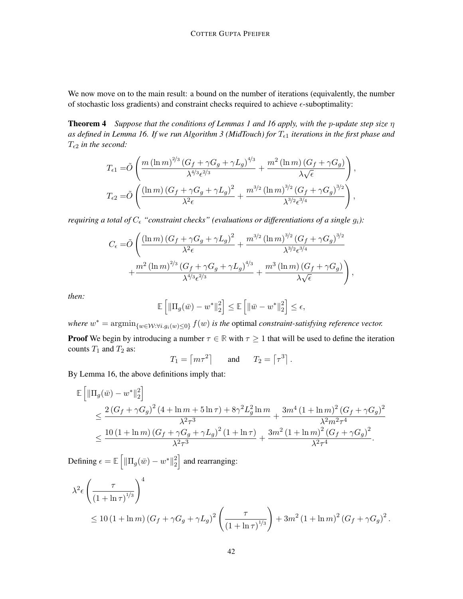We now move on to the main result: a bound on the number of iterations (equivalently, the number of stochastic loss gradients) and constraint checks required to achieve  $\epsilon$ -suboptimality:

Theorem [4](#page-9-1) *Suppose that the conditions of Lemmas [1](#page-3-1) and [16](#page-38-1) apply, with the* p*-update step size* η as defined in Lemma [16.](#page-38-1) If we run Algorithm [3](#page-10-0) (MidTouch) for  $T_{\epsilon 1}$  iterations in the first phase and  $T_{\epsilon 2}$  *in the second:* 

$$
T_{\epsilon 1} = \tilde{O}\left(\frac{m\left(\ln m\right)^{2/3}\left(G_f + \gamma G_g + \gamma L_g\right)^{4/3}}{\lambda^{4/3}\epsilon^{2/3}} + \frac{m^2\left(\ln m\right)\left(G_f + \gamma G_g\right)}{\lambda\sqrt{\epsilon}}\right),
$$
  

$$
T_{\epsilon 2} = \tilde{O}\left(\frac{\left(\ln m\right)\left(G_f + \gamma G_g + \gamma L_g\right)^2}{\lambda^2\epsilon} + \frac{m^{3/2}\left(\ln m\right)^{3/2}\left(G_f + \gamma G_g\right)^{3/2}}{\lambda^{3/2}\epsilon^{3/4}}\right),
$$

*requiring a total of*  $C_{\epsilon}$  "*constraint checks*" (evaluations or differentiations of a single  $g_i$ ):

$$
C_{\epsilon} = \tilde{O}\left(\frac{(\ln m) (G_f + \gamma G_g + \gamma L_g)^2}{\lambda^2 \epsilon} + \frac{m^{3/2} (\ln m)^{3/2} (G_f + \gamma G_g)^{3/2}}{\lambda^{3/2} \epsilon^{3/4}} + \frac{m^2 (\ln m)^{2/3} (G_f + \gamma G_g + \gamma L_g)^{4/3}}{\lambda^{4/3} \epsilon^{2/3}} + \frac{m^3 (\ln m) (G_f + \gamma G_g)}{\lambda \sqrt{\epsilon}}\right),
$$

*then:*

$$
\mathbb{E}\left[\|\Pi_g(\bar{w})-w^*\|_2^2\right] \leq \mathbb{E}\left[\|\bar{w}-w^*\|_2^2\right] \leq \epsilon,
$$

where  $w^* = \arg\min_{\{w \in \mathcal{W}: \forall i, g_i(w) \le 0\}} f(w)$  *is the optimal constraint-satisfying reference vector.* **Proof** We begin by introducing a number  $\tau \in \mathbb{R}$  with  $\tau \geq 1$  that will be used to define the iteration counts  $T_1$  and  $T_2$  as:

$$
T_1 = \begin{bmatrix} m\tau^2 \end{bmatrix}
$$
 and  $T_2 = \begin{bmatrix} \tau^3 \end{bmatrix}$ .

By Lemma [16,](#page-38-1) the above definitions imply that:

$$
\mathbb{E}\left[\|\Pi_g(\bar{w}) - w^*\|_2^2\right] \n\leq \frac{2\left(G_f + \gamma G_g\right)^2 (4 + \ln m + 5\ln\tau) + 8\gamma^2 L_g^2 \ln m}{\lambda^2 \tau^3} + \frac{3m^4 (1 + \ln m)^2 (G_f + \gamma G_g)^2}{\lambda^2 m^2 \tau^4} \n\leq \frac{10\left(1 + \ln m\right) (G_f + \gamma G_g + \gamma L_g)^2 (1 + \ln \tau)}{\lambda^2 \tau^3} + \frac{3m^2 (1 + \ln m)^2 (G_f + \gamma G_g)^2}{\lambda^2 \tau^4}.
$$

Defining  $\epsilon = \mathbb{E} \left[ \|\Pi_g(\bar{w}) - w^*\|_2^2 \right]$  $\binom{2}{2}$  and rearranging:

$$
\lambda^{2} \epsilon \left( \frac{\tau}{(1 + \ln \tau)^{1/3}} \right)^{4} \le 10 (1 + \ln m) (G_f + \gamma G_g + \gamma L_g)^{2} \left( \frac{\tau}{(1 + \ln \tau)^{1/3}} \right) + 3m^{2} (1 + \ln m)^{2} (G_f + \gamma G_g)^{2}.
$$